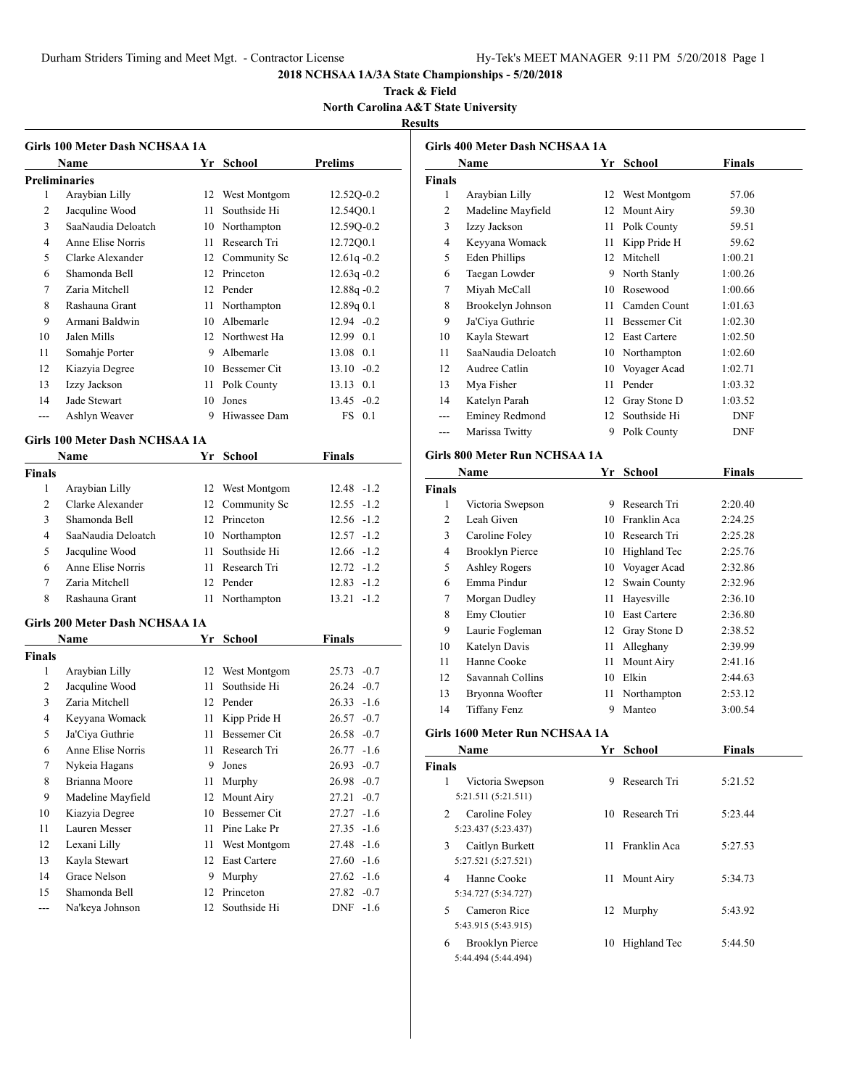Durham Striders Timing and Meet Mgt. - Contractor License Hy-Tek's MEET MANAGER 9:11 PM 5/20/2018 Page 1

# **2018 NCHSAA 1A/3A State Championships - 5/20/2018**

**Track & Field North Carolina A&T State University Results**

|                      | Girls 100 Meter Dash NCHSAA 1A |      |                 |                 |
|----------------------|--------------------------------|------|-----------------|-----------------|
|                      | Name                           |      | Yr School       | <b>Prelims</b>  |
| <b>Preliminaries</b> |                                |      |                 |                 |
| 1                    | Araybian Lilly                 |      | 12 West Montgom | 12.52Q-0.2      |
| 2                    | Jacquline Wood                 | 11   | Southside Hi    | 12.54Q0.1       |
| 3                    | SaaNaudia Deloatch             |      | 10 Northampton  | 12.590-0.2      |
| 4                    | Anne Elise Norris              |      | 11 Research Tri | 12.72Q0.1       |
| 5                    | Clarke Alexander               |      | 12 Community Sc | $12.61q - 0.2$  |
| 6                    | Shamonda Bell                  |      | 12 Princeton    | $12.63q -0.2$   |
| 7                    | Zaria Mitchell                 |      | 12 Pender       | $12.88q - 0.2$  |
| 8                    | Rashauna Grant                 |      | 11 Northampton  | 12.89q0.1       |
| 9                    | Armani Baldwin                 |      | 10 Albemarle    | $12.94 -0.2$    |
| 10                   | Jalen Mills                    |      | 12 Northwest Ha | 12.99 0.1       |
| 11                   | Somahje Porter                 |      | 9 Albemarle     | 13.08 0.1       |
| 12                   | Kiazyia Degree                 |      | 10 Bessemer Cit | $13.10 - 0.2$   |
| 13                   | Izzy Jackson                   |      | 11 Polk County  | 13.13 0.1       |
| 14                   | Jade Stewart                   |      | 10 Jones        | $13.45 - 0.2$   |
| ---                  | Ashlyn Weaver                  | 9    | Hiwassee Dam    | $FS$ 0.1        |
|                      | Girls 100 Meter Dash NCHSAA 1A |      |                 |                 |
|                      | Name                           |      | Yr School       | Finals          |
| Finals               |                                |      |                 |                 |
| 1                    | Araybian Lilly                 |      | 12 West Montgom | $12.48 - 1.2$   |
| $\overline{c}$       | Clarke Alexander               |      | 12 Community Sc | $12.55 - 1.2$   |
| 3                    | Shamonda Bell                  |      | 12 Princeton    | $12.56 - 1.2$   |
| 4                    | SaaNaudia Deloatch             |      | 10 Northampton  | $12.57 - 1.2$   |
| 5                    | Jacquline Wood                 | 11   | Southside Hi    | $12.66 - 1.2$   |
| 6                    | Anne Elise Norris              |      | 11 Research Tri | $12.72 - 1.2$   |
| 7                    | Zaria Mitchell                 |      | 12 Pender       | $12.83 - 1.2$   |
| 8                    | Rashauna Grant                 | 11   | Northampton     | $13.21 - 1.2$   |
|                      |                                |      |                 |                 |
|                      | Girls 200 Meter Dash NCHSAA 1A |      |                 |                 |
|                      | Name                           |      | Yr School       | <b>Finals</b>   |
| Finals               |                                |      |                 |                 |
| 1                    | Araybian Lilly                 |      | 12 West Montgom | 25.73 -0.7      |
| 2                    | Jacquline Wood                 | 11   | Southside Hi    | $26.24 -0.7$    |
| 3                    | Zaria Mitchell                 |      | 12 Pender       | $26.33 - 1.6$   |
| 4                    | Keyyana Womack                 | 11 - | Kipp Pride H    | $26.57 - 0.7$   |
| 5                    | Ja'Ciya Guthrie                |      | 11 Bessemer Cit | $26.58 - 0.7$   |
| 6                    | Anne Elise Norris              | 11   | Research Tri    | 26.77<br>$-1.6$ |
| $\tau$               | Nykeia Hagans                  | 9    | Jones           | 26.93<br>$-0.7$ |
| 8                    | Brianna Moore                  | 11   | Murphy          | 26.98<br>$-0.7$ |
| 9                    | Madeline Mayfield              | 12   | Mount Airy      | $-0.7$<br>27.21 |
| 10                   | Kiazyia Degree                 | 10   | Bessemer Cit    | 27.27<br>$-1.6$ |
| 11                   | Lauren Messer                  | 11   | Pine Lake Pr    | $-1.6$<br>27.35 |
| 12                   | Lexani Lilly                   | 11   | West Montgom    | 27.48<br>$-1.6$ |
| 13                   | Kayla Stewart                  | 12   | East Cartere    | 27.60<br>$-1.6$ |
| 14                   | Grace Nelson                   | 9    | Murphy          | 27.62<br>$-1.6$ |
| 15                   | Shamonda Bell                  | 12   | Princeton       | 27.82<br>$-0.7$ |
| ---                  | Na'keya Johnson                | 12   | Southside Hi    | DNF<br>$-1.6$   |

|                | <b>Girls 400 Meter Dash NCHSAA 1A</b> |      |                 |               |
|----------------|---------------------------------------|------|-----------------|---------------|
|                | Name                                  |      | Yr School       | <b>Finals</b> |
| <b>Finals</b>  |                                       |      |                 |               |
| 1              | Araybian Lilly                        |      | 12 West Montgom | 57.06         |
| 2              | Madeline Mayfield                     |      | 12 Mount Airy   | 59.30         |
| 3              | Izzy Jackson                          |      | 11 Polk County  | 59.51         |
| 4              | Keyyana Womack                        |      | 11 Kipp Pride H | 59.62         |
| 5              | <b>Eden Phillips</b>                  |      | 12 Mitchell     | 1:00.21       |
| 6              | Taegan Lowder                         |      | 9 North Stanly  | 1:00.26       |
| 7              | Miyah McCall                          |      | 10 Rosewood     | 1:00.66       |
| 8              | Brookelyn Johnson                     |      | 11 Camden Count | 1:01.63       |
| 9              | Ja'Ciya Guthrie                       |      | 11 Bessemer Cit | 1:02.30       |
| 10             | Kayla Stewart                         |      | 12 East Cartere | 1:02.50       |
| 11             | SaaNaudia Deloatch                    |      | 10 Northampton  | 1:02.60       |
| 12             | Audree Catlin                         |      | 10 Voyager Acad | 1:02.71       |
| 13             | Mya Fisher                            | 11   | Pender          | 1:03.32       |
| 14             | Katelyn Parah                         |      | 12 Gray Stone D | 1:03.52       |
| $---$          | <b>Eminey Redmond</b>                 |      | 12 Southside Hi | <b>DNF</b>    |
| $---$          | Marissa Twitty                        |      | 9 Polk County   | <b>DNF</b>    |
|                |                                       |      |                 |               |
|                | <b>Girls 800 Meter Run NCHSAA 1A</b>  |      |                 |               |
|                | Name                                  |      | Yr School       | <b>Finals</b> |
| <b>Finals</b>  |                                       |      |                 |               |
| 1              | Victoria Swepson                      |      | 9 Research Tri  | 2:20.40       |
| $\overline{2}$ | Leah Given                            |      | 10 Franklin Aca | 2:24.25       |
| 3              | Caroline Foley                        |      | 10 Research Tri | 2:25.28       |
| 4              | <b>Brooklyn Pierce</b>                |      | 10 Highland Tec | 2:25.76       |
| 5              | <b>Ashley Rogers</b>                  |      | 10 Voyager Acad | 2:32.86       |
| 6              | Emma Pindur                           |      | 12 Swain County | 2:32.96       |
| 7              | Morgan Dudley                         | 11   | Hayesville      | 2:36.10       |
| 8              | Emy Cloutier                          |      | 10 East Cartere | 2:36.80       |
| 9              | Laurie Fogleman                       |      | 12 Gray Stone D | 2:38.52       |
| 10             | Katelyn Davis                         | 11   | Alleghany       | 2:39.99       |
| 11             | Hanne Cooke                           | 11   | Mount Airy      | 2:41.16       |
| 12             | Savannah Collins                      |      | 10 Elkin        | 2:44.63       |
| 13             | Bryonna Woofter                       | 11 - | Northampton     | 2:53.12       |
| 14             | <b>Tiffany Fenz</b>                   | 9    | Manteo          | 3:00.54       |
|                | Girls 1600 Meter Run NCHSAA 1A        |      |                 |               |
|                | Name                                  |      | Yr School       | <b>Finals</b> |
| <b>Finals</b>  |                                       |      |                 |               |
| 1              |                                       | 9    | Research Tri    |               |
|                | Victoria Swepson                      |      |                 | 5:21.52       |
|                | 5:21.511 (5:21.511)                   |      |                 |               |
| 2              | Caroline Foley                        | 10   | Research Tri    | 5:23.44       |
|                | 5:23.437 (5:23.437)                   |      |                 |               |
| 3              | Caitlyn Burkett                       | 11   | Franklin Aca    | 5:27.53       |
|                | 5:27.521 (5:27.521)                   |      |                 |               |

Hanne Cooke 11 Mount Airy 5:34.73

Cameron Rice 12 Murphy 5:43.92

Brooklyn Pierce 10 Highland Tec 5:44.50

5:34.727 (5:34.727)

5:43.915 (5:43.915)

5:44.494 (5:44.494)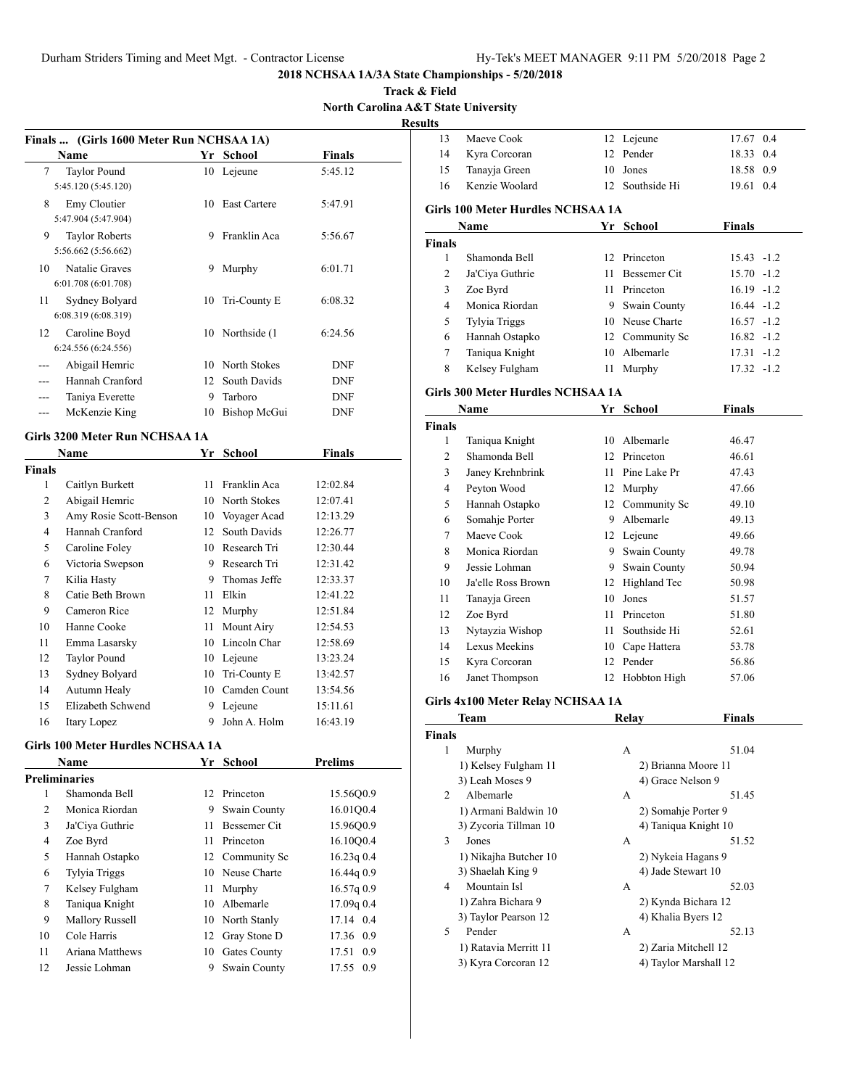**Track & Field North Carolina A&T State University Results**

J.

|     | Finals  (Girls 1600 Meter Run NCHSAA 1A)     |    |                  |               |
|-----|----------------------------------------------|----|------------------|---------------|
|     | Name                                         | Yr | School           | <b>Finals</b> |
| 7   | <b>Taylor Pound</b><br>5:45.120 (5:45.120)   |    | 10 Lejeune       | 5:45.12       |
| 8   | Emy Cloutier<br>5:47.904 (5:47.904)          |    | 10 East Cartere  | 5:47.91       |
| 9   | <b>Taylor Roberts</b><br>5:56.662 (5:56.662) | 9  | Franklin Aca     | 5:56.67       |
| 10  | Natalie Graves<br>6:01.708 (6:01.708)        | 9  | Murphy           | 6:01.71       |
| 11  | Sydney Bolyard<br>6:08.319 (6:08.319)        | 10 | Tri-County E     | 6:08.32       |
| 12  | Caroline Boyd<br>6:24.556 (6:24.556)         |    | 10 Northside (1) | 6:24.56       |
| --- | Abigail Hemric                               | 10 | North Stokes     | <b>DNF</b>    |
| --- | Hannah Cranford                              | 12 | South Davids     | <b>DNF</b>    |
|     | Taniya Everette                              | 9  | Tarboro          | <b>DNF</b>    |
|     | McKenzie King                                | 10 | Bishop McGui     | DNF           |
|     | Girls 3200 Meter Run NCHSAA 1A               |    |                  |               |

|        | Name                   | Yr | <b>School</b> | Finals   |
|--------|------------------------|----|---------------|----------|
| Finals |                        |    |               |          |
| 1      | Caitlyn Burkett        | 11 | Franklin Aca  | 12:02.84 |
| 2      | Abigail Hemric         | 10 | North Stokes  | 12:07.41 |
| 3      | Amy Rosie Scott-Benson | 10 | Voyager Acad  | 12:13.29 |
| 4      | Hannah Cranford        | 12 | South Davids  | 12:26.77 |
| 5      | Caroline Foley         | 10 | Research Tri  | 12:30.44 |
| 6      | Victoria Swepson       | 9  | Research Tri  | 12:31.42 |
| 7      | Kilia Hasty            | 9  | Thomas Jeffe  | 12:33.37 |
| 8      | Catie Beth Brown       | 11 | Elkin         | 12:41.22 |
| 9      | Cameron Rice           | 12 | Murphy        | 12:51.84 |
| 10     | Hanne Cooke            | 11 | Mount Airy    | 12:54.53 |
| 11     | Emma Lasarsky          | 10 | Lincoln Char  | 12:58.69 |
| 12     | <b>Taylor Pound</b>    | 10 | Lejeune       | 13:23.24 |
| 13     | Sydney Bolyard         | 10 | Tri-County E  | 13:42.57 |
| 14     | Autumn Healy           | 10 | Camden Count  | 13:54.56 |
| 15     | Elizabeth Schwend      | 9  | Lejeune       | 15:11.61 |
| 16     | Itary Lopez            | 9  | John A. Holm  | 16:43.19 |

#### **Girls 100 Meter Hurdles NCHSAA 1A**

|    | <b>Name</b>            |                 | Yr School       | <b>Prelims</b> |
|----|------------------------|-----------------|-----------------|----------------|
|    | Preliminaries          |                 |                 |                |
| 1  | Shamonda Bell          | 12 <sup>1</sup> | Princeton       | 15.5600.9      |
| 2  | Monica Riordan         | 9               | Swain County    | 16.01Q0.4      |
| 3  | Ja'Ciya Guthrie        | 11              | Bessemer Cit    | 15.96Q0.9      |
| 4  | Zoe Byrd               | 11              | Princeton       | 16.1000.4      |
| 5  | Hannah Ostapko         |                 | 12 Community Sc | $16.23q$ 0.4   |
| 6  | <b>Tylyia Triggs</b>   |                 | 10 Neuse Charte | 16.44q0.9      |
| 7  | Kelsey Fulgham         | 11              | Murphy          | 16.57q0.9      |
| 8  | Taniqua Knight         | 10              | Albemarle       | 17.09q0.4      |
| 9  | <b>Mallory Russell</b> | 10              | North Stanly    | 17.14 0.4      |
| 10 | Cole Harris            |                 | 12 Gray Stone D | 17.36 0.9      |
| 11 | Ariana Matthews        | 10              | Gates County    | 17.51 0.9      |
| 12 | Jessie Lohman          | 9               | Swain County    | 17.55 0.9      |
|    |                        |                 |                 |                |

| 13     | Maeve Cook                        |     | 12 Lejeune          | 17.67 0.4     |  |
|--------|-----------------------------------|-----|---------------------|---------------|--|
| 14     | Kyra Corcoran                     |     | 12 Pender           | 18.33 0.4     |  |
| 15     | Tanayja Green                     | 10  | Jones               | 18.58 0.9     |  |
| 16     | Kenzie Woolard                    |     | 12 Southside Hi     | 19.61 0.4     |  |
|        | Girls 100 Meter Hurdles NCHSAA 1A |     |                     |               |  |
|        | Name                              | Yr  | School              | <b>Finals</b> |  |
| Finals |                                   |     |                     |               |  |
| 1      | Shamonda Bell                     |     | 12 Princeton        | $15.43 - 1.2$ |  |
| 2      | Ja'Ciya Guthrie                   | 11  | <b>Bessemer Cit</b> | $15.70 - 1.2$ |  |
| 3      | Zoe Byrd                          | 11. | Princeton           | $16.19 - 1.2$ |  |
| 4      | Monica Riordan                    | 9   | Swain County        | $16.44 - 1.2$ |  |
| 5      | Tylyia Triggs                     |     | 10 Neuse Charte     | $16.57 - 1.2$ |  |
| 6      | Hannah Ostapko                    |     | 12 Community Sc     | $16.82 - 1.2$ |  |
| 7      | Taniqua Knight                    | 10  | Albemarle           | $17.31 - 1.2$ |  |
| 8      | Kelsey Fulgham                    | 11  | Murphy              | $17.32 - 1.2$ |  |

# **Girls 300 Meter Hurdles NCHSAA 1A**

|        | Name               | Yr | <b>School</b> | Finals |  |
|--------|--------------------|----|---------------|--------|--|
| Finals |                    |    |               |        |  |
| 1      | Taniqua Knight     | 10 | Albemarle     | 46.47  |  |
| 2      | Shamonda Bell      | 12 | Princeton     | 46.61  |  |
| 3      | Janey Krehnbrink   | 11 | Pine Lake Pr  | 47.43  |  |
| 4      | Peyton Wood        | 12 | Murphy        | 47.66  |  |
| 5      | Hannah Ostapko     | 12 | Community Sc  | 49.10  |  |
| 6      | Somahje Porter     | 9  | Albemarle     | 49.13  |  |
| 7      | Maeve Cook         |    | 12 Lejeune    | 49.66  |  |
| 8      | Monica Riordan     | 9  | Swain County  | 49.78  |  |
| 9      | Jessie Lohman      | 9  | Swain County  | 50.94  |  |
| 10     | Ja'elle Ross Brown | 12 | Highland Tec  | 50.98  |  |
| 11     | Tanayja Green      | 10 | Jones         | 51.57  |  |
| 12     | Zoe Byrd           | 11 | Princeton     | 51.80  |  |
| 13     | Nytayzia Wishop    | 11 | Southside Hi  | 52.61  |  |
| 14     | Lexus Meekins      | 10 | Cape Hattera  | 53.78  |  |
| 15     | Kyra Corcoran      | 12 | Pender        | 56.86  |  |
| 16     | Janet Thompson     | 12 | Hobbton High  | 57.06  |  |
|        |                    |    |               |        |  |

# **Girls 4x100 Meter Relay NCHSAA 1A**

|                | Team                  | Relay              | Finals                |
|----------------|-----------------------|--------------------|-----------------------|
| <b>Finals</b>  |                       |                    |                       |
| 1              | Murphy                | А                  | 51.04                 |
|                | 1) Kelsey Fulgham 11  |                    | 2) Brianna Moore 11   |
|                | 3) Leah Moses 9       | 4) Grace Nelson 9  |                       |
| $\mathfrak{D}$ | Albemarle             | А                  | 51.45                 |
|                | 1) Armani Baldwin 10  |                    | 2) Somahje Porter 9   |
|                | 3) Zycoria Tillman 10 |                    | 4) Taniqua Knight 10  |
| 3              | Jones                 | A                  | 51.52                 |
|                | 1) Nikajha Butcher 10 |                    | 2) Nykeia Hagans 9    |
|                | 3) Shaelah King 9     | 4) Jade Stewart 10 |                       |
| $\overline{4}$ | Mountain Isl          | A                  | 52.03                 |
|                | 1) Zahra Bichara 9    |                    | 2) Kynda Bichara 12   |
|                | 3) Taylor Pearson 12  | 4) Khalia Byers 12 |                       |
| 5              | Pender                | А                  | 52.13                 |
|                | 1) Ratavia Merritt 11 |                    | 2) Zaria Mitchell 12  |
|                | 3) Kyra Corcoran 12   |                    | 4) Taylor Marshall 12 |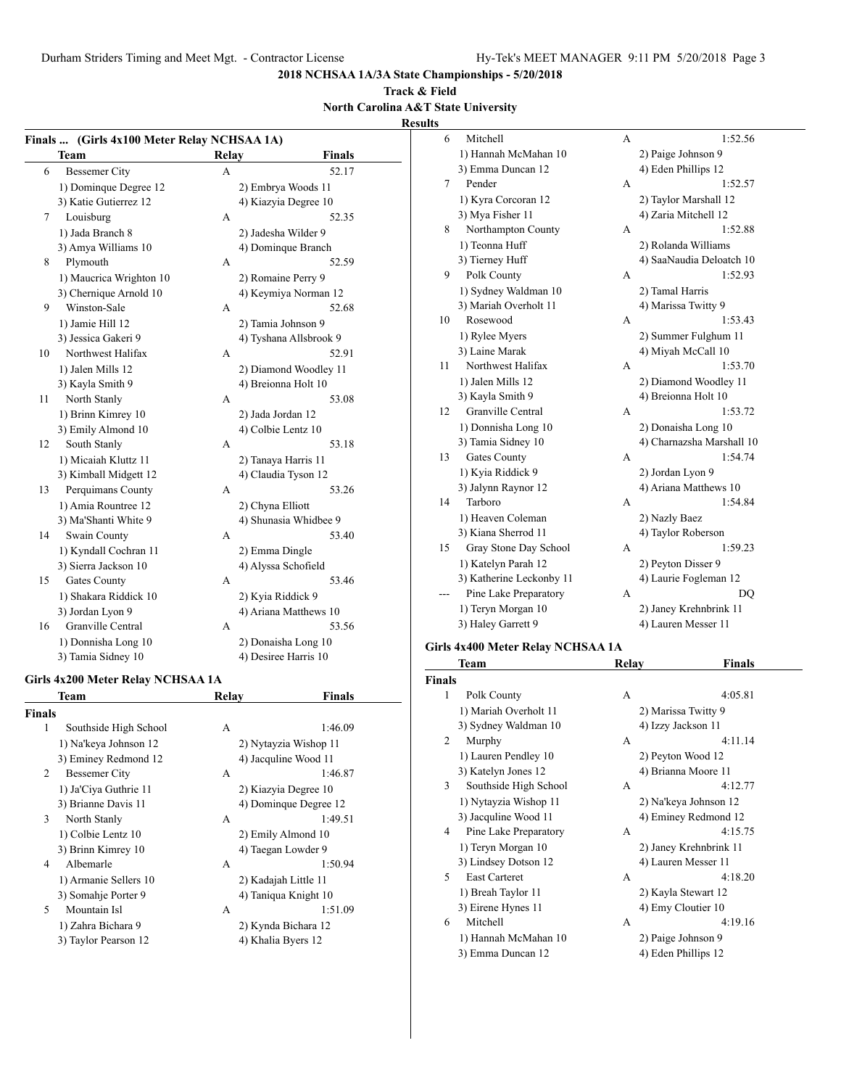# **Track & Field North Carolina A&T State University**

**Results**

|    | Finals  (Girls 4x100 Meter Relay NCHSAA 1A) |                  |                        | 6  | Mitchell                                  | $\mathbf{A}$   | 1:52.56                   |
|----|---------------------------------------------|------------------|------------------------|----|-------------------------------------------|----------------|---------------------------|
|    | <b>Team</b>                                 | Relay            | <b>Finals</b>          |    | 1) Hannah McMahan 10                      |                | 2) Paige Johnson 9        |
| 6  | <b>Bessemer City</b>                        | $\mathbf{A}$     | 52.17                  |    | 3) Emma Duncan 12                         |                | 4) Eden Phillips 12       |
|    | 1) Dominque Degree 12                       |                  | 2) Embrya Woods 11     | 7  | Pender                                    | A              | 1:52.57                   |
|    | 3) Katie Gutierrez 12                       |                  | 4) Kiazyia Degree 10   |    | 1) Kyra Corcoran 12                       |                | 2) Taylor Marshall 12     |
| 7  | Louisburg                                   | A                | 52.35                  |    | 3) Mya Fisher 11                          |                | 4) Zaria Mitchell 12      |
|    | 1) Jada Branch 8                            |                  | 2) Jadesha Wilder 9    | 8  | Northampton County                        | A              | 1:52.88                   |
|    | 3) Amya Williams 10                         |                  | 4) Dominque Branch     |    | 1) Teonna Huff                            |                | 2) Rolanda Williams       |
| 8  | Plymouth                                    | A                | 52.59                  |    | 3) Tierney Huff                           |                | 4) SaaNaudia Deloatch 10  |
|    | 1) Maucrica Wrighton 10                     |                  | 2) Romaine Perry 9     | 9  | Polk County                               | A              | 1:52.93                   |
|    | 3) Chernique Arnold 10                      |                  | 4) Keymiya Norman 12   |    | 1) Sydney Waldman 10                      |                | 2) Tamal Harris           |
| 9  | Winston-Sale                                | $\mathbf{A}$     | 52.68                  |    | 3) Mariah Overholt 11                     |                | 4) Marissa Twitty 9       |
|    | 1) Jamie Hill 12                            |                  | 2) Tamia Johnson 9     | 10 | Rosewood                                  | $\overline{A}$ | 1:53.43                   |
|    | 3) Jessica Gakeri 9                         |                  | 4) Tyshana Allsbrook 9 |    | 1) Rylee Myers                            |                | 2) Summer Fulghum 11      |
| 10 | Northwest Halifax                           | A                | 52.91                  |    | 3) Laine Marak                            |                | 4) Miyah McCall 10        |
|    | 1) Jalen Mills 12                           |                  | 2) Diamond Woodley 11  | 11 | Northwest Halifax                         | A              | 1:53.70                   |
|    | 3) Kayla Smith 9                            |                  | 4) Breionna Holt 10    |    | 1) Jalen Mills 12                         |                | 2) Diamond Woodley 11     |
| 11 | North Stanly                                | A                | 53.08                  |    | 3) Kayla Smith 9                          |                | 4) Breionna Holt 10       |
|    | 1) Brinn Kimrey 10                          |                  | 2) Jada Jordan 12      | 12 | Granville Central                         | A              | 1:53.72                   |
|    | 3) Emily Almond 10                          |                  | 4) Colbie Lentz 10     |    | 1) Donnisha Long 10                       |                | 2) Donaisha Long 10       |
| 12 | South Stanly                                | A                | 53.18                  |    | 3) Tamia Sidney 10                        |                | 4) Charnazsha Marshall 10 |
|    | 1) Micaiah Kluttz 11                        |                  | 2) Tanaya Harris 11    | 13 | <b>Gates County</b>                       | $\mathbf{A}$   | 1:54.74                   |
|    | 3) Kimball Midgett 12                       |                  | 4) Claudia Tyson 12    |    | 1) Kyia Riddick 9                         |                | 2) Jordan Lyon 9          |
| 13 | Perquimans County                           | A                | 53.26                  |    | 3) Jalynn Raynor 12                       |                | 4) Ariana Matthews 10     |
|    | 1) Amia Rountree 12                         | 2) Chyna Elliott |                        | 14 | Tarboro                                   | A              | 1:54.84                   |
|    | 3) Ma'Shanti White 9                        |                  | 4) Shunasia Whidbee 9  |    | 1) Heaven Coleman                         |                | 2) Nazly Baez             |
| 14 | Swain County                                | A                | 53.40                  |    | 3) Kiana Sherrod 11                       |                | 4) Taylor Roberson        |
|    | 1) Kyndall Cochran 11                       | 2) Emma Dingle   |                        | 15 | Gray Stone Day School                     | $\overline{A}$ | 1:59.23                   |
|    | 3) Sierra Jackson 10                        |                  | 4) Alyssa Schofield    |    | 1) Katelyn Parah 12                       |                | 2) Peyton Disser 9        |
| 15 | Gates County                                | A                | 53.46                  |    | 3) Katherine Leckonby 11                  |                | 4) Laurie Fogleman 12     |
|    | 1) Shakara Riddick 10                       |                  | 2) Kyia Riddick 9      |    | Pine Lake Preparatory                     | $\mathbf{A}$   | <b>DQ</b>                 |
|    | 3) Jordan Lyon 9                            |                  | 4) Ariana Matthews 10  |    | 1) Teryn Morgan 10                        |                | 2) Janey Krehnbrink 11    |
| 16 | Granville Central                           | A                | 53.56                  |    | 3) Haley Garrett 9                        |                | 4) Lauren Messer 11       |
|    | 1) Donnisha Long 10                         |                  | 2) Donaisha Long 10    |    |                                           |                |                           |
|    | 3) Tamia Sidney 10                          |                  | 4) Desiree Harris 10   |    | Girls 4x400 Meter Relay NCHSAA 1A<br>Taam | <b>Dalay</b>   | Finale                    |

# **Girls 4x200 Meter Relay NCHSAA 1A**

| <b>Finals</b> |                       |   |                       |
|---------------|-----------------------|---|-----------------------|
| 1             | Southside High School | А | 1:46.09               |
|               | 1) Na'keya Johnson 12 |   | 2) Nytayzia Wishop 11 |
|               | 3) Eminey Redmond 12  |   | 4) Jacquline Wood 11  |
| 2             | Bessemer City         | A | 1:46.87               |
|               | 1) Ja'Ciya Guthrie 11 |   | 2) Kiazyia Degree 10  |
|               | 3) Brianne Davis 11   |   | 4) Domingue Degree 12 |
| 3             | North Stanly          | A | 1:49.51               |
|               | 1) Colbie Lentz 10    |   | 2) Emily Almond 10    |
|               | 3) Brinn Kimrey 10    |   | 4) Taegan Lowder 9    |
| 4             | Albemarle             | А | 1:50.94               |
|               | 1) Armanie Sellers 10 |   | 2) Kadajah Little 11  |
|               | 3) Somahje Porter 9   |   | 4) Taniqua Knight 10  |
| 5.            | Mountain Isl          | A | 1:51.09               |
|               | 1) Zahra Bichara 9    |   | 2) Kynda Bichara 12   |
|               | 3) Taylor Pearson 12  |   | 4) Khalia Byers 12    |
|               |                       |   |                       |

**Team Relay Finals**

|               | Team                  | Relay | <b>Finals</b>          |  |
|---------------|-----------------------|-------|------------------------|--|
| <b>Finals</b> |                       |       |                        |  |
| 1             | Polk County           | A     | 4:05.81                |  |
|               | 1) Mariah Overholt 11 |       | 2) Marissa Twitty 9    |  |
|               | 3) Sydney Waldman 10  |       | 4) Izzy Jackson 11     |  |
| 2             | Murphy                | A     | 4:11.14                |  |
|               | 1) Lauren Pendley 10  |       | 2) Peyton Wood 12      |  |
|               | 3) Katelyn Jones 12   |       | 4) Brianna Moore 11    |  |
| 3             | Southside High School | A     | 4:12.77                |  |
|               | 1) Nytayzia Wishop 11 |       | 2) Na'keya Johnson 12  |  |
|               | 3) Jacquline Wood 11  |       | 4) Eminey Redmond 12   |  |
| 4             | Pine Lake Preparatory | A     | 4:15.75                |  |
|               | 1) Teryn Morgan 10    |       | 2) Janey Krehnbrink 11 |  |
|               | 3) Lindsey Dotson 12  |       | 4) Lauren Messer 11    |  |
| 5             | <b>East Carteret</b>  | A     | 4:18.20                |  |
|               | 1) Breah Taylor 11    |       | 2) Kayla Stewart 12    |  |
|               | 3) Eirene Hynes 11    |       | 4) Emy Cloutier 10     |  |
| 6             | Mitchell              | A     | 4:19.16                |  |
|               | 1) Hannah McMahan 10  |       | 2) Paige Johnson 9     |  |
|               | 3) Emma Duncan 12     |       | 4) Eden Phillips 12    |  |
|               |                       |       |                        |  |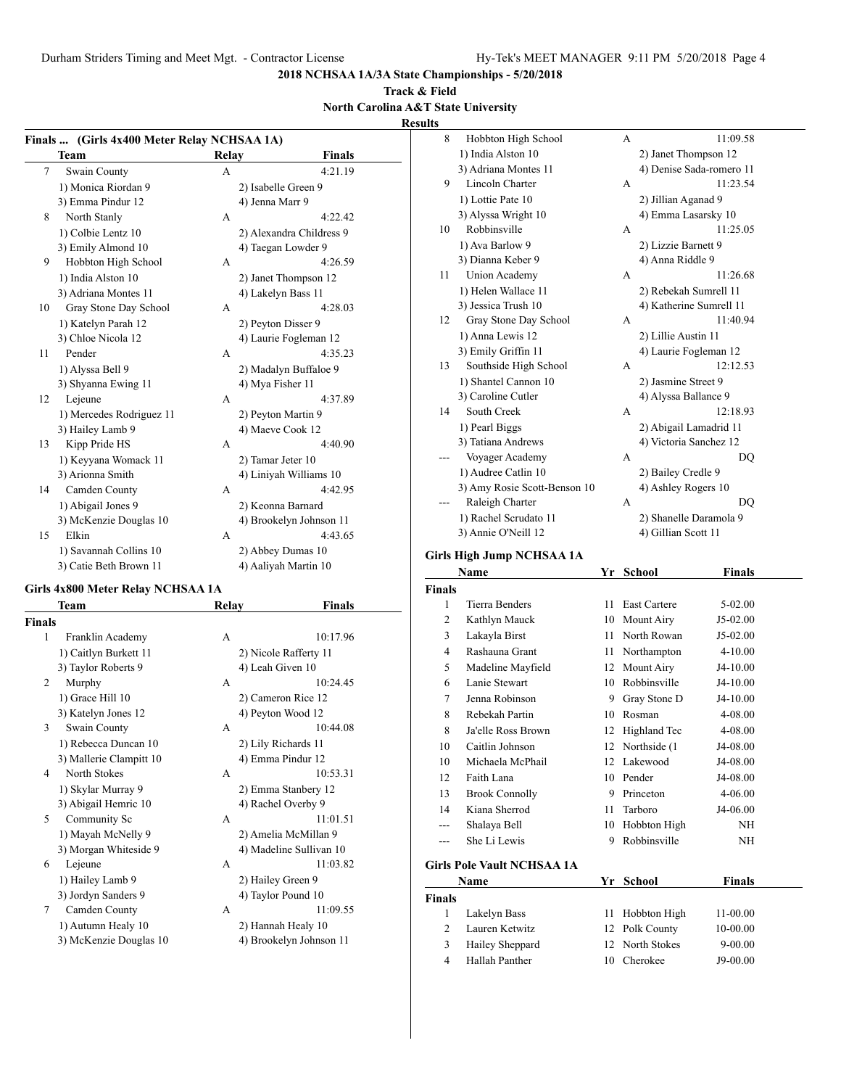#### **Track & Field North Carolina A&T State University**

**Results**

|               |                                                     |       |                          | ncəui |
|---------------|-----------------------------------------------------|-------|--------------------------|-------|
|               | Finals  (Girls 4x400 Meter Relay NCHSAA 1A)<br>Team | Relay | <b>Finals</b>            |       |
| 7             | Swain County                                        | А     | 4:21.19                  |       |
|               | 1) Monica Riordan 9                                 |       | 2) Isabelle Green 9      |       |
|               | 3) Emma Pindur 12                                   |       | 4) Jenna Marr 9          |       |
| 8             | North Stanly                                        | А     | 4:22.42                  |       |
|               |                                                     |       |                          |       |
|               | 1) Colbie Lentz 10                                  |       | 2) Alexandra Childress 9 |       |
|               | 3) Emily Almond 10                                  |       | 4) Taegan Lowder 9       |       |
| 9             | Hobbton High School                                 | А     | 4:26.59                  |       |
|               | 1) India Alston 10                                  |       | 2) Janet Thompson 12     |       |
|               | 3) Adriana Montes 11                                |       | 4) Lakelyn Bass 11       |       |
| 10            | Gray Stone Day School                               | А     | 4:28.03                  |       |
|               | 1) Katelyn Parah 12                                 |       | 2) Peyton Disser 9       |       |
|               | 3) Chloe Nicola 12                                  |       | 4) Laurie Fogleman 12    |       |
| 11            | Pender                                              | А     | 4:35.23                  |       |
|               | 1) Alyssa Bell 9                                    |       | 2) Madalyn Buffaloe 9    |       |
|               | 3) Shyanna Ewing 11                                 |       | 4) Mya Fisher 11         |       |
| 12            | Lejeune                                             | А     | 4:37.89                  |       |
|               | 1) Mercedes Rodriguez 11                            |       | 2) Peyton Martin 9       |       |
|               | 3) Hailey Lamb 9                                    |       | 4) Maeve Cook 12         |       |
| 13            | Kipp Pride HS                                       | A     | 4:40.90                  |       |
|               | 1) Keyyana Womack 11                                |       | 2) Tamar Jeter 10        |       |
|               | 3) Arionna Smith                                    |       | 4) Liniyah Williams 10   |       |
| 14            | Camden County                                       | A     | 4:42.95                  |       |
|               | 1) Abigail Jones 9                                  |       | 2) Keonna Barnard        |       |
|               | 3) McKenzie Douglas 10                              |       | 4) Brookelyn Johnson 11  |       |
| 15            | Elkin                                               | А     | 4:43.65                  |       |
|               | 1) Savannah Collins 10                              |       | 2) Abbey Dumas 10        |       |
|               | 3) Catie Beth Brown 11                              |       | 4) Aaliyah Martin 10     |       |
|               | Girls 4x800 Meter Relay NCHSAA 1A                   |       |                          |       |
|               | Team                                                | Relay | <b>Finals</b>            |       |
| <b>Finals</b> |                                                     |       |                          |       |
| 1             | Franklin Academy                                    | А     | 10:17.96                 |       |
|               | 1) Caitlyn Burkett 11                               |       | 2) Nicole Rafferty 11    |       |
|               | 3) Taylor Roberts 9                                 |       | 4) Leah Given 10         |       |
| 2             | Murphy                                              | А     | 10:24.45                 |       |
|               | 1) Grace Hill 10                                    |       | 2) Cameron Rice 12       |       |
|               | 3) Katelyn Jones 12                                 |       | 4) Peyton Wood 12        |       |
| 3             | Swain County                                        | А     | 10:44.08                 |       |
|               | 1) Rebecca Duncan 10                                |       | 2) Lily Richards 11      |       |
|               | 3) Mallerie Clampitt 10                             |       | 4) Emma Pindur 12        |       |
| 4             | North Stokes                                        | А     | 10:53.31                 |       |
|               | 1) Skylar Murray 9                                  |       | 2) Emma Stanbery 12      |       |
|               | 3) Abigail Hemric 10                                |       | 4) Rachel Overby 9       |       |
| 5             | Community Sc                                        | А     | 11:01.51                 |       |
|               | 1) Mayah McNelly 9                                  |       | 2) Amelia McMillan 9     |       |
|               | 3) Morgan Whiteside 9                               |       | 4) Madeline Sullivan 10  |       |

6 Lejeune A 11:03.82 1) Hailey Lamb 9 2) Hailey Green 9 3) Jordyn Sanders 9 4) Taylor Pound 10

7 Camden County A 11:09.55 1) Autumn Healy 10 2) Hannah Healy 10 3) McKenzie Douglas 10 4) Brookelyn Johnson 11

| 8  | Hobbton High School          | A | 11:09.58                 |
|----|------------------------------|---|--------------------------|
|    | 1) India Alston 10           |   | 2) Janet Thompson 12     |
|    | 3) Adriana Montes 11         |   | 4) Denise Sada-romero 11 |
| 9  | Lincoln Charter              | A | 11:23.54                 |
|    | 1) Lottie Pate 10            |   | 2) Jillian Aganad 9      |
|    | 3) Alyssa Wright 10          |   | 4) Emma Lasarsky 10      |
| 10 | Robbinsville                 | A | 11:25.05                 |
|    | 1) Ava Barlow 9              |   | 2) Lizzie Barnett 9      |
|    | 3) Dianna Keber 9            |   | 4) Anna Riddle 9         |
| 11 | <b>Union Academy</b>         | A | 11:26.68                 |
|    | 1) Helen Wallace 11          |   | 2) Rebekah Sumrell 11    |
|    | 3) Jessica Trush 10          |   | 4) Katherine Sumrell 11  |
| 12 | Gray Stone Day School        | A | 11:40.94                 |
|    | 1) Anna Lewis 12             |   | 2) Lillie Austin 11      |
|    | 3) Emily Griffin 11          |   | 4) Laurie Fogleman 12    |
| 13 | Southside High School        | A | 12:12.53                 |
|    | 1) Shantel Cannon 10         |   | 2) Jasmine Street 9      |
|    | 3) Caroline Cutler           |   | 4) Alyssa Ballance 9     |
| 14 | South Creek                  | A | 12:18.93                 |
|    | 1) Pearl Biggs               |   | 2) Abigail Lamadrid 11   |
|    | 3) Tatiana Andrews           |   | 4) Victoria Sanchez 12   |
|    | Voyager Academy              | A | DO                       |
|    | 1) Audree Catlin 10          |   | 2) Bailey Credle 9       |
|    | 3) Amy Rosie Scott-Benson 10 |   | 4) Ashley Rogers 10      |
|    | Raleigh Charter              | A | DO                       |
|    | 1) Rachel Scrudato 11        |   | 2) Shanelle Daramola 9   |
|    | 3) Annie O'Neill 12          |   | 4) Gillian Scott 11      |

#### **Girls High Jump NCHSAA 1A**

|        | Name                              | Yr | <b>School</b> | Finals     |  |
|--------|-----------------------------------|----|---------------|------------|--|
| Finals |                                   |    |               |            |  |
| 1      | Tierra Benders                    | 11 | East Cartere  | 5-02.00    |  |
| 2      | Kathlyn Mauck                     | 10 | Mount Airy    | $J5-02.00$ |  |
| 3      | Lakayla Birst                     | 11 | North Rowan   | J5-02.00   |  |
| 4      | Rashauna Grant                    | 11 | Northampton   | 4-10.00    |  |
| 5      | Madeline Mayfield                 | 12 | Mount Airy    | $J4-10.00$ |  |
| 6      | Lanie Stewart                     | 10 | Robbinsville  | J4-10.00   |  |
| 7      | Jenna Robinson                    | 9  | Gray Stone D  | J4-10.00   |  |
| 8      | Rebekah Partin                    | 10 | Rosman        | 4-08.00    |  |
| 8      | Ja'elle Ross Brown                | 12 | Highland Tec  | 4-08.00    |  |
| 10     | Caitlin Johnson                   | 12 | Northside (1) | J4-08.00   |  |
| 10     | Michaela McPhail                  | 12 | Lakewood      | J4-08.00   |  |
| 12     | Faith Lana                        | 10 | Pender        | J4-08.00   |  |
| 13     | <b>Brook Connolly</b>             | 9  | Princeton     | 4-06.00    |  |
| 14     | Kiana Sherrod                     | 11 | Tarboro       | J4-06.00   |  |
| ---    | Shalaya Bell                      | 10 | Hobbton High  | NH         |  |
|        | She Li Lewis                      | 9  | Robbinsville  | NH         |  |
|        | <b>Girls Pole Vault NCHSAA 1A</b> |    |               |            |  |

**Name Yr School Finals Finals** Lakelyn Bass 11 Hobbton High 11-00.00 Lauren Ketwitz 12 Polk County 10-00.00 Hailey Sheppard 12 North Stokes 9-00.00 Hallah Panther 10 Cherokee J9-00.00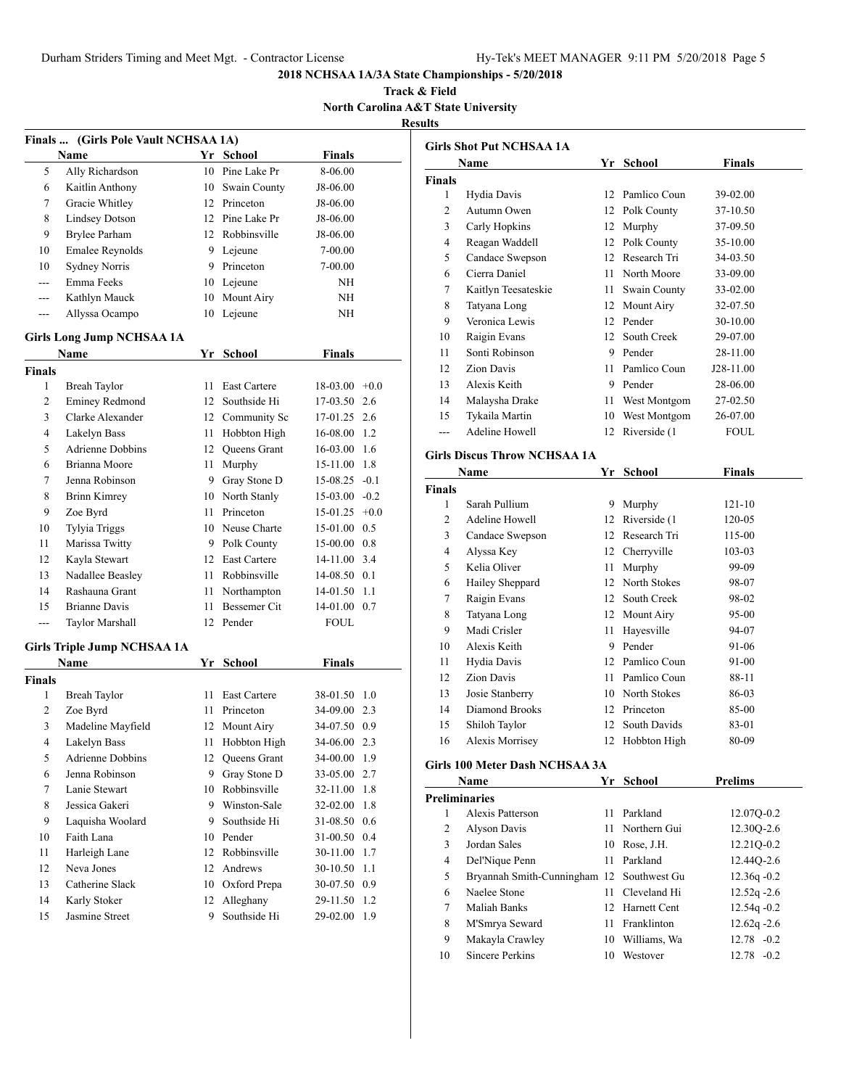**Track & Field North Carolina A&T State University Results**

|                | Finals  (Girls Pole Vault NCHSAA 1A)     |    |                                 |                              |        |
|----------------|------------------------------------------|----|---------------------------------|------------------------------|--------|
|                | Name                                     |    | Yr School                       | <b>Finals</b>                |        |
| 5              | Ally Richardson                          | 10 | Pine Lake Pr                    | 8-06.00                      |        |
| 6              | Kaitlin Anthony                          | 10 | Swain County                    | J8-06.00                     |        |
| 7              | Gracie Whitley                           |    | 12 Princeton                    | J8-06.00                     |        |
| 8              | <b>Lindsey Dotson</b>                    |    | 12 Pine Lake Pr                 | J8-06.00                     |        |
| 9              | <b>Brylee Parham</b>                     |    | 12 Robbinsville                 | J8-06.00                     |        |
| 10             | Emalee Reynolds                          |    | 9 Lejeune                       | 7-00.00                      |        |
| 10             | <b>Sydney Norris</b>                     | 9. | Princeton                       | 7-00.00                      |        |
| $\overline{a}$ | Emma Feeks                               |    | 10 Leieune                      | ΝH                           |        |
| $---$          | Kathlyn Mauck                            | 10 | Mount Airy                      | ΝH                           |        |
| ---            | Allyssa Ocampo                           | 10 | Lejeune                         | ΝH                           |        |
|                |                                          |    |                                 |                              |        |
|                | <b>Girls Long Jump NCHSAA 1A</b><br>Name |    | Yr School                       | <b>Finals</b>                |        |
| <b>Finals</b>  |                                          |    |                                 |                              |        |
| $\mathbf{1}$   | <b>Breah Taylor</b>                      | 11 | East Cartere                    | $18-03.00 +0.0$              |        |
| 2              | <b>Eminey Redmond</b>                    | 12 | Southside Hi                    | 17-03.50                     | 2.6    |
| 3              | Clarke Alexander                         |    | 12 Community Sc                 | 17-01.25                     | 2.6    |
| 4              | Lakelyn Bass                             | 11 | Hobbton High                    | 16-08.00                     | 1.2    |
| 5              | <b>Adrienne Dobbins</b>                  |    | 12 Queens Grant                 | 16-03.00                     | 1.6    |
| 6              | Brianna Moore                            | 11 | Murphy                          | 15-11.00                     | 1.8    |
| 7              | Jenna Robinson                           | 9  | Gray Stone D                    | 15-08.25                     | $-0.1$ |
| 8              | <b>Brinn Kimrey</b>                      |    | 10 North Stanly                 | $15-03.00 -0.2$              |        |
| 9              | Zoe Byrd                                 | 11 | Princeton                       | $15-01.25$ +0.0              |        |
| 10             | Tylyia Triggs                            |    | 10 Neuse Charte                 | 15-01.00 0.5                 |        |
| 11             | Marissa Twitty                           |    | 9 Polk County                   | 15-00.00 0.8                 |        |
| 12             | Kayla Stewart                            |    | 12 East Cartere                 | 14-11.00 3.4                 |        |
| 13             | Nadallee Beasley                         | 11 | Robbinsville                    | 14-08.50 0.1                 |        |
| 14             | Rashauna Grant                           | 11 | Northampton                     | 14-01.50 1.1                 |        |
| 15             | <b>Brianne Davis</b>                     | 11 | Bessemer Cit                    | 14-01.00 0.7                 |        |
| ---            | Taylor Marshall                          | 12 | Pender                          | FOUL                         |        |
|                |                                          |    |                                 |                              |        |
|                | <b>Girls Triple Jump NCHSAA 1A</b>       |    |                                 |                              |        |
|                | <b>Name</b>                              |    | Yr School                       | <b>Finals</b>                |        |
| Finals<br>1    | <b>Breah Taylor</b>                      |    | 11 East Cartere                 |                              |        |
| 2              | Zoe Byrd                                 |    | 11 Princeton                    | 38-01.50 1.0<br>34-09.00 2.3 |        |
| 3              |                                          |    | 12 Mount Airy                   | 34-07.50 0.9                 |        |
| 4              | Madeline Mayfield<br>Lakelyn Bass        |    |                                 |                              |        |
|                | <b>Adrienne Dobbins</b>                  |    | 11 Hobbton High                 | 34-06.00 2.3<br>34-00.00 1.9 |        |
| 5<br>6         | Jenna Robinson                           | 9  | 12 Queens Grant<br>Gray Stone D | 33-05.00                     | 2.7    |
| 7              | Lanie Stewart                            | 10 | Robbinsville                    | 32-11.00                     | 1.8    |
| 8              | Jessica Gakeri                           | 9  | Winston-Sale                    | 32-02.00                     | 1.8    |
| 9              | Laquisha Woolard                         | 9. | Southside Hi                    | 31-08.50                     | 0.6    |
| 10             | Faith Lana                               | 10 | Pender                          | 31-00.50                     | 0.4    |
| 11             | Harleigh Lane                            | 12 | Robbinsville                    | 30-11.00                     | 1.7    |
| 12             | Neva Jones                               | 12 | Andrews                         | 30-10.50                     | 1.1    |
| 13             | Catherine Slack                          | 10 | Oxford Prepa                    | 30-07.50                     | 0.9    |
| 14             | Karly Stoker                             | 12 | Alleghany                       | 29-11.50                     | 1.2    |
| 15             | Jasmine Street                           | 9  | Southside Hi                    | 29-02.00                     | 1.9    |
|                |                                          |    |                                 |                              |        |

|               | Name                | Yr | School        | <b>Finals</b> |
|---------------|---------------------|----|---------------|---------------|
| <b>Finals</b> |                     |    |               |               |
| 1             | Hydia Davis         | 12 | Pamlico Coun  | 39-02.00      |
| 2             | Autumn Owen         | 12 | Polk County   | 37-10.50      |
| 3             | Carly Hopkins       | 12 | Murphy        | 37-09.50      |
| 4             | Reagan Waddell      | 12 | Polk County   | 35-10.00      |
| 5             | Candace Swepson     | 12 | Research Tri  | 34-03.50      |
| 6             | Cierra Daniel       | 11 | North Moore   | 33-09.00      |
| 7             | Kaitlyn Teesateskie | 11 | Swain County  | 33-02.00      |
| 8             | Tatyana Long        | 12 | Mount Airy    | 32-07.50      |
| 9             | Veronica Lewis      | 12 | Pender        | 30-10.00      |
| 10            | Raigin Evans        | 12 | South Creek   | 29-07.00      |
| 11            | Sonti Robinson      | 9  | Pender        | 28-11.00      |
| 12            | Zion Davis          | 11 | Pamlico Coun  | J28-11.00     |
| 13            | Alexis Keith        | 9  | Pender        | 28-06.00      |
| 14            | Malaysha Drake      | 11 | West Montgom  | 27-02.50      |
| 15            | Tykaila Martin      | 10 | West Montgom  | 26-07.00      |
|               | Adeline Howell      | 12 | Riverside (1) | FOUL.         |

# **Girls Discus Throw NCHSAA 1A**

|               | Name            | Yr | <b>School</b> | Finals     |  |
|---------------|-----------------|----|---------------|------------|--|
| <b>Finals</b> |                 |    |               |            |  |
| 1             | Sarah Pullium   | 9  | Murphy        | $121 - 10$ |  |
| 2             | Adeline Howell  | 12 | Riverside (1) | 120-05     |  |
| 3             | Candace Swepson | 12 | Research Tri  | 115-00     |  |
| 4             | Alyssa Key      | 12 | Cherryville   | 103-03     |  |
| 5             | Kelia Oliver    | 11 | Murphy        | 99-09      |  |
| 6             | Hailey Sheppard | 12 | North Stokes  | 98-07      |  |
| 7             | Raigin Evans    | 12 | South Creek   | 98-02      |  |
| 8             | Tatyana Long    | 12 | Mount Airy    | 95-00      |  |
| 9             | Madi Crisler    | 11 | Hayesville    | 94-07      |  |
| 10            | Alexis Keith    | 9  | Pender        | 91-06      |  |
| 11            | Hydia Davis     | 12 | Pamlico Coun  | 91-00      |  |
| 12            | Zion Davis      | 11 | Pamlico Coun  | 88-11      |  |
| 13            | Josie Stanberry | 10 | North Stokes  | 86-03      |  |
| 14            | Diamond Brooks  | 12 | Princeton     | 85-00      |  |
| 15            | Shiloh Taylor   | 12 | South Davids  | 83-01      |  |
| 16            | Alexis Morrisey | 12 | Hobbton High  | 80-09      |  |
|               |                 |    |               |            |  |

# **Girls 100 Meter Dash NCHSAA 3A**

|    | Name                                      | Yr | School          | <b>Prelims</b> |  |  |  |  |  |
|----|-------------------------------------------|----|-----------------|----------------|--|--|--|--|--|
|    | <b>Preliminaries</b>                      |    |                 |                |  |  |  |  |  |
| 1  | Alexis Patterson                          | 11 | Parkland        | 12.07Q-0.2     |  |  |  |  |  |
| 2  | <b>Alyson Davis</b>                       |    | 11 Northern Gui | 12.30Q-2.6     |  |  |  |  |  |
| 3  | Jordan Sales                              |    | 10 Rose, J.H.   | 12.21Q-0.2     |  |  |  |  |  |
| 4  | Del'Nique Penn                            | 11 | Parkland        | 12.44Q-2.6     |  |  |  |  |  |
| 5  | Bryannah Smith-Cunningham 12 Southwest Gu |    |                 | $12.36q - 0.2$ |  |  |  |  |  |
| 6  | Naelee Stone                              |    | Cleveland Hi    | $12.52q - 2.6$ |  |  |  |  |  |
| 7  | Maliah Banks                              |    | 12 Harnett Cent | $12.54q - 0.2$ |  |  |  |  |  |
| 8  | M'Smrya Seward                            | 11 | Franklinton     | $12.62q - 2.6$ |  |  |  |  |  |
| 9  | Makayla Crawley                           | 10 | Williams, Wa    | $12.78 - 0.2$  |  |  |  |  |  |
| 10 | Sincere Perkins                           | 10 | Westover        | $12.78 - 0.2$  |  |  |  |  |  |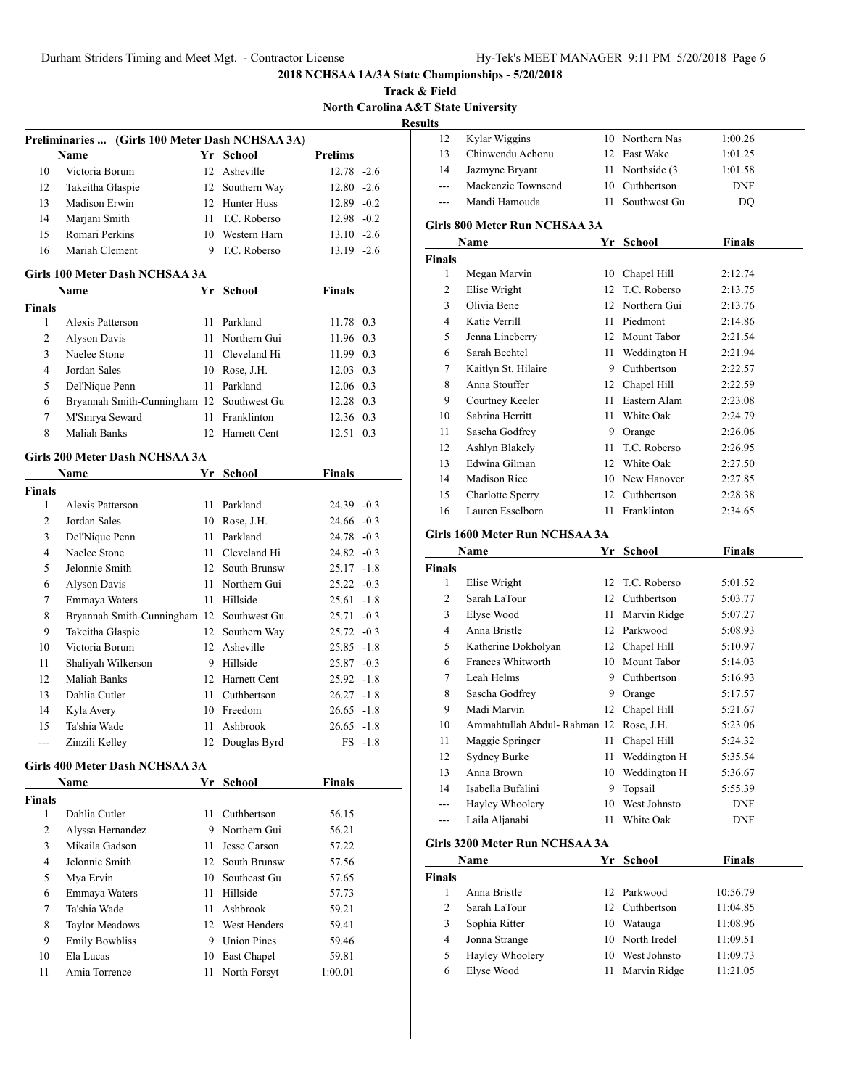**Track & Field North Carolina A&T State University** <u>sul</u>

|                | Preliminaries  (Girls 100 Meter Dash NCHSAA 3A)<br><b>Name</b> |    | Yr School       | <b>Prelims</b> |           |
|----------------|----------------------------------------------------------------|----|-----------------|----------------|-----------|
| 10             | Victoria Borum                                                 |    | 12 Asheville    | $12.78 - 2.6$  |           |
| 12             | Takeitha Glaspie                                               | 12 | Southern Way    | $12.80 - 2.6$  |           |
| 13             | Madison Erwin                                                  |    | 12 Hunter Huss  | $12.89 - 0.2$  |           |
| 14             | Marjani Smith                                                  |    | 11 T.C. Roberso | $12.98 - 0.2$  |           |
| 15             | Romari Perkins                                                 |    | 10 Western Harn | $13.10 -2.6$   |           |
| 16             | Mariah Clement                                                 |    | 9 T.C. Roberso  | $13.19 - 2.6$  |           |
|                | Girls 100 Meter Dash NCHSAA 3A                                 |    |                 |                |           |
|                | Name                                                           | Yr | School          | Finals         |           |
| <b>Finals</b>  |                                                                |    |                 |                |           |
| 1              | Alexis Patterson                                               |    | 11 Parkland     | 11.78 0.3      |           |
| $\overline{c}$ | Alyson Davis                                                   |    | 11 Northern Gui | 11.96 0.3      |           |
| 3              | Naelee Stone                                                   |    | 11 Cleveland Hi | 11.99 0.3      |           |
| $\overline{4}$ | Jordan Sales                                                   |    | 10 Rose, J.H.   | $12.03$ 0.3    |           |
| 5              | Del'Nique Penn                                                 |    | 11 Parkland     | 12.06 0.3      |           |
| 6              | Bryannah Smith-Cunningham 12 Southwest Gu                      |    |                 | 12.28 0.3      |           |
| 7              | M'Smrya Seward                                                 |    | 11 Franklinton  | 12.36 0.3      |           |
| 8              | Maliah Banks                                                   |    | 12 Harnett Cent | 12.51 0.3      |           |
|                | <b>Girls 200 Meter Dash NCHSAA 3A</b>                          |    |                 |                |           |
|                | Name                                                           |    | Yr School       | Finals         |           |
| Finals         |                                                                |    |                 |                |           |
| 1              | Alexis Patterson                                               |    | 11 Parkland     | $24.39 - 0.3$  |           |
| 2              | Jordan Sales                                                   |    | 10 Rose, J.H.   | $24.66 - 0.3$  |           |
| 3              | Del'Nique Penn                                                 |    | 11 Parkland     | $24.78 - 0.3$  |           |
| $\overline{4}$ | Naelee Stone                                                   |    | 11 Cleveland Hi | $24.82 - 0.3$  |           |
| 5              | Jelonnie Smith                                                 |    | 12 South Brunsw | $25.17 - 1.8$  |           |
| 6              | Alyson Davis                                                   |    | 11 Northern Gui | $25.22 -0.3$   |           |
| 7              | Emmaya Waters                                                  |    | 11 Hillside     | $25.61 - 1.8$  |           |
| 8              | Bryannah Smith-Cunningham 12 Southwest Gu                      |    |                 | $25.71 - 0.3$  |           |
| 9              | Takeitha Glaspie                                               | 12 | Southern Way    | $25.72 -0.3$   |           |
| 10             | Victoria Borum                                                 |    | 12 Asheville    | $25.85 -1.8$   |           |
| 11             | Shaliyah Wilkerson                                             |    | 9 Hillside      | $25.87 -0.3$   |           |
| 12             | Maliah Banks                                                   |    | 12 Harnett Cent | $25.92 -1.8$   |           |
| 13             | Dahlia Cutler                                                  |    | 11 Cuthbertson  | $26.27 -1.8$   |           |
| 14             | Kyla Avery                                                     |    | 10 Freedom      | $26.65 -1.8$   |           |
| 15             | Ta'shia Wade                                                   |    | 11 Ashbrook     | 26.65 -1.8     |           |
|                | Zinzili Kelley                                                 |    | 12 Douglas Byrd |                | $FS -1.8$ |
|                | Girls 400 Meter Dash NCHSAA 3A                                 |    |                 |                |           |
|                | Name                                                           |    | Yr School       | <b>Finals</b>  |           |
| Finals         |                                                                |    |                 |                |           |
| 1              | Dahlia Cutler                                                  | 11 | Cuthbertson     | 56.15          |           |
| 2              | Alyssa Hernandez                                               |    | 9 Northern Gui  | 56.21          |           |
| 3              | Mikaila Gadson                                                 | 11 | Jesse Carson    | 57.22          |           |
| 4              | Jelonnie Smith                                                 | 12 | South Brunsw    | 57.56          |           |
| 5              | Mya Ervin                                                      | 10 | Southeast Gu    | 57.65          |           |
|                | Emmaya Waters                                                  | 11 | Hillside        | 57.73          |           |
| 6              | Ta'shia Wade                                                   | 11 | Ashbrook        | 59.21          |           |
| 7              |                                                                |    | 12 West Henders | 59.41          |           |
| 8              | <b>Taylor Meadows</b>                                          |    | 9 Union Pines   | 59.46          |           |
| 9              | <b>Emily Bowbliss</b>                                          |    |                 |                |           |
| 10             | Ela Lucas                                                      |    | 10 East Chapel  | 59.81          |           |

| ults          |                                |      |                  |               |  |  |  |  |  |
|---------------|--------------------------------|------|------------------|---------------|--|--|--|--|--|
| 12            | Kylar Wiggins                  |      | 10 Northern Nas  | 1:00.26       |  |  |  |  |  |
| 13            | Chinwendu Achonu               |      | 12 East Wake     | 1:01.25       |  |  |  |  |  |
| 14            | Jazmyne Bryant                 |      | 11 Northside (3) | 1:01.58       |  |  |  |  |  |
| $---$         | Mackenzie Townsend             |      | 10 Cuthbertson   | DNF           |  |  |  |  |  |
| $---$         | Mandi Hamouda                  | 11.  | Southwest Gu     | DO            |  |  |  |  |  |
|               | Girls 800 Meter Run NCHSAA 3A  |      |                  |               |  |  |  |  |  |
|               | Name                           | Yr   | School           | Finals        |  |  |  |  |  |
| <b>Finals</b> |                                |      |                  |               |  |  |  |  |  |
| 1             | Megan Marvin                   |      | 10 Chapel Hill   | 2:12.74       |  |  |  |  |  |
| 2             | Elise Wright                   |      | 12 T.C. Roberso  | 2:13.75       |  |  |  |  |  |
| 3             | Olivia Bene                    |      | 12 Northern Gui  | 2:13.76       |  |  |  |  |  |
| 4             | Katie Verrill                  |      | 11 Piedmont      | 2:14.86       |  |  |  |  |  |
| 5             | Jenna Lineberry                |      | 12 Mount Tabor   | 2:21.54       |  |  |  |  |  |
| 6             | Sarah Bechtel                  |      | 11 Weddington H  | 2:21.94       |  |  |  |  |  |
| 7             | Kaitlyn St. Hilaire            |      | 9 Cuthbertson    | 2:22.57       |  |  |  |  |  |
| 8             | Anna Stouffer                  |      | 12 Chapel Hill   | 2:22.59       |  |  |  |  |  |
| 9             | Courtney Keeler                |      | 11 Eastern Alam  | 2:23.08       |  |  |  |  |  |
| 10            | Sabrina Herritt                |      | 11 White Oak     | 2:24.79       |  |  |  |  |  |
| 11            | Sascha Godfrey                 |      | 9 Orange         | 2:26.06       |  |  |  |  |  |
| 12            | Ashlyn Blakely                 |      | 11 T.C. Roberso  | 2:26.95       |  |  |  |  |  |
| 13            | Edwina Gilman                  |      | 12 White Oak     | 2:27.50       |  |  |  |  |  |
| 14            | <b>Madison Rice</b>            |      | 10 New Hanover   | 2:27.85       |  |  |  |  |  |
| 15            | Charlotte Sperry               |      | 12 Cuthbertson   | 2:28.38       |  |  |  |  |  |
| 16            | Lauren Esselborn               |      | 11 Franklinton   | 2:34.65       |  |  |  |  |  |
|               | Girls 1600 Meter Run NCHSAA 3A |      |                  |               |  |  |  |  |  |
|               | Name                           |      | Yr School        | <b>Finals</b> |  |  |  |  |  |
| <b>Finals</b> |                                |      |                  |               |  |  |  |  |  |
| 1             | Elise Wright                   | 12   | T.C. Roberso     | 5:01.52       |  |  |  |  |  |
| 2             | Sarah LaTour                   |      | 12 Cuthbertson   | 5:03.77       |  |  |  |  |  |
| 3             | Elyse Wood                     | 11 - | Marvin Ridge     | 5:07.27       |  |  |  |  |  |
| 4             | Anna Bristle                   |      | 12 Parkwood      | 5:08.93       |  |  |  |  |  |
| 5             | Katherine Dokholyan            |      | 12 Chapel Hill   | 5:10.97       |  |  |  |  |  |
| 6             | Frances Whitworth              |      | 10 Mount Tabor   | 5:14.03       |  |  |  |  |  |
| 7             | Leah Helms                     |      | 9 Cuthbertson    | 5:16.93       |  |  |  |  |  |
| 8             | Sascha Godfrey                 |      | 9 Orange         | 5:17.57       |  |  |  |  |  |
| 9             | Madi Marvin                    | 12   | Chapel Hill      | 5:21.67       |  |  |  |  |  |
| 10            | Ammahtullah Abdul- Rahman 12   |      | Rose, J.H.       | 5:23.06       |  |  |  |  |  |
| 11            | Maggie Springer                | 11   | Chapel Hill      | 5:24.32       |  |  |  |  |  |
| 12            | Sydney Burke                   | 11   | Weddington H     | 5:35.54       |  |  |  |  |  |
| 13            | Anna Brown                     | 10   | Weddington H     | 5:36.67       |  |  |  |  |  |
| 14            | Isabella Bufalini              | 9    | Topsail          | 5:55.39       |  |  |  |  |  |
| ---           | Hayley Whoolery                | 10   | West Johnsto     | DNF           |  |  |  |  |  |
| ---           | Laila Aljanabi                 | 11   | White Oak        | DNF           |  |  |  |  |  |
|               | Girls 3200 Meter Run NCHSAA 3A |      |                  |               |  |  |  |  |  |
|               | Name                           | Yr   | <b>School</b>    | <b>Finals</b> |  |  |  |  |  |
| <b>Finals</b> |                                |      |                  |               |  |  |  |  |  |
| $\mathbf{1}$  | Anna Bristle                   | 12   | Parkwood         | 10:56.79      |  |  |  |  |  |
| 2             | Sarah LaTour                   |      | 12 Cuthbertson   | 11:04.85      |  |  |  |  |  |
| 3             | Sophia Ritter                  |      | 10 Watauga       | 11:08.96      |  |  |  |  |  |
| 4             | Jonna Strange                  |      | 10 North Iredel  | 11:09.51      |  |  |  |  |  |
| 5             | Hayley Whoolery                |      | 10 West Johnsto  | 11:09.73      |  |  |  |  |  |
| 6             | Elyse Wood                     | 11   | Marvin Ridge     | 11:21.05      |  |  |  |  |  |
|               |                                |      |                  |               |  |  |  |  |  |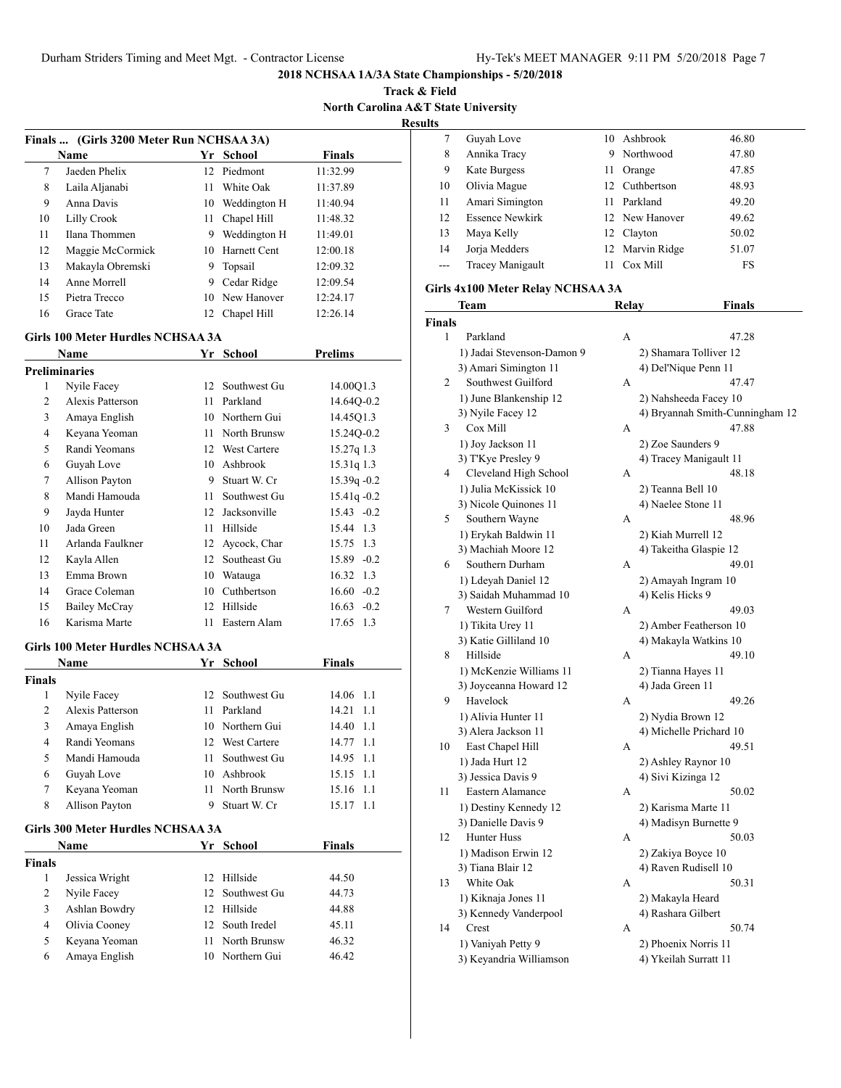**Track & Field North Carolina A&T State University**

**Results**

|    | Name              | Yr  | School       | <b>Finals</b> |
|----|-------------------|-----|--------------|---------------|
| 7  | Jaeden Phelix     |     | 12 Piedmont  | 11:32.99      |
| 8  | Laila Aljanabi    | 11  | White Oak    | 11:37.89      |
| 9  | Anna Davis        | 10  | Weddington H | 11:40.94      |
| 10 | Lilly Crook       | 11  | Chapel Hill  | 11:48.32      |
| 11 | Ilana Thommen     | 9   | Weddington H | 11:49.01      |
| 12 | Maggie McCormick  | 10  | Harnett Cent | 12:00.18      |
| 13 | Makayla Obremski  | 9   | Topsail      | 12:09.32      |
| 14 | Anne Morrell      | 9   | Cedar Ridge  | 12:09.54      |
| 15 | Pietra Trecco     | 10. | New Hanover  | 12:24.17      |
| 16 | <b>Grace Tate</b> | 12  | Chapel Hill  | 12:26.14      |

|                | Name                              |              | Yr School           | <b>Prelims</b>    |
|----------------|-----------------------------------|--------------|---------------------|-------------------|
|                | <b>Preliminaries</b>              |              |                     |                   |
| 1              | Nyile Facey                       | 12           | Southwest Gu        | 14.00Q1.3         |
| $\overline{2}$ | Alexis Patterson                  | 11           | Parkland            | 14.64Q-0.2        |
| 3              | Amaya English                     |              | 10 Northern Gui     | 14.45Q1.3         |
| $\overline{4}$ | Keyana Yeoman                     | 11           | North Brunsw        | 15.24Q-0.2        |
| 5              | Randi Yeomans                     | $12^{\circ}$ | <b>West Cartere</b> | $15.27q$ 1.3      |
| 6              | Guyah Love                        |              | 10 Ashbrook         | 15.31q 1.3        |
| 7              | Allison Payton                    |              | 9 Stuart W. Cr      | 15.39q -0.2       |
| 8              | Mandi Hamouda                     | 11           | Southwest Gu        | $15.41q - 0.2$    |
| 9              | Jayda Hunter                      |              | 12 Jacksonville     | $15.43 - 0.2$     |
| 10             | Jada Green                        | 11           | Hillside            | 15.44 1.3         |
| 11             | Arlanda Faulkner                  | 12           | Aycock, Char        | 15.75 1.3         |
| 12             | Kayla Allen                       | 12           | Southeast Gu        | 15.89 -0.2        |
| 13             | Emma Brown                        | 10           | Watauga             | 16.32 1.3         |
| 14             | Grace Coleman                     |              | 10 Cuthbertson      | $16.60 - 0.2$     |
| 15             | <b>Bailey McCray</b>              | 12           | Hillside            | $16.63 - 0.2$     |
| 16             | Karisma Marte                     | 11           | Eastern Alam        | $17.65$ 1.3       |
|                | Girls 100 Meter Hurdles NCHSAA 3A |              |                     |                   |
|                | <b>Name</b>                       |              | Yr School           | <b>Finals</b>     |
| <b>Finals</b>  |                                   |              |                     |                   |
| 1              | Nyile Facey                       | 12           | Southwest Gu        | 1.1<br>14.06      |
| $\overline{2}$ | Alexis Patterson                  | 11           | Parkland            | 14.21<br>1.1      |
| 3              | Amaya English                     |              | 10 Northern Gui     | 14.40<br>1.1      |
| $\overline{4}$ | Randi Yeomans                     | 12           | <b>West Cartere</b> | 14.77 1.1         |
| 5              | Mandi Hamouda                     | 11           | Southwest Gu        | 14.95 1.1         |
| 6              | Guyah Love                        |              | 10 Ashbrook         | $15.15 \quad 1.1$ |
| 7              | Keyana Yeoman                     | 11           | North Brunsw        | 15.16<br>1.1      |
| 8              | Allison Payton                    | 9            | Stuart W. Cr        | 15.17 1.1         |
|                | Girls 300 Meter Hurdles NCHSAA 3A |              |                     |                   |

|               | <b>Name</b>    |     | Yr School       | <b>Finals</b> |  |
|---------------|----------------|-----|-----------------|---------------|--|
| <b>Finals</b> |                |     |                 |               |  |
|               | Jessica Wright | 12. | Hillside        | 44.50         |  |
| 2             | Nyile Facey    |     | 12 Southwest Gu | 44.73         |  |
| 3             | Ashlan Bowdry  | 12. | Hillside        | 44.88         |  |
| 4             | Olivia Cooney  |     | 12 South Iredel | 45.11         |  |
| 5             | Keyana Yeoman  | 11  | North Brunsw    | 46.32         |  |
| 6             | Amaya English  |     | 10 Northern Gui | 46.42         |  |

| w     |                         |    |                 |       |
|-------|-------------------------|----|-----------------|-------|
|       | Guyah Love              | 10 | Ashbrook        | 46.80 |
| 8     | Annika Tracy            | 9  | Northwood       | 47.80 |
| 9     | Kate Burgess            | 11 | Orange          | 47.85 |
| 10    | Olivia Mague            |    | 12 Cuthbertson  | 48.93 |
| 11    | Amari Simington         | 11 | Parkland        | 49.20 |
| 12    | <b>Essence Newkirk</b>  |    | 12 New Hanover  | 49.62 |
| 13    | Maya Kelly              |    | 12 Clayton      | 50.02 |
| 14    | Jorja Medders           |    | 12 Marvin Ridge | 51.07 |
| $---$ | <b>Tracey Manigault</b> |    | Cox Mill        | FS    |
|       |                         |    |                 |       |

# **Girls 4x100 Meter Relay NCHSAA 3A**

|               | <b>Team</b>                | Relay | <b>Finals</b>                   |
|---------------|----------------------------|-------|---------------------------------|
| <b>Finals</b> |                            |       |                                 |
| 1             | Parkland                   | А     | 47.28                           |
|               | 1) Jadai Stevenson-Damon 9 |       | 2) Shamara Tolliver 12          |
|               | 3) Amari Simington 11      |       | 4) Del'Nique Penn 11            |
| 2             | Southwest Guilford         | А     | 47.47                           |
|               | 1) June Blankenship 12     |       | 2) Nahsheeda Facey 10           |
|               | 3) Nyile Facey 12          |       | 4) Bryannah Smith-Cunningham 12 |
| 3             | Cox Mill                   | A     | 47.88                           |
|               | 1) Joy Jackson 11          |       | 2) Zoe Saunders 9               |
|               | 3) T'Kye Presley 9         |       | 4) Tracey Manigault 11          |
| 4             | Cleveland High School      | А     | 48.18                           |
|               | 1) Julia McKissick 10      |       | 2) Teanna Bell 10               |
|               | 3) Nicole Quinones 11      |       | 4) Naelee Stone 11              |
| 5             | Southern Wayne             | А     | 48.96                           |
|               | 1) Erykah Baldwin 11       |       | 2) Kiah Murrell 12              |
|               | 3) Machiah Moore 12        |       | 4) Takeitha Glaspie 12          |
| 6             | Southern Durham            | A     | 49.01                           |
|               | 1) Ldeyah Daniel 12        |       | 2) Amayah Ingram 10             |
|               | 3) Saidah Muhammad 10      |       | 4) Kelis Hicks 9                |
| 7             | Western Guilford           | A     | 49.03                           |
|               | 1) Tikita Urey 11          |       | 2) Amber Featherson 10          |
|               | 3) Katie Gilliland 10      |       | 4) Makayla Watkins 10           |
| 8             | Hillside                   | А     | 49.10                           |
|               | 1) McKenzie Williams 11    |       | 2) Tianna Hayes 11              |
|               | 3) Joyceanna Howard 12     |       | 4) Jada Green 11                |
| 9             | Havelock                   | А     | 49.26                           |
|               | 1) Alivia Hunter 11        |       | 2) Nydia Brown 12               |
|               | 3) Alera Jackson 11        |       | 4) Michelle Prichard 10         |
| 10            | East Chapel Hill           | A     | 49.51                           |
|               | 1) Jada Hurt 12            |       | 2) Ashley Raynor 10             |
|               | 3) Jessica Davis 9         |       | 4) Sivi Kizinga 12              |
| 11            | Eastern Alamance           | А     | 50.02                           |
|               | 1) Destiny Kennedy 12      |       | 2) Karisma Marte 11             |
|               | 3) Danielle Davis 9        |       | 4) Madisyn Burnette 9           |
| 12            | Hunter Huss                | А     | 50.03                           |
|               | 1) Madison Erwin 12        |       | 2) Zakiya Boyce 10              |
|               | 3) Tiana Blair 12          |       | 4) Raven Rudisell 10            |
| 13            | White Oak                  | А     | 50.31                           |
|               | 1) Kiknaja Jones 11        |       | 2) Makayla Heard                |
|               | 3) Kennedy Vanderpool      |       | 4) Rashara Gilbert              |
| 14            | Crest                      | A     | 50.74                           |
|               | 1) Vaniyah Petty 9         |       | 2) Phoenix Norris 11            |
|               | 3) Keyandria Williamson    |       | 4) Ykeilah Surratt 11           |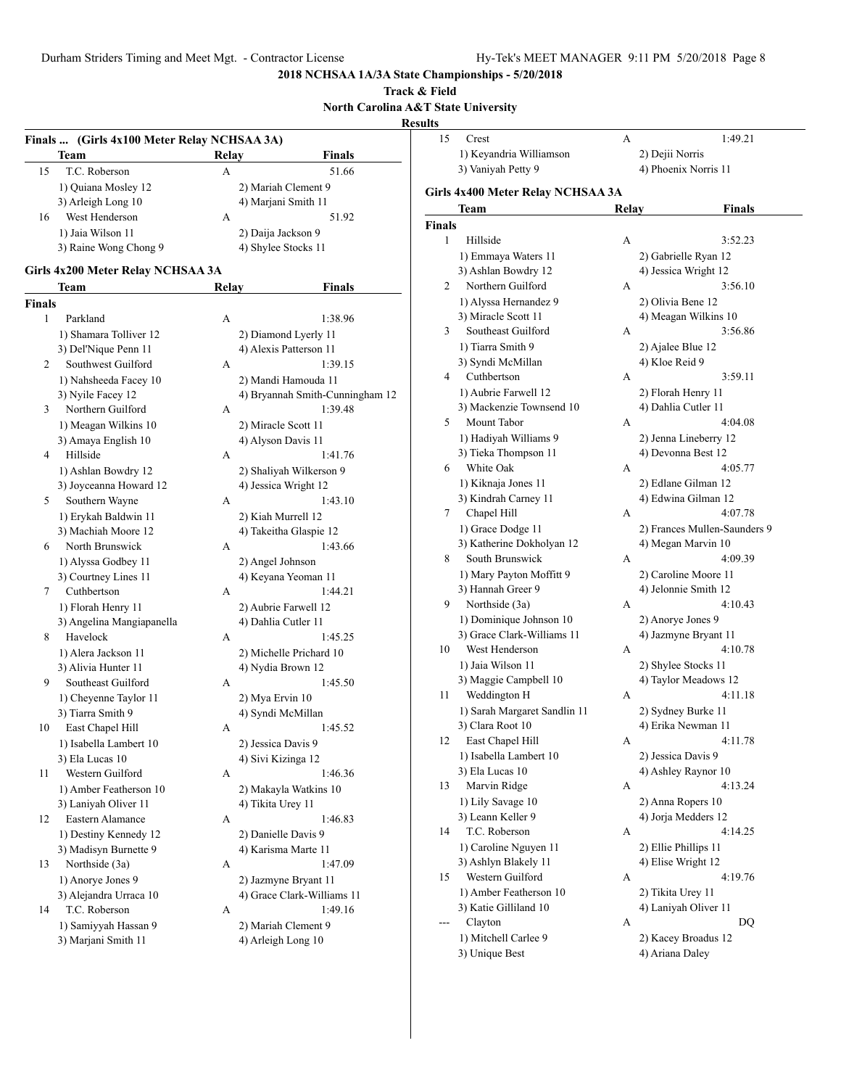# **Track & Field North Carolina A&T State University**

**Results**<br>15

|        | Finals  (Girls 4x100 Meter Relay NCHSAA 3A) |       |                                 |  |
|--------|---------------------------------------------|-------|---------------------------------|--|
|        | Team                                        | Relay | Finals                          |  |
| 15     | T.C. Roberson                               | A     | 51.66                           |  |
|        | 1) Quiana Mosley 12                         |       | 2) Mariah Clement 9             |  |
|        | 3) Arleigh Long 10                          |       | 4) Marjani Smith 11             |  |
| 16     | West Henderson                              | А     | 51.92                           |  |
|        | 1) Jaia Wilson 11                           |       | 2) Daija Jackson 9              |  |
|        | 3) Raine Wong Chong 9                       |       | 4) Shylee Stocks 11             |  |
|        | Girls 4x200 Meter Relay NCHSAA 3A           |       |                                 |  |
|        |                                             |       |                                 |  |
|        | Team                                        | Relay | Finals                          |  |
| Finals |                                             |       |                                 |  |
| 1      | Parkland                                    | А     | 1:38.96                         |  |
|        | 1) Shamara Tolliver 12                      |       | 2) Diamond Lyerly 11            |  |
|        | 3) Del'Nique Penn 11                        |       | 4) Alexis Patterson 11          |  |
| 2      | Southwest Guilford                          | A     | 1:39.15                         |  |
|        | 1) Nahsheeda Facey 10                       |       | 2) Mandi Hamouda 11             |  |
|        | 3) Nyile Facey 12                           |       | 4) Bryannah Smith-Cunningham 12 |  |
| 3      | Northern Guilford                           | А     | 1:39.48                         |  |
|        | 1) Meagan Wilkins 10                        |       | 2) Miracle Scott 11             |  |
|        | 3) Amaya English 10                         |       | 4) Alyson Davis 11              |  |
| 4      | Hillside                                    | A     | 1:41.76                         |  |
|        | 1) Ashlan Bowdry 12                         |       | 2) Shaliyah Wilkerson 9         |  |
|        | 3) Joyceanna Howard 12                      |       | 4) Jessica Wright 12            |  |
| 5      | Southern Wayne                              | A     | 1:43.10                         |  |
|        | 1) Erykah Baldwin 11                        |       | 2) Kiah Murrell 12              |  |
|        | 3) Machiah Moore 12                         |       | 4) Takeitha Glaspie 12          |  |
| 6      | North Brunswick                             | A     | 1:43.66                         |  |
|        | 1) Alyssa Godbey 11                         |       | 2) Angel Johnson                |  |
|        | 3) Courtney Lines 11                        |       | 4) Keyana Yeoman 11             |  |
| 7      | Cuthbertson                                 | A     | 1:44.21                         |  |
|        | 1) Florah Henry 11                          |       | 2) Aubrie Farwell 12            |  |
|        | 3) Angelina Mangiapanella                   |       | 4) Dahlia Cutler 11             |  |
| 8      | Havelock                                    | A     | 1:45.25                         |  |
|        | 1) Alera Jackson 11                         |       | 2) Michelle Prichard 10         |  |
|        | 3) Alivia Hunter 11                         |       | 4) Nydia Brown 12               |  |
| 9      | Southeast Guilford                          | А     | 1:45.50                         |  |
|        | 1) Cheyenne Taylor 11                       |       | 2) Mya Ervin 10                 |  |
|        | 3) Tiarra Smith 9                           |       | 4) Syndi McMillan               |  |
| 10     | East Chapel Hill                            | А     | 1:45.52                         |  |
|        | 1) Isabella Lambert 10                      |       | 2) Jessica Davis 9              |  |
|        | 3) Ela Lucas 10                             |       | 4) Sivi Kizinga 12              |  |
| 11     | Western Guilford                            | A     | 1:46.36                         |  |
|        | 1) Amber Featherson 10                      |       | 2) Makayla Watkins 10           |  |
|        | 3) Laniyah Oliver 11                        |       | 4) Tikita Urey 11               |  |
| 12     | Eastern Alamance                            | А     | 1:46.83                         |  |
|        | 1) Destiny Kennedy 12                       |       | 2) Danielle Davis 9             |  |
|        | 3) Madisyn Burnette 9                       |       | 4) Karisma Marte 11             |  |
| 13     | Northside (3a)                              | А     | 1:47.09                         |  |
|        | 1) Anorye Jones 9                           |       | 2) Jazmyne Bryant 11            |  |
|        | 3) Alejandra Urraca 10                      |       | 4) Grace Clark-Williams 11      |  |
| 14     | T.C. Roberson                               | А     | 1:49.16                         |  |
|        |                                             |       |                                 |  |
|        | 1) Samiyyah Hassan 9                        |       | 2) Mariah Clement 9             |  |
|        | 3) Marjani Smith 11                         |       | 4) Arleigh Long 10              |  |

| ults   |                                   |       |                              |
|--------|-----------------------------------|-------|------------------------------|
| 15     | Crest                             | А     | 1:49.21                      |
|        | 1) Keyandria Williamson           |       | 2) Dejii Norris              |
|        | 3) Vaniyah Petty 9                |       | 4) Phoenix Norris 11         |
|        |                                   |       |                              |
|        | Girls 4x400 Meter Relay NCHSAA 3A |       |                              |
|        | Team                              | Relay | Finals                       |
| Finals |                                   |       |                              |
| 1      | Hillside                          | А     | 3:52.23                      |
|        | 1) Emmaya Waters 11               |       | 2) Gabrielle Ryan 12         |
|        | 3) Ashlan Bowdry 12               |       | 4) Jessica Wright 12         |
| 2      | Northern Guilford                 | А     | 3:56.10                      |
|        | 1) Alyssa Hernandez 9             |       | 2) Olivia Bene 12            |
|        | 3) Miracle Scott 11               |       | 4) Meagan Wilkins 10         |
| 3      | Southeast Guilford                | А     | 3:56.86                      |
|        | 1) Tiarra Smith 9                 |       | 2) Ajalee Blue 12            |
|        | 3) Syndi McMillan                 |       | 4) Kloe Reid 9               |
| 4      | Cuthbertson                       | A     | 3:59.11                      |
|        | 1) Aubrie Farwell 12              |       | 2) Florah Henry 11           |
|        | 3) Mackenzie Townsend 10          |       | 4) Dahlia Cutler 11          |
| 5      | Mount Tabor                       | A     | 4:04.08                      |
|        | 1) Hadiyah Williams 9             |       | 2) Jenna Lineberry 12        |
|        | 3) Tieka Thompson 11              |       | 4) Devonna Best 12           |
| 6      | White Oak                         | А     | 4:05.77                      |
|        | 1) Kiknaja Jones 11               |       | 2) Edlane Gilman 12          |
|        | 3) Kindrah Carney 11              |       | 4) Edwina Gilman 12          |
| 7      | Chapel Hill                       | А     | 4:07.78                      |
|        | 1) Grace Dodge 11                 |       | 2) Frances Mullen-Saunders 9 |
|        | 3) Katherine Dokholyan 12         |       | 4) Megan Marvin 10           |
| 8      | South Brunswick                   | A     | 4:09.39                      |
|        | 1) Mary Payton Moffitt 9          |       | 2) Caroline Moore 11         |
|        | 3) Hannah Greer 9                 |       | 4) Jelonnie Smith 12         |
| 9      | Northside (3a)                    | А     | 4:10.43                      |
|        | 1) Dominique Johnson 10           |       | 2) Anorye Jones 9            |
|        | 3) Grace Clark-Williams 11        |       | 4) Jazmyne Bryant 11         |
| 10     | West Henderson                    | А     | 4:10.78                      |
|        | 1) Jaia Wilson 11                 |       | 2) Shylee Stocks 11          |
|        | 3) Maggie Campbell 10             |       | 4) Taylor Meadows 12         |
| 11     | Weddington H                      | А     | 4:11.18                      |
|        | 1) Sarah Margaret Sandlin 11      |       | 2) Sydney Burke 11           |
|        | 3) Clara Root 10                  |       | 4) Erika Newman 11           |
| 12     | East Chapel Hill                  | А     | 4:11.78                      |
|        | 1) Isabella Lambert 10            |       | 2) Jessica Davis 9           |
|        | 3) Ela Lucas 10                   |       | 4) Ashley Raynor 10          |
| 13     | Marvin Ridge                      | А     | 4:13.24                      |
|        | 1) Lily Savage 10                 |       | 2) Anna Ropers 10            |
|        | 3) Leann Keller 9                 |       | 4) Jorja Medders 12          |
| 14     | T.C. Roberson                     | А     | 4:14.25                      |
|        | 1) Caroline Nguyen 11             |       | 2) Ellie Phillips 11         |
|        | 3) Ashlyn Blakely 11              |       | 4) Elise Wright 12           |
| 15     | Western Guilford                  | А     | 4:19.76                      |
|        | 1) Amber Featherson 10            |       | 2) Tikita Urey 11            |
|        | 3) Katie Gilliland 10             |       | 4) Laniyah Oliver 11         |
|        | Clayton                           | А     | DQ                           |
|        | 1) Mitchell Carlee 9              |       | 2) Kacey Broadus 12          |
|        | 3) Unique Best                    |       | 4) Ariana Daley              |
|        |                                   |       |                              |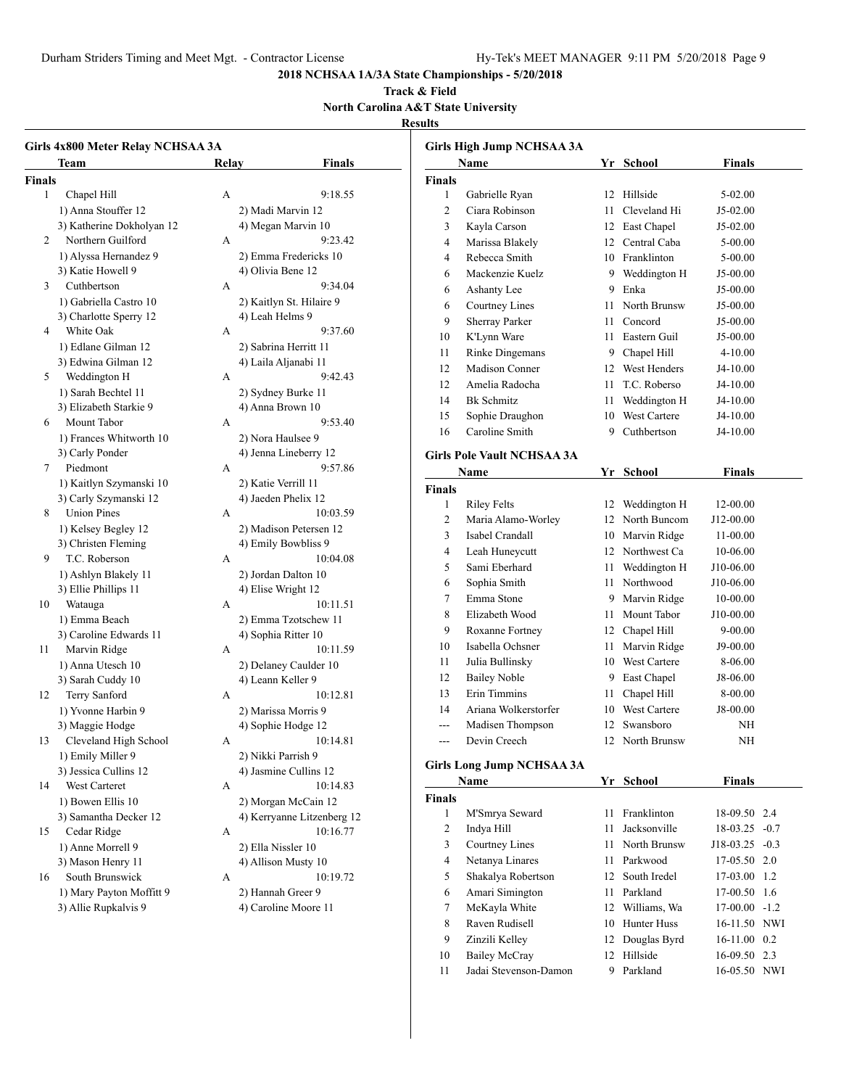Durham Striders Timing and Meet Mgt. - Contractor License Hy-Tek's MEET MANAGER 9:11 PM 5/20/2018 Page 9

9 Zinzili Kelley 12 Douglas Byrd 16-11.00 0.2 10 Bailey McCray 12 Hillside 16-09.50 2.3 11 Jadai Stevenson-Damon 9 Parkland 16-05.50 NWI

# **2018 NCHSAA 1A/3A State Championships - 5/20/2018**

#### **Track & Field North Carolina A&T State University**

# **Results**

|               | Girls 4x800 Meter Relay NCHSAA 3A |       |                            |               | Girls High Jump NCHSAA 3A         |    |                 |                  |  |
|---------------|-----------------------------------|-------|----------------------------|---------------|-----------------------------------|----|-----------------|------------------|--|
|               | Team                              | Relav | <b>Finals</b>              |               | Name                              |    | Yr School       | <b>Finals</b>    |  |
| <b>Finals</b> |                                   |       |                            | <b>Finals</b> |                                   |    |                 |                  |  |
| $\mathbf{1}$  | Chapel Hill                       | A     | 9:18.55                    | $\mathbf{1}$  | Gabrielle Ryan                    |    | 12 Hillside     | 5-02.00          |  |
|               | 1) Anna Stouffer 12               |       | 2) Madi Marvin 12          | 2             | Ciara Robinson                    |    | 11 Cleveland Hi | J5-02.00         |  |
|               | 3) Katherine Dokholyan 12         |       | 4) Megan Marvin 10         | 3             | Kayla Carson                      |    | 12 East Chapel  | J5-02.00         |  |
| 2             | Northern Guilford                 | A     | 9:23.42                    | 4             | Marissa Blakely                   |    | 12 Central Caba | 5-00.00          |  |
|               | 1) Alyssa Hernandez 9             |       | 2) Emma Fredericks 10      | 4             | Rebecca Smith                     |    | 10 Franklinton  | 5-00.00          |  |
|               | 3) Katie Howell 9                 |       | 4) Olivia Bene 12          | 6             | Mackenzie Kuelz                   |    | 9 Weddington H  | J5-00.00         |  |
| 3             | Cuthbertson                       | A     | 9:34.04                    | 6             | Ashanty Lee                       |    | 9 Enka          | J5-00.00         |  |
|               | 1) Gabriella Castro 10            |       | 2) Kaitlyn St. Hilaire 9   | 6             | Courtney Lines                    |    | 11 North Brunsw | J5-00.00         |  |
|               | 3) Charlotte Sperry 12            |       | 4) Leah Helms 9            | 9             | Sherray Parker                    | 11 | Concord         | J5-00.00         |  |
| 4             | White Oak                         | A     | 9:37.60                    | 10            | K'Lynn Ware                       |    | 11 Eastern Guil | J5-00.00         |  |
|               | 1) Edlane Gilman 12               |       | 2) Sabrina Herritt 11      | 11            | Rinke Dingemans                   |    | 9 Chapel Hill   | $4 - 10.00$      |  |
|               | 3) Edwina Gilman 12               |       | 4) Laila Aljanabi 11       | 12            | Madison Conner                    |    | 12 West Henders | J4-10.00         |  |
| 5             | Weddington H                      | A     | 9:42.43                    | 12            | Amelia Radocha                    |    | 11 T.C. Roberso | J4-10.00         |  |
|               | 1) Sarah Bechtel 11               |       | 2) Sydney Burke 11         | 14            | <b>Bk</b> Schmitz                 |    | 11 Weddington H | J4-10.00         |  |
|               | 3) Elizabeth Starkie 9            |       | 4) Anna Brown 10           | 15            | Sophie Draughon                   |    | 10 West Cartere | J4-10.00         |  |
| 6             | Mount Tabor                       | А     | 9:53.40                    | 16            | Caroline Smith                    | 9  | Cuthbertson     | J4-10.00         |  |
|               | 1) Frances Whitworth 10           |       | 2) Nora Haulsee 9          |               |                                   |    |                 |                  |  |
|               | 3) Carly Ponder                   |       | 4) Jenna Lineberry 12      |               | <b>Girls Pole Vault NCHSAA 3A</b> |    |                 |                  |  |
| 7             | Piedmont                          | A     | 9:57.86                    |               | Name                              |    | Yr School       | <b>Finals</b>    |  |
|               | 1) Kaitlyn Szymanski 10           |       | 2) Katie Verrill 11        | <b>Finals</b> |                                   |    |                 |                  |  |
|               | 3) Carly Szymanski 12             |       | 4) Jaeden Phelix 12        | 1             | <b>Riley Felts</b>                |    | 12 Weddington H | 12-00.00         |  |
| 8             | <b>Union Pines</b>                | A     | 10:03.59                   | 2             | Maria Alamo-Worley                |    | 12 North Buncom | J12-00.00        |  |
|               | 1) Kelsey Begley 12               |       | 2) Madison Petersen 12     | 3             | Isabel Crandall                   |    | 10 Marvin Ridge | 11-00.00         |  |
|               | 3) Christen Fleming               |       | 4) Emily Bowbliss 9        | 4             | Leah Huneycutt                    |    | 12 Northwest Ca | 10-06.00         |  |
| 9             | T.C. Roberson                     | A     | 10:04.08                   | 5             | Sami Eberhard                     |    | 11 Weddington H | J10-06.00        |  |
|               | 1) Ashlyn Blakely 11              |       | 2) Jordan Dalton 10        | 6             | Sophia Smith                      |    | 11 Northwood    | J10-06.00        |  |
|               | 3) Ellie Phillips 11              |       | 4) Elise Wright 12         | 7             | Emma Stone                        |    | 9 Marvin Ridge  | 10-00.00         |  |
| 10            | Watauga                           | А     | 10:11.51                   | 8             | Elizabeth Wood                    |    |                 |                  |  |
|               | 1) Emma Beach                     |       | 2) Emma Tzotschew 11       |               |                                   |    | 11 Mount Tabor  | J10-00.00        |  |
|               | 3) Caroline Edwards 11            |       | 4) Sophia Ritter 10        | 9             | Roxanne Fortney                   |    | 12 Chapel Hill  | $9 - 00.00$      |  |
| 11            | Marvin Ridge                      | А     | 10:11.59                   | 10            | Isabella Ochsner                  |    | 11 Marvin Ridge | J9-00.00         |  |
|               | 1) Anna Utesch 10                 |       | 2) Delaney Caulder 10      | 11            | Julia Bullinsky                   |    | 10 West Cartere | 8-06.00          |  |
|               | 3) Sarah Cuddy 10                 |       | 4) Leann Keller 9          | 12            | <b>Bailey Noble</b>               |    | 9 East Chapel   | J8-06.00         |  |
| 12            | Terry Sanford                     | А     | 10:12.81                   | 13            | <b>Erin Timmins</b>               |    | 11 Chapel Hill  | 8-00.00          |  |
|               | 1) Yvonne Harbin 9                |       | 2) Marissa Morris 9        | 14            | Ariana Wolkerstorfer              |    | 10 West Cartere | J8-00.00         |  |
|               | 3) Maggie Hodge                   |       | 4) Sophie Hodge 12         | ---           | Madisen Thompson                  |    | 12 Swansboro    | NH               |  |
| 13            | Cleveland High School             | А     | 10:14.81                   |               | Devin Creech                      |    | 12 North Brunsw | NH               |  |
|               | 1) Emily Miller 9                 |       | 2) Nikki Parrish 9         |               | <b>Girls Long Jump NCHSAA 3A</b>  |    |                 |                  |  |
|               | 3) Jessica Cullins 12             |       | 4) Jasmine Cullins 12      |               |                                   |    |                 |                  |  |
| 14            | West Carteret                     | A     | 10:14.83                   |               | Name                              |    | Yr School       | <b>Finals</b>    |  |
|               | 1) Bowen Ellis 10                 |       | 2) Morgan McCain 12        | <b>Finals</b> |                                   |    |                 |                  |  |
|               | 3) Samantha Decker 12             |       | 4) Kerryanne Litzenberg 12 | $\mathbf{1}$  | M'Smrya Seward                    |    | 11 Franklinton  | 18-09.50 2.4     |  |
| 15            | Cedar Ridge                       | A     | 10:16.77                   | 2             | Indya Hill                        |    | 11 Jacksonville | $18-03.25 -0.7$  |  |
|               | 1) Anne Morrell 9                 |       | 2) Ella Nissler 10         | 3             | Courtney Lines                    |    | 11 North Brunsw | J18-03.25 -0.3   |  |
|               | 3) Mason Henry 11                 |       | 4) Allison Musty 10        | 4             | Netanya Linares                   |    | 11 Parkwood     | 17-05.50 2.0     |  |
| 16            | South Brunswick                   | А     | 10:19.72                   | 5             | Shakalya Robertson                |    | 12 South Iredel | 17-03.00 1.2     |  |
|               | 1) Mary Payton Moffitt 9          |       | 2) Hannah Greer 9          | 6             | Amari Simington                   |    | 11 Parkland     | 17-00.50 1.6     |  |
|               | 3) Allie Rupkalvis 9              |       | 4) Caroline Moore 11       | 7             | MeKayla White                     |    | 12 Williams, Wa | $17-00.00 - 1.2$ |  |
|               |                                   |       |                            | 8             | Raven Rudisell                    |    | 10 Hunter Huss  | 16-11.50 NWI     |  |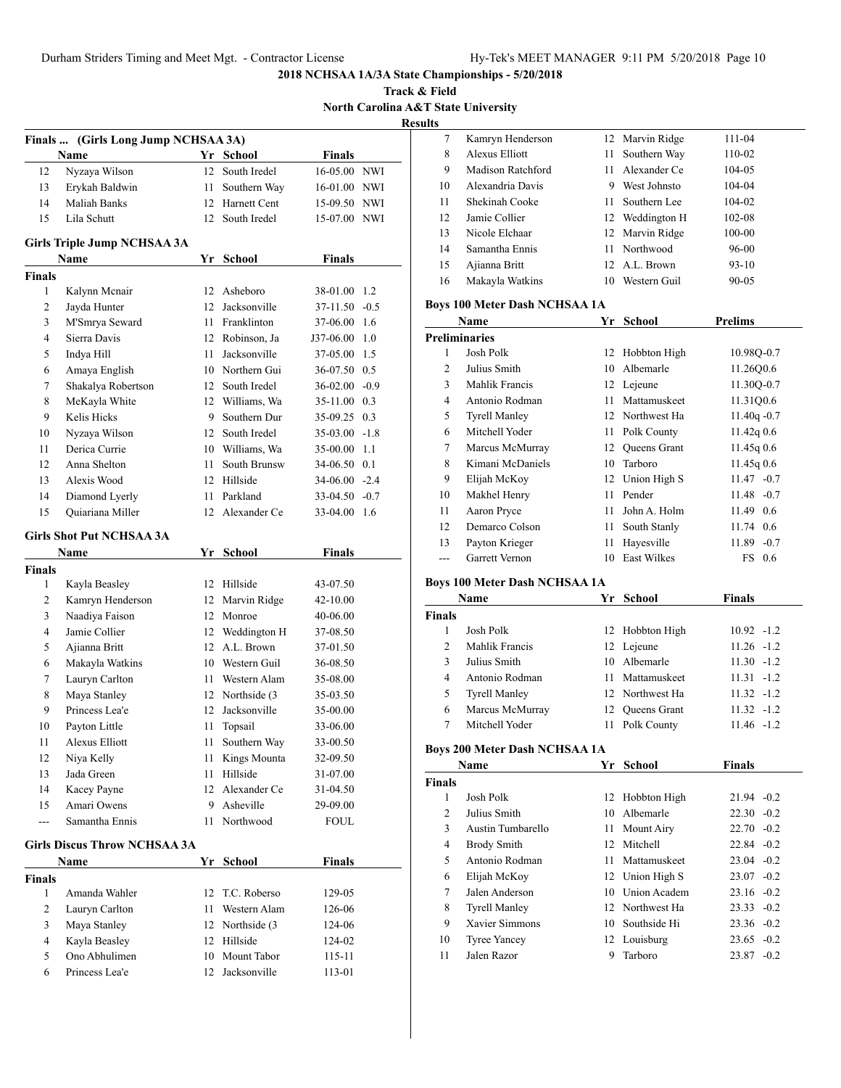**Track & Field North Carolina A&T State University Results**

| Finals  (Girls Long Jump NCHSAA 3A) |                                     |      |                  |                 |        |  |
|-------------------------------------|-------------------------------------|------|------------------|-----------------|--------|--|
|                                     | <b>Name</b>                         |      | Yr School        | <b>Finals</b>   |        |  |
| 12                                  | Nyzaya Wilson                       |      | 12 South Iredel  | 16-05.00 NWI    |        |  |
| 13                                  | Erykah Baldwin                      | 11   | Southern Way     | 16-01.00 NWI    |        |  |
| 14                                  | <b>Maliah Banks</b>                 |      | 12 Harnett Cent  | 15-09.50 NWI    |        |  |
| 15                                  | Lila Schutt                         |      | 12 South Iredel  | 15-07.00 NWI    |        |  |
|                                     | <b>Girls Triple Jump NCHSAA 3A</b>  |      |                  |                 |        |  |
|                                     | Name                                |      | Yr School        | <b>Finals</b>   |        |  |
| <b>Finals</b>                       |                                     |      |                  |                 |        |  |
| 1                                   | Kalynn Mcnair                       |      | 12 Asheboro      | 38-01.00        | 1.2    |  |
| 2                                   | Jayda Hunter                        | 12   | Jacksonville     | 37-11.50        | $-0.5$ |  |
| 3                                   | M'Smrya Seward                      | 11 - | Franklinton      | 37-06.00        | 1.6    |  |
| $\overline{4}$                      | Sierra Davis                        |      | 12 Robinson, Ja  | J37-06.00       | 1.0    |  |
| 5                                   | Indya Hill                          | 11 - | Jacksonville     | 37-05.00        | 1.5    |  |
| 6                                   | Amaya English                       |      | 10 Northern Gui  | 36-07.50        | 0.5    |  |
| 7                                   | Shakalya Robertson                  |      | 12 South Iredel  | $36-02.00 -0.9$ |        |  |
| 8                                   | MeKayla White                       |      | 12 Williams, Wa  | 35-11.00 0.3    |        |  |
| 9                                   | Kelis Hicks                         |      | 9 Southern Dur   | 35-09.25        | 0.3    |  |
| 10                                  | Nyzaya Wilson                       |      | 12 South Iredel  | 35-03.00        | $-1.8$ |  |
| 11                                  | Derica Currie                       |      | 10 Williams, Wa  | 35-00.00        | 1.1    |  |
| 12                                  | Anna Shelton                        | 11   | South Brunsw     | 34-06.50        | 0.1    |  |
| 13                                  | Alexis Wood                         |      | 12 Hillside      | 34-06.00        | $-2.4$ |  |
| 14                                  | Diamond Lyerly                      | 11   | Parkland         | 33-04.50        | $-0.7$ |  |
| 15                                  | Quiariana Miller                    | 12   | Alexander Ce     | 33-04.00        | 1.6    |  |
|                                     | <b>Girls Shot Put NCHSAA 3A</b>     |      |                  |                 |        |  |
|                                     | Name                                | Yr   | <b>School</b>    | <b>Finals</b>   |        |  |
| <b>Finals</b>                       |                                     |      |                  |                 |        |  |
| 1                                   | Kayla Beasley                       |      | 12 Hillside      | 43-07.50        |        |  |
| 2                                   | Kamryn Henderson                    |      | 12 Marvin Ridge  | 42-10.00        |        |  |
| 3                                   | Naadiya Faison                      |      | 12 Monroe        | 40-06.00        |        |  |
| 4                                   | Jamie Collier                       |      | 12 Weddington H  | 37-08.50        |        |  |
| 5                                   | Ajianna Britt                       |      | 12 A.L. Brown    | 37-01.50        |        |  |
| 6                                   | Makayla Watkins                     |      | 10 Western Guil  | 36-08.50        |        |  |
| 7                                   | Lauryn Carlton                      |      | 11 Western Alam  | 35-08.00        |        |  |
| 8                                   | Maya Stanley                        |      | 12 Northside (3) | 35-03.50        |        |  |
| 9                                   | Princess Lea'e                      | 12   | Jacksonville     | 35-00.00        |        |  |
| 10                                  | Payton Little                       | 11   | Topsail          | 33-06.00        |        |  |
| 11                                  | Alexus Elliott                      | 11   | Southern Way     | 33-00.50        |        |  |
| 12                                  | Niya Kelly                          | 11   | Kings Mounta     | 32-09.50        |        |  |
| 13                                  | Jada Green                          | 11   | Hillside         | 31-07.00        |        |  |
| 14                                  | Kacey Payne                         | 12   | Alexander Ce     | 31-04.50        |        |  |
| 15                                  | Amari Owens                         | 9    | Asheville        | 29-09.00        |        |  |
| ---                                 | Samantha Ennis                      | 11   | Northwood        | FOUL            |        |  |
|                                     | <b>Girls Discus Throw NCHSAA 3A</b> |      |                  |                 |        |  |
|                                     | Name                                | Yr   | <b>School</b>    | <b>Finals</b>   |        |  |
| <b>Finals</b>                       |                                     |      |                  |                 |        |  |
| 1                                   | Amanda Wahler                       | 12   | T.C. Roberso     | 129-05          |        |  |
| 2                                   | Lauryn Carlton                      | 11   | Western Alam     | 126-06          |        |  |
| 3                                   | Maya Stanley                        |      | 12 Northside (3) | 124-06          |        |  |
| 4                                   | Kayla Beasley                       | 12   | Hillside         | 124-02          |        |  |
| 5                                   | Ono Abhulimen                       | 10   | Mount Tabor      | 115-11          |        |  |
| 6                                   | Princess Lea'e                      | 12   | Jacksonville     | 113-01          |        |  |
|                                     |                                     |      |                  |                 |        |  |

| $\sim$ |                   |     |                 |           |
|--------|-------------------|-----|-----------------|-----------|
| 7      | Kamryn Henderson  |     | 12 Marvin Ridge | 111-04    |
| 8      | Alexus Elliott    | 11  | Southern Way    | 110-02    |
| 9      | Madison Ratchford | 11  | Alexander Ce    | 104-05    |
| 10     | Alexandria Davis  | 9   | West Johnsto    | 104-04    |
| 11     | Shekinah Cooke    | 11. | Southern Lee    | 104-02    |
| 12     | Jamie Collier     |     | 12 Weddington H | 102-08    |
| 13     | Nicole Elchaar    |     | 12 Marvin Ridge | 100-00    |
| 14     | Samantha Ennis    |     | 11 Northwood    | 96-00     |
| 15     | Ajianna Britt     |     | 12 A.L. Brown   | $93-10$   |
| 16     | Makayla Watkins   | 10  | Western Guil    | $90 - 05$ |
|        |                   |     |                 |           |

# **Boys 100 Meter Dash NCHSAA 1A**

|                      | Name                  | Yr. | School              | <b>Prelims</b>    |  |  |  |
|----------------------|-----------------------|-----|---------------------|-------------------|--|--|--|
| <b>Preliminaries</b> |                       |     |                     |                   |  |  |  |
| 1                    | Josh Polk             | 12  | Hobbton High        | 10.98Q-0.7        |  |  |  |
| 2                    | Julius Smith          | 10  | Albemarle           | 11.2600.6         |  |  |  |
| 3                    | Mahlik Francis        |     | 12 Lejeune          | 11.300-0.7        |  |  |  |
| 4                    | Antonio Rodman        | 11  | Mattamuskeet        | 11.31Q0.6         |  |  |  |
| 5                    | <b>Tyrell Manley</b>  |     | 12 Northwest Ha     | $11.40q - 0.7$    |  |  |  |
| 6                    | Mitchell Yoder        | 11. | Polk County         | $11.42q$ 0.6      |  |  |  |
| 7                    | Marcus McMurray       | 12. | <b>Queens Grant</b> | 11.45q0.6         |  |  |  |
| 8                    | Kimani McDaniels      | 10  | Tarboro             | 11.45q0.6         |  |  |  |
| 9                    | Elijah McKoy          |     | 12 Union High S     | $11.47 - 0.7$     |  |  |  |
| 10                   | Makhel Henry          | 11  | Pender              | $11.48 - 0.7$     |  |  |  |
| 11                   | Aaron Pryce           | 11  | John A. Holm        | $11.49 \quad 0.6$ |  |  |  |
| 12                   | Demarco Colson        | 11  | South Stanly        | 11.74 0.6         |  |  |  |
| 13                   | Payton Krieger        | 11  | Hayesville          | 11.89<br>$-0.7$   |  |  |  |
| ---                  | <b>Garrett Vernon</b> | 10  | <b>East Wilkes</b>  | FS 0.6            |  |  |  |

# **Boys 100 Meter Dash NCHSAA 1A**

|               | Name                 | Yr School       | Finals        |
|---------------|----------------------|-----------------|---------------|
| <b>Finals</b> |                      |                 |               |
|               | Josh Polk            | 12 Hobbton High | $10.92 - 1.2$ |
| $\mathcal{L}$ | Mahlik Francis       | 12 Lejeune      | $11.26 - 1.2$ |
| 3             | Julius Smith         | 10 Albemarle    | $11.30 - 1.2$ |
| 4             | Antonio Rodman       | 11 Mattamuskeet | $11.31 - 1.2$ |
| 5             | <b>Tyrell Manley</b> | 12 Northwest Ha | $11.32 - 1.2$ |
| 6             | Marcus McMurray      | 12 Oueens Grant | $11.32 - 1.2$ |
|               | Mitchell Yoder       | Polk County     | $11.46 - 1.2$ |

# **Boys 200 Meter Dash NCHSAA 1A**

|               | Name                 | Yr  | <b>School</b>    | <b>Finals</b>   |
|---------------|----------------------|-----|------------------|-----------------|
| <b>Finals</b> |                      |     |                  |                 |
|               | Josh Polk            |     | 12 Hobbton High  | $21.94 - 0.2$   |
| 2             | Julius Smith         |     | 10 Albemarle     | $22.30 - 0.2$   |
| 3             | Austin Tumbarello    | 11  | Mount Airy       | $22.70 - 0.2$   |
| 4             | <b>Brody Smith</b>   | 12. | Mitchell         | $22.84 - 0.2$   |
| 5             | Antonio Rodman       | 11  | Mattamuskeet     | $23.04 - 0.2$   |
| 6             | Elijah McKoy         |     | 12 Union High S  | $23.07 - 0.2$   |
| 7             | Jalen Anderson       |     | 10 Union Academ  | $23.16 - 0.2$   |
| 8             | <b>Tyrell Manley</b> |     | 12. Northwest Ha | $23.33 - 0.2$   |
| 9             | Xavier Simmons       | 10. | Southside Hi     | $23.36 - 0.2$   |
| 10            | <b>Tyree Yancey</b>  |     | 12 Louisburg     | $23.65 - 0.2$   |
| 11            | Jalen Razor          | 9   | Tarboro          | 23.87<br>$-0.2$ |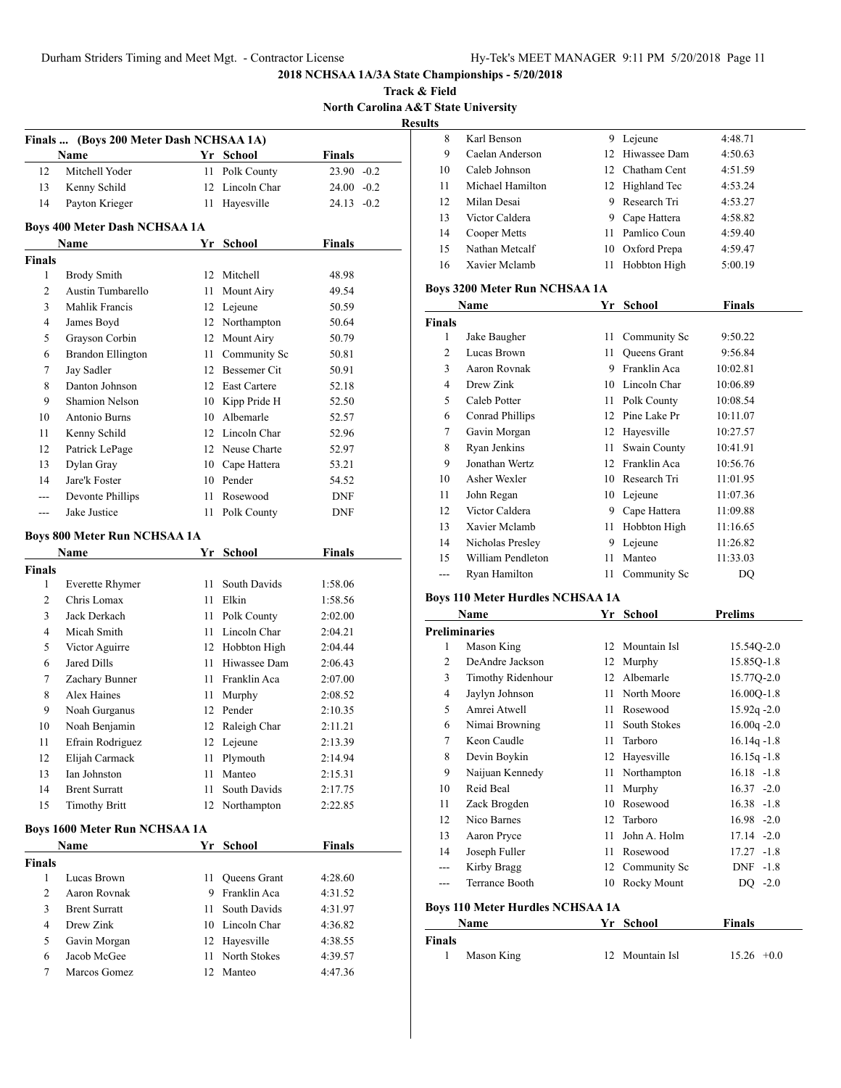**Track & Field North Carolina A&T State University Result** 

|                | Finals  (Boys 200 Meter Dash NCHSAA 1A)      |      |                     |               |  |
|----------------|----------------------------------------------|------|---------------------|---------------|--|
|                | Name                                         |      | Yr School           | <b>Finals</b> |  |
| 12             | Mitchell Yoder                               | 11   | Polk County         | $23.90 -0.2$  |  |
| 13             | Kenny Schild                                 | 12   | Lincoln Char        | 24.00 -0.2    |  |
| 14             | Payton Krieger                               | 11   | Hayesville          | $24.13 - 0.2$ |  |
|                |                                              |      |                     |               |  |
|                | <b>Boys 400 Meter Dash NCHSAA 1A</b><br>Name | Yr   | <b>School</b>       | <b>Finals</b> |  |
| <b>Finals</b>  |                                              |      |                     |               |  |
| 1              | <b>Brody Smith</b>                           | 12   | Mitchell            | 48.98         |  |
| 2              | Austin Tumbarello                            | 11   | Mount Airy          | 49.54         |  |
| 3              | Mahlik Francis                               |      | 12 Lejeune          | 50.59         |  |
| 4              | James Boyd                                   |      | 12 Northampton      | 50.64         |  |
| 5              | Grayson Corbin                               |      | 12 Mount Airy       | 50.79         |  |
| 6              | <b>Brandon Ellington</b>                     |      | 11 Community Sc     | 50.81         |  |
| 7              | Jay Sadler                                   |      | 12 Bessemer Cit     | 50.91         |  |
| 8              | Danton Johnson                               |      | 12 East Cartere     | 52.18         |  |
| 9              | <b>Shamion Nelson</b>                        |      | 10 Kipp Pride H     | 52.50         |  |
| 10             | Antonio Burns                                |      | 10 Albemarle        | 52.57         |  |
| 11             | Kenny Schild                                 |      | 12 Lincoln Char     | 52.96         |  |
| 12             | Patrick LePage                               |      | 12 Neuse Charte     | 52.97         |  |
| 13             | Dylan Gray                                   |      | 10 Cape Hattera     | 53.21         |  |
| 14             | Jare'k Foster                                |      | 10 Pender           | 54.52         |  |
| ---            | Devonte Phillips                             | 11   | Rosewood            | <b>DNF</b>    |  |
| $\overline{a}$ | Jake Justice                                 | 11   | Polk County         | DNF           |  |
|                |                                              |      |                     |               |  |
|                | <b>Boys 800 Meter Run NCHSAA 1A</b>          |      |                     |               |  |
|                | Name                                         | Yr   | <b>School</b>       | <b>Finals</b> |  |
| <b>Finals</b>  |                                              |      |                     |               |  |
| 1              | <b>Everette Rhymer</b>                       | 11 - | South Davids        | 1:58.06       |  |
| 2              | Chris Lomax                                  |      | 11 Elkin            | 1:58.56       |  |
| 3              | Jack Derkach                                 | 11   | Polk County         | 2:02.00       |  |
| 4              | Micah Smith                                  |      | 11 Lincoln Char     | 2:04.21       |  |
| 5              | Victor Aguirre                               |      | 12 Hobbton High     | 2:04.44       |  |
| 6              | Jared Dills                                  | 11 - | Hiwassee Dam        | 2:06.43       |  |
| 7              | Zachary Bunner                               | 11 - | Franklin Aca        | 2:07.00       |  |
| 8              | Alex Haines                                  | 11   | Murphy              | 2:08.52       |  |
| 9              | Noah Gurganus                                |      | 12 Pender           | 2:10.35       |  |
| 10             | Noah Benjamin                                |      | 12 Raleigh Char     | 2:11.21       |  |
| 11             | Efrain Rodriguez                             |      | 12 Lejeune          | 2:13.39       |  |
| 12             | Elijah Carmack                               | 11   | Plymouth            | 2:14.94       |  |
| 13             | Ian Johnston                                 | 11   | Manteo              | 2:15.31       |  |
| 14             | <b>Brent Surratt</b>                         | 11   | South Davids        | 2:17.75       |  |
| 15             | <b>Timothy Britt</b>                         |      | 12 Northampton      | 2:22.85       |  |
|                | <b>Boys 1600 Meter Run NCHSAA 1A</b>         |      |                     |               |  |
|                | Name                                         |      | Yr School           | <b>Finals</b> |  |
| <b>Finals</b>  |                                              |      |                     |               |  |
| 1              | Lucas Brown                                  | 11   | <b>Oueens Grant</b> | 4:28.60       |  |
| 2              | Aaron Rovnak                                 |      | 9 Franklin Aca      | 4:31.52       |  |
| 3              | <b>Brent Surratt</b>                         | 11 - | South Davids        | 4:31.97       |  |
| $\overline{4}$ | Drew Zink                                    |      | 10 Lincoln Char     | 4:36.82       |  |
| 5              | Gavin Morgan                                 |      | 12 Hayesville       | 4:38.55       |  |
| 6              | Jacob McGee                                  | 11   | North Stokes        | 4:39.57       |  |
| 7              | Marcos Gomez                                 | 12   | Manteo              | 4:47.36       |  |
|                |                                              |      |                     |               |  |

| ults          |                                      |    |              |          |  |
|---------------|--------------------------------------|----|--------------|----------|--|
| 8             | Karl Benson                          | 9  | Lejeune      | 4:48.71  |  |
| 9             | Caelan Anderson                      | 12 | Hiwassee Dam | 4:50.63  |  |
| 10            | Caleb Johnson                        | 12 | Chatham Cent | 4:51.59  |  |
| 11            | Michael Hamilton                     | 12 | Highland Tec | 4:53.24  |  |
| 12            | Milan Desai                          | 9  | Research Tri | 4:53.27  |  |
| 13            | Victor Caldera                       | 9  | Cape Hattera | 4:58.82  |  |
| 14            | Cooper Metts                         | 11 | Pamlico Coun | 4:59.40  |  |
| 15            | Nathan Metcalf                       | 10 | Oxford Prepa | 4:59.47  |  |
| 16            | Xavier Mclamb                        | 11 | Hobbton High | 5:00.19  |  |
|               | <b>Boys 3200 Meter Run NCHSAA 1A</b> |    |              |          |  |
|               | Name                                 | Yr | School       | Finals   |  |
| <b>Finals</b> |                                      |    |              |          |  |
| 1             | Jake Baugher                         | 11 | Community Sc | 9:50.22  |  |
| 2             | Lucas Brown                          | 11 | Queens Grant | 9:56.84  |  |
| 3             | Aaron Rovnak                         | 9  | Franklin Aca | 10:02.81 |  |
| 4             | Drew Zink                            | 10 | Lincoln Char | 10:06.89 |  |
| 5             | Caleb Potter                         | 11 | Polk County  | 10:08.54 |  |

 Conrad Phillips 12 Pine Lake Pr 10:11.07 7 Gavin Morgan 12 Hayesville 10:27.57 Ryan Jenkins 11 Swain County 10:41.91 Jonathan Wertz 12 Franklin Aca 10:56.76 Asher Wexler 10 Research Tri 11:01.95 John Regan 10 Lejeune 11:07.36 12 Victor Caldera 9 Cape Hattera 11:09.88 Xavier Mclamb 11 Hobbton High 11:16.65 14 Nicholas Presley 9 Lejeune 11:26.82 William Pendleton 11 Manteo 11:33.03 --- Ryan Hamilton 11 Community Sc DQ

#### **Boys 110 Meter Hurdles NCHSAA 1A**

| Name          |                                         | Yr | <b>School</b> | <b>Prelims</b> |  |  |  |
|---------------|-----------------------------------------|----|---------------|----------------|--|--|--|
|               | <b>Preliminaries</b>                    |    |               |                |  |  |  |
| 1             | Mason King                              | 12 | Mountain Isl  | 15.540-2.0     |  |  |  |
| 2             | DeAndre Jackson                         | 12 | Murphy        | 15.85Q-1.8     |  |  |  |
| 3             | Timothy Ridenhour                       | 12 | Albemarle     | 15.77Q-2.0     |  |  |  |
| 4             | Jaylyn Johnson                          | 11 | North Moore   | 16.00Q-1.8     |  |  |  |
| 5             | Amrei Atwell                            | 11 | Rosewood      | $15.92q - 2.0$ |  |  |  |
| 6             | Nimai Browning                          | 11 | South Stokes  | $16.00q - 2.0$ |  |  |  |
| 7             | Keon Caudle                             | 11 | Tarboro       | $16.14q - 1.8$ |  |  |  |
| 8             | Devin Boykin                            | 12 | Hayesville    | $16.15q - 1.8$ |  |  |  |
| 9             | Naijuan Kennedy                         | 11 | Northampton   | $16.18 - 1.8$  |  |  |  |
| 10            | Reid Beal                               | 11 | Murphy        | $16.37 - 2.0$  |  |  |  |
| 11            | Zack Brogden                            | 10 | Rosewood      | $16.38 - 1.8$  |  |  |  |
| 12            | Nico Barnes                             | 12 | Tarboro       | $16.98 - 2.0$  |  |  |  |
| 13            | Aaron Pryce                             | 11 | John A. Holm  | $17.14 - 2.0$  |  |  |  |
| 14            | Joseph Fuller                           | 11 | Rosewood      | $17.27 - 1.8$  |  |  |  |
| ---           | Kirby Bragg                             | 12 | Community Sc  | $DNF -1.8$     |  |  |  |
|               | <b>Terrance Booth</b>                   | 10 | Rocky Mount   | $DQ -2.0$      |  |  |  |
|               | <b>Boys 110 Meter Hurdles NCHSAA 1A</b> |    |               |                |  |  |  |
|               | Name                                    | Yr | <b>School</b> | Finals         |  |  |  |
| <b>Finals</b> |                                         |    |               |                |  |  |  |
| 1             | Mason King                              | 12 | Mountain Isl  | $15.26 +0.0$   |  |  |  |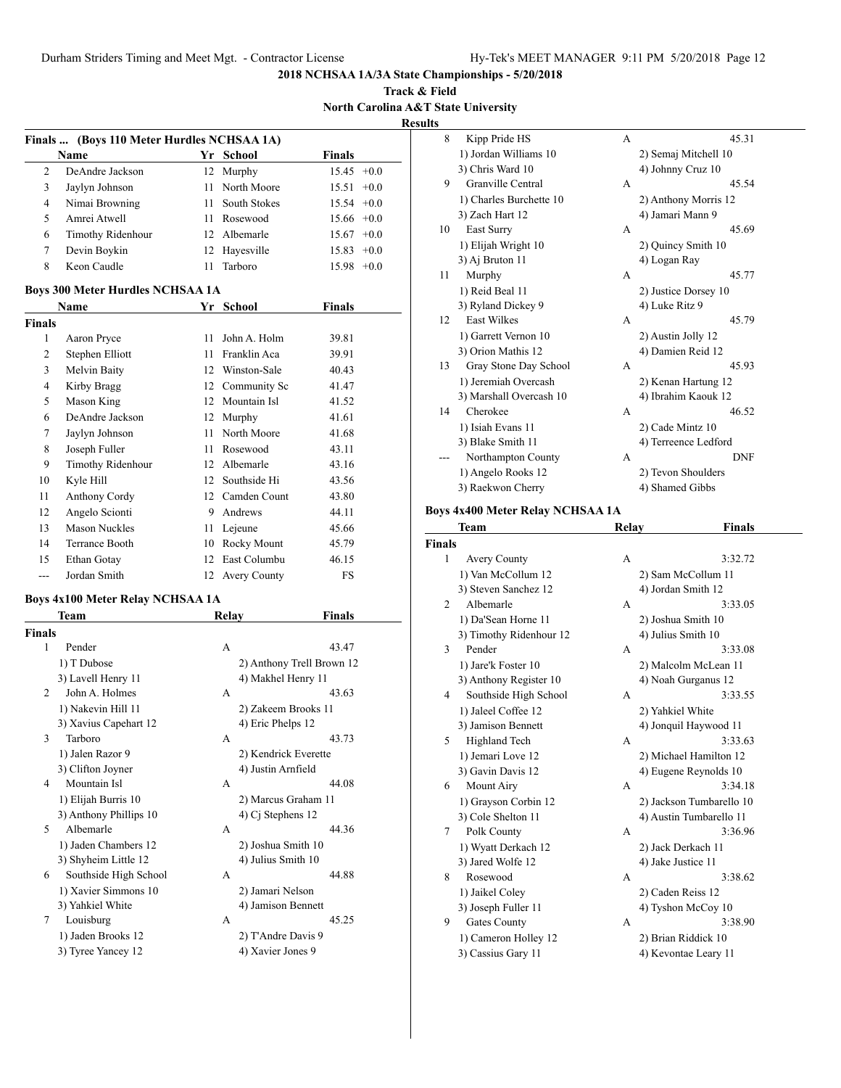**Track & Field North Carolina A&T State University Results**

|               | Finals  (Boys 110 Meter Hurdles NCHSAA 1A) |                 |                 |
|---------------|--------------------------------------------|-----------------|-----------------|
|               | <b>Name</b>                                | Yr School       | <b>Finals</b>   |
| $\mathcal{L}$ | DeAndre Jackson                            | 12 Murphy       | $15.45 +0.0$    |
| 3             | Jaylyn Johnson                             | 11 North Moore  | $15.51 +0.0$    |
| 4             | Nimai Browning                             | 11 South Stokes | $15.54 +0.0$    |
| 5             | Amrei Atwell                               | 11 Rosewood     | $15.66 + 0.0$   |
| 6             | Timothy Ridenhour                          | 12 Albemarle    | $15.67 + 0.0$   |
| 7             | Devin Boykin                               | 12 Hayesville   | $15.83 + 0.0$   |
| 8             | Keon Caudle                                | Tarboro         | $+0.0$<br>15.98 |

# **Boys 300 Meter Hurdles NCHSAA 1A**

| <b>Name</b>   |                      | Yr | School              | <b>Finals</b> |  |
|---------------|----------------------|----|---------------------|---------------|--|
| <b>Finals</b> |                      |    |                     |               |  |
| 1             | Aaron Pryce          | 11 | John A. Holm        | 39.81         |  |
| 2             | Stephen Elliott      | 11 | Franklin Aca        | 39.91         |  |
| 3             | Melvin Baity         | 12 | Winston-Sale        | 40.43         |  |
| 4             | Kirby Bragg          | 12 | Community Sc        | 41.47         |  |
| 5             | Mason King           | 12 | Mountain Isl        | 41.52         |  |
| 6             | DeAndre Jackson      | 12 | Murphy              | 41.61         |  |
| 7             | Jaylyn Johnson       | 11 | North Moore         | 41.68         |  |
| 8             | Joseph Fuller        | 11 | Rosewood            | 43.11         |  |
| 9             | Timothy Ridenhour    | 12 | Albemarle           | 43.16         |  |
| 10            | Kyle Hill            | 12 | Southside Hi        | 43.56         |  |
| 11            | Anthony Cordy        | 12 | Camden Count        | 43.80         |  |
| 12            | Angelo Scionti       | 9  | Andrews             | 44.11         |  |
| 13            | <b>Mason Nuckles</b> | 11 | Lejeune             | 45.66         |  |
| 14            | Terrance Booth       | 10 | Rocky Mount         | 45.79         |  |
| 15            | Ethan Gotay          | 12 | East Columbu        | 46.15         |  |
| ---           | Jordan Smith         | 12 | <b>Avery County</b> | FS            |  |

# **Boys 4x100 Meter Relay NCHSAA 1A**

| Team                   | Relay               | Finals                    |
|------------------------|---------------------|---------------------------|
| <b>Finals</b>          |                     |                           |
| Pender                 | A                   | 43.47                     |
| 1) T Dubose            |                     | 2) Anthony Trell Brown 12 |
| 3) Lavell Henry 11     |                     | 4) Makhel Henry 11        |
| John A. Holmes         | A                   | 43.63                     |
| 1) Nakevin Hill 11     |                     | 2) Zakeem Brooks 11       |
| 3) Xavius Capehart 12  | 4) Eric Phelps 12   |                           |
| Tarboro                | A                   | 43.73                     |
| 1) Jalen Razor 9       |                     | 2) Kendrick Everette      |
| 3) Clifton Joyner      | 4) Justin Arnfield  |                           |
| Mountain Isl           | A                   | 44.08                     |
| 1) Elijah Burris 10    |                     | 2) Marcus Graham 11       |
| 3) Anthony Phillips 10 | 4) $Ci$ Stephens 12 |                           |
| Albemarle              | A                   | 44.36                     |
| 1) Jaden Chambers 12   |                     | 2) Joshua Smith 10        |
| 3) Shyheim Little 12   |                     | 4) Julius Smith 10        |
| Southside High School  | A                   | 44.88                     |
| 1) Xavier Simmons 10   | 2) Jamari Nelson    |                           |
| 3) Yahkiel White       |                     | 4) Jamison Bennett        |
| Louisburg              | A                   | 45.25                     |
| 1) Jaden Brooks 12     |                     | 2) T'Andre Davis 9        |
| 3) Tyree Yancey 12     | 4) Xavier Jones 9   |                           |
|                        |                     |                           |

| 8  | Kipp Pride HS           | А | 45.31                |
|----|-------------------------|---|----------------------|
|    | 1) Jordan Williams 10   |   | 2) Semaj Mitchell 10 |
|    | 3) Chris Ward 10        |   | 4) Johnny Cruz 10    |
| 9  | Granville Central       | A | 45.54                |
|    | 1) Charles Burchette 10 |   | 2) Anthony Morris 12 |
|    | 3) Zach Hart 12         |   | 4) Jamari Mann 9     |
| 10 | East Surry              | A | 45.69                |
|    | 1) Elijah Wright 10     |   | 2) Quincy Smith 10   |
|    | 3) Aj Bruton 11         |   | 4) Logan Ray         |
| 11 | Murphy                  | A | 45.77                |
|    | 1) Reid Beal 11         |   | 2) Justice Dorsey 10 |
|    | 3) Ryland Dickey 9      |   | 4) Luke Ritz 9       |
| 12 | <b>East Wilkes</b>      | A | 45.79                |
|    | 1) Garrett Vernon 10    |   | 2) Austin Jolly 12   |
|    | 3) Orion Mathis 12      |   | 4) Damien Reid 12    |
| 13 | Gray Stone Day School   | A | 45.93                |
|    | 1) Jeremiah Overcash    |   | 2) Kenan Hartung 12  |
|    | 3) Marshall Overcash 10 |   | 4) Ibrahim Kaouk 12  |
| 14 | Cherokee                | A | 46.52                |
|    | 1) Isiah Evans 11       |   | 2) Cade Mintz 10     |
|    | 3) Blake Smith 11       |   | 4) Terreence Ledford |
|    | Northampton County      | A | <b>DNF</b>           |
|    | 1) Angelo Rooks 12      |   | 2) Tevon Shoulders   |
|    | 3) Raekwon Cherry       |   | 4) Shamed Gibbs      |

# **Boys 4x400 Meter Relay NCHSAA 1A**

|                             | Team                    | Relay | <b>Finals</b>            |
|-----------------------------|-------------------------|-------|--------------------------|
| <b>Finals</b>               |                         |       |                          |
| 1                           | <b>Avery County</b>     | A     | 3:32.72                  |
|                             | 1) Van McCollum 12      |       | 2) Sam McCollum 11       |
|                             | 3) Steven Sanchez 12    |       | 4) Jordan Smith 12       |
| $\mathcal{D}_{\mathcal{L}}$ | Albemarle               | A     | 3:33.05                  |
|                             | 1) Da'Sean Horne 11     |       | 2) Joshua Smith 10       |
|                             | 3) Timothy Ridenhour 12 |       | 4) Julius Smith 10       |
| 3                           | Pender                  | A     | 3:33.08                  |
|                             | 1) Jare'k Foster 10     |       | 2) Malcolm McLean 11     |
|                             | 3) Anthony Register 10  |       | 4) Noah Gurganus 12      |
| 4                           | Southside High School   | А     | 3:33.55                  |
|                             | 1) Jaleel Coffee 12     |       | 2) Yahkiel White         |
|                             | 3) Jamison Bennett      |       | 4) Jonquil Haywood 11    |
| 5                           | Highland Tech           | A     | 3:33.63                  |
|                             | 1) Jemari Love 12       |       | 2) Michael Hamilton 12   |
|                             | 3) Gavin Davis 12       |       | 4) Eugene Reynolds 10    |
| 6                           | Mount Airy              | A     | 3:34.18                  |
|                             | 1) Grayson Corbin 12    |       | 2) Jackson Tumbarello 10 |
|                             | 3) Cole Shelton 11      |       | 4) Austin Tumbarello 11  |
| 7                           | Polk County             | A     | 3:36.96                  |
|                             | 1) Wyatt Derkach 12     |       | 2) Jack Derkach 11       |
|                             | 3) Jared Wolfe 12       |       | 4) Jake Justice 11       |
| 8                           | Rosewood                | A     | 3:38.62                  |
|                             | 1) Jaikel Coley         |       | 2) Caden Reiss 12        |
|                             | 3) Joseph Fuller 11     |       | 4) Tyshon McCoy 10       |
| 9                           | <b>Gates County</b>     | А     | 3:38.90                  |
|                             | 1) Cameron Holley 12    |       | 2) Brian Riddick 10      |
|                             | 3) Cassius Gary 11      |       | 4) Kevontae Leary 11     |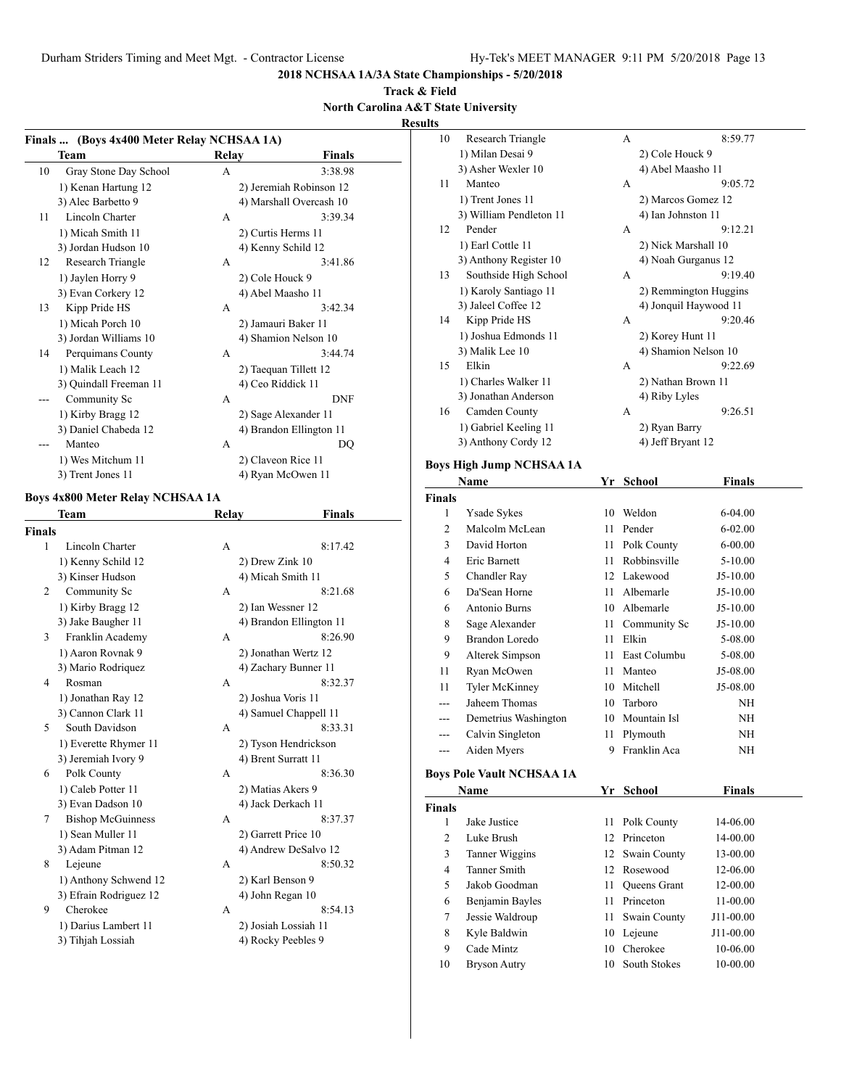#### **Track & Field North Carolina A&T State University**

**Results**

|        |                                            |              |                                    | results            |                           |
|--------|--------------------------------------------|--------------|------------------------------------|--------------------|---------------------------|
|        | Finals  (Boys 4x400 Meter Relay NCHSAA 1A) |              |                                    | 10                 | Research Tri              |
|        | Team                                       | <b>Relay</b> | Finals                             |                    | 1) Milan Desa             |
| 10     | Gray Stone Day School                      | A            | 3:38.98                            |                    | 3) Asher Wexl             |
|        | 1) Kenan Hartung 12                        |              | 2) Jeremiah Robinson 12            | 11                 | Manteo                    |
|        | 3) Alec Barbetto 9                         |              | 4) Marshall Overcash 10            |                    | 1) Trent Jones            |
| 11     | Lincoln Charter                            | A            | 3:39.34                            |                    | 3) William Per            |
|        | 1) Micah Smith 11                          |              | 2) Curtis Herms 11                 | 12                 | Pender                    |
|        | 3) Jordan Hudson 10                        |              | 4) Kenny Schild 12                 |                    | 1) Earl Cottle            |
| 12     | Research Triangle                          | A            | 3:41.86                            |                    | 3) Anthony Re             |
|        | 1) Jaylen Horry 9                          |              | 2) Cole Houck 9                    | 13                 | Southside H               |
|        | 3) Evan Corkery 12                         |              | 4) Abel Maasho 11                  |                    | 1) Karoly San             |
| 13     | Kipp Pride HS                              | A            | 3:42.34                            |                    | 3) Jaleel Coffe           |
|        | 1) Micah Porch 10                          |              | 2) Jamauri Baker 11                | 14                 | Kipp Pride I              |
|        | 3) Jordan Williams 10                      |              | 4) Shamion Nelson 10               |                    | 1) Joshua Edn             |
| 14     | Perquimans County                          | A            | 3:44.74                            |                    | 3) Malik Lee 1            |
|        | 1) Malik Leach 12                          |              | 2) Taequan Tillett 12              | 15                 | Elkin                     |
|        | 3) Quindall Freeman 11                     |              | 4) Ceo Riddick 11                  |                    | 1) Charles Wa             |
|        | Community Sc                               | A            | <b>DNF</b>                         |                    | 3) Jonathan Ar            |
|        | 1) Kirby Bragg 12                          |              | 2) Sage Alexander 11               | 16                 | Camden Cou                |
|        | 3) Daniel Chabeda 12                       |              | 4) Brandon Ellington 11            |                    | 1) Gabriel Ke             |
|        | Manteo                                     | A            | DQ                                 |                    | 3) Anthony Co             |
|        | 1) Wes Mitchum 11                          |              | 2) Claveon Rice 11                 |                    | <b>Boys High Jump N</b>   |
|        | 3) Trent Jones 11                          |              | 4) Ryan McOwen 11                  |                    | Name                      |
|        | <b>Boys 4x800 Meter Relay NCHSAA 1A</b>    |              |                                    |                    |                           |
|        |                                            |              |                                    | <b>Finals</b><br>1 | Ysade Sykes               |
|        | Team                                       | Relay        | <b>Finals</b>                      | 2                  | Malcolm Mo                |
| Finals |                                            |              |                                    | 3                  | David Horto               |
| 1      | Lincoln Charter                            | A            | 8:17.42                            | $\overline{4}$     | Eric Barnett              |
|        | 1) Kenny Schild 12                         |              | 2) Drew Zink 10                    | 5                  | Chandler Ra               |
|        | 3) Kinser Hudson                           |              | 4) Micah Smith 11<br>8:21.68       | 6                  |                           |
| 2      | Community Sc                               | A            |                                    |                    | Da'Sean Hor               |
|        | 1) Kirby Bragg 12                          |              | 2) Ian Wessner 12                  | 6                  | Antonio Bur               |
| 3      | 3) Jake Baugher 11<br>Franklin Academy     | A            | 4) Brandon Ellington 11<br>8:26.90 | 8                  | Sage Alexan               |
|        | 1) Aaron Rovnak 9                          |              | 2) Jonathan Wertz 12               | 9                  | Brandon Lor               |
|        | 3) Mario Rodriquez                         |              | 4) Zachary Bunner 11               | 9                  | Alterek Sim               |
| 4      | Rosman                                     | A            | 8:32.37                            | 11                 | Ryan McOw                 |
|        | 1) Jonathan Ray 12                         |              | 2) Joshua Voris 11                 | 11                 | Tyler McKir               |
|        | 3) Cannon Clark 11                         |              | 4) Samuel Chappell 11              | ---                | Jaheem Thor               |
| 5      | South Davidson                             | A            | 8:33.31                            | ---                | Demetrius V               |
|        | 1) Everette Rhymer 11                      |              | 2) Tyson Hendrickson               | $---$              | Calvin Singl              |
|        | 3) Jeremiah Ivory 9                        |              | 4) Brent Surratt 11                | ---                | Aiden Myer                |
| 6      | Polk County                                | A            | 8:36.30                            |                    | <b>Boys Pole Vault NO</b> |
|        | 1) Caleb Potter 11                         |              | 2) Matias Akers 9                  |                    | Name                      |
|        | 3) Evan Dadson 10                          |              | 4) Jack Derkach 11                 |                    |                           |
| 7      | <b>Bishop McGuinness</b>                   | A            | 8:37.37                            | Finals             |                           |
|        | 1) Sean Muller 11                          |              | 2) Garrett Price 10                | $\mathbf{1}$       | Jake Justice              |
|        | 3) Adam Pitman 12                          |              | 4) Andrew DeSalvo 12               | 2                  | Luke Brush                |
| 8      | Lejeune                                    | A            | 8:50.32                            | 3                  | Tanner Wigg               |
|        | 1) Anthony Schwend 12                      |              | 2) Karl Benson 9                   | $\overline{4}$     | <b>Tanner Smit</b>        |
|        | 3) Efrain Rodriguez 12                     |              | 4) John Regan 10                   | 5                  | Jakob Goodi               |
| 9      | Cherokee                                   | A            | 8:54.13                            | 6                  | Benjamin Ba               |
|        | 1) Darius Lambert 11                       |              | 2) Josiah Lossiah 11               | 7                  | Jessie Waldr              |
|        | 3) Tihjah Lossiah                          |              | 4) Rocky Peebles 9                 | 8                  | Kyle Baldwi               |
|        |                                            |              |                                    | 9                  | Cade Mintz                |
|        |                                            |              |                                    | 10                 | <b>Bryson Autr</b>        |
|        |                                            |              |                                    |                    |                           |

| lts                     |                                      |    |                            |               |  |
|-------------------------|--------------------------------------|----|----------------------------|---------------|--|
| 10                      | Research Triangle                    |    | А                          | 8:59.77       |  |
|                         | 1) Milan Desai 9                     |    | 2) Cole Houck 9            |               |  |
|                         | 3) Asher Wexler 10                   |    | 4) Abel Maasho 11          |               |  |
| 11                      | Manteo                               |    | А                          | 9:05.72       |  |
|                         | 1) Trent Jones 11                    |    | 2) Marcos Gomez 12         |               |  |
|                         | 3) William Pendleton 11              |    | 4) Ian Johnston 11         |               |  |
| 12                      | Pender                               |    | А                          | 9:12.21       |  |
|                         | 1) Earl Cottle 11                    |    | 2) Nick Marshall 10        |               |  |
|                         | 3) Anthony Register 10               |    | 4) Noah Gurganus 12        |               |  |
| 13                      | Southside High School                |    | А                          | 9:19.40       |  |
|                         | 1) Karoly Santiago 11                |    | 2) Remmington Huggins      |               |  |
| 14                      | 3) Jaleel Coffee 12<br>Kipp Pride HS |    | 4) Jonquil Haywood 11<br>А | 9:20.46       |  |
|                         | 1) Joshua Edmonds 11                 |    | 2) Korey Hunt 11           |               |  |
|                         | 3) Malik Lee 10                      |    | 4) Shamion Nelson 10       |               |  |
| 15                      | Elkin                                |    | А                          | 9:22.69       |  |
|                         | 1) Charles Walker 11                 |    | 2) Nathan Brown 11         |               |  |
|                         | 3) Jonathan Anderson                 |    | 4) Riby Lyles              |               |  |
| 16                      | Camden County                        |    | А                          | 9:26.51       |  |
|                         | 1) Gabriel Keeling 11                |    | 2) Ryan Barry              |               |  |
|                         | 3) Anthony Cordy 12                  |    | 4) Jeff Bryant 12          |               |  |
|                         | Boys High Jump NCHSAA 1A             |    |                            |               |  |
|                         | Name                                 | Yr | <b>School</b>              | <b>Finals</b> |  |
| Finals                  |                                      |    |                            |               |  |
| 1                       | Ysade Sykes                          | 10 | Weldon                     | 6-04.00       |  |
| $\overline{c}$          | Malcolm McLean                       | 11 | Pender                     | $6 - 02.00$   |  |
| 3                       | David Horton                         | 11 | Polk County                | $6 - 00.00$   |  |
| 4                       | Eric Barnett                         | 11 | Robbinsville               | 5-10.00       |  |
| 5                       | Chandler Ray                         |    | 12 Lakewood                | $J5-10.00$    |  |
| 6                       | Da'Sean Horne                        | 11 | Albemarle                  | $J5-10.00$    |  |
| 6                       | Antonio Burns                        |    | 10 Albemarle               | $J5-10.00$    |  |
| 8                       | Sage Alexander                       | 11 | Community Sc               | $J5-10.00$    |  |
| 9                       | <b>Brandon Loredo</b>                | 11 | Elkin                      | 5-08.00       |  |
| 9                       | Alterek Simpson                      | 11 | East Columbu               | 5-08.00       |  |
| 11                      | Ryan McOwen                          | 11 | Manteo                     | J5-08.00      |  |
| 11                      | Tyler McKinney                       | 10 | Mitchell                   | J5-08.00      |  |
|                         | Jaheem Thomas                        | 10 | Tarboro                    | NΗ            |  |
| ---                     | Demetrius Washington                 | 10 | Mountain Isl               | NΗ            |  |
| ---                     | Calvin Singleton                     | 11 | Plymouth                   | NH            |  |
| ---                     | Aiden Myers                          |    | 9 Franklin Aca             | ΝH            |  |
|                         | <b>Boys Pole Vault NCHSAA 1A</b>     |    |                            |               |  |
|                         | Name                                 | Yr | School                     | <b>Finals</b> |  |
| Finals                  |                                      |    |                            |               |  |
| $\mathbf{1}$            | Jake Justice                         | 11 | Polk County                | 14-06.00      |  |
| $\overline{c}$          | Luke Brush                           | 12 | Princeton                  | 14-00.00      |  |
| 3                       | Tanner Wiggins                       | 12 | Swain County               | 13-00.00      |  |
| $\overline{\mathbf{4}}$ | Tanner Smith                         |    | 12 Rosewood                | 12-06.00      |  |
|                         |                                      |    |                            |               |  |

| ier wiggins    | 12 Swall County | 13-00.00     |
|----------------|-----------------|--------------|
| er Smith       | 12 Rosewood     | 12-06.00     |
| ıb Goodman     | 11 Oueens Grant | 12-00.00     |
| jamin Bayles   | 11 Princeton    | $11 - 00.00$ |
| ie Waldroup    | 11 Swain County | J11-00.00    |
| <b>Baldwin</b> | 10 Lejeune      | J11-00.00    |
| e Mintz        | 10 Cherokee     | 10-06.00     |
| son Autry      | 10 South Stokes | 10-00.00     |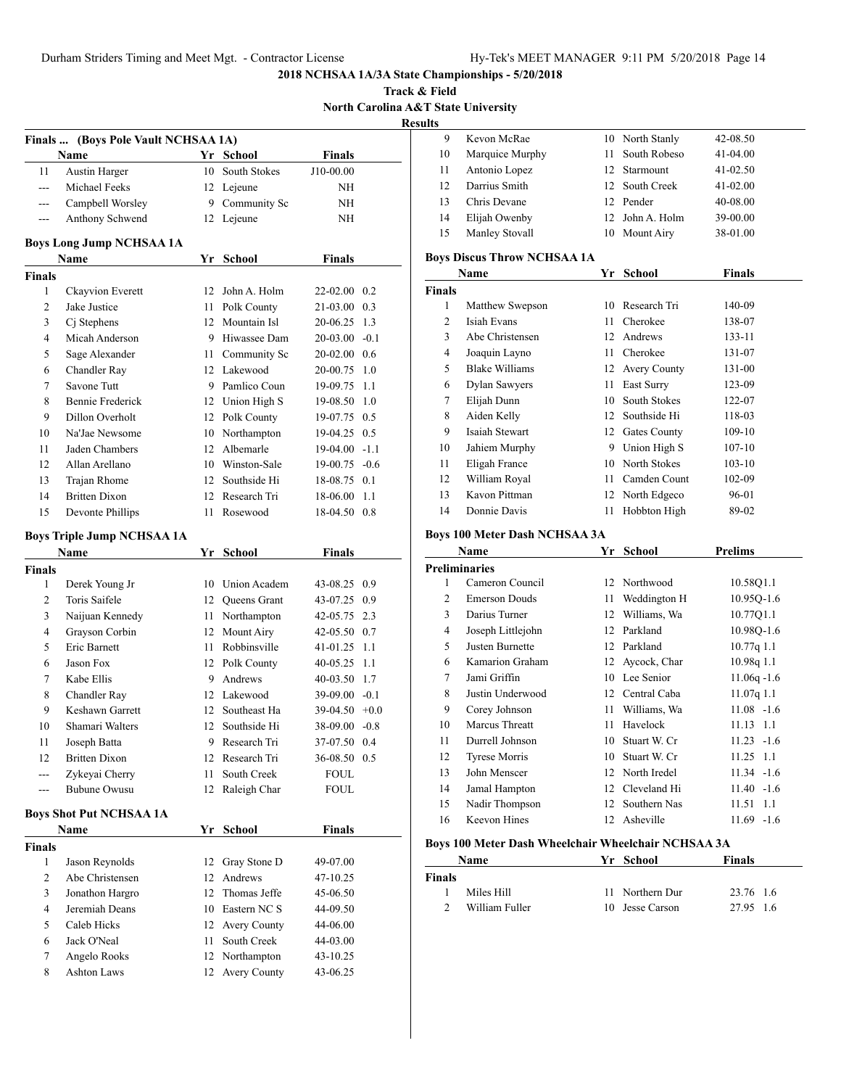**Track & Field North Carolina A&T State University Results**

| Finals         | (Boys Pole Vault NCHSAA 1A)       |    |                 |                 |        |
|----------------|-----------------------------------|----|-----------------|-----------------|--------|
|                | Name                              |    | Yr School       | <b>Finals</b>   |        |
| 11             | <b>Austin Harger</b>              | 10 | South Stokes    | J10-00.00       |        |
| ---            | Michael Feeks                     | 12 | Lejeune         | ΝH              |        |
| ---            | Campbell Worsley                  | 9. | Community Sc    | ΝH              |        |
| $---$          | Anthony Schwend                   | 12 | Lejeune         | ΝH              |        |
|                |                                   |    |                 |                 |        |
|                | <b>Boys Long Jump NCHSAA 1A</b>   |    |                 |                 |        |
|                | Name                              | Yr | <b>School</b>   | <b>Finals</b>   |        |
| <b>Finals</b>  |                                   |    |                 |                 |        |
| 1              | Ckayvion Everett                  | 12 | John A. Holm    | 22-02.00        | 0.2    |
| 2              | Jake Justice                      | 11 | Polk County     | 21-03.00        | 0.3    |
| 3              | Cj Stephens                       |    | 12 Mountain Isl | 20-06.25        | 1.3    |
| 4              | Micah Anderson                    |    | 9 Hiwassee Dam  | $20-03.00 -0.1$ |        |
| 5              | Sage Alexander                    |    | 11 Community Sc | 20-02.00 0.6    |        |
| 6              | Chandler Ray                      |    | 12 Lakewood     | 20-00.75        | 1.0    |
| 7              | Savone Tutt                       |    | 9 Pamlico Coun  | 19-09.75        | 1.1    |
| 8              | <b>Bennie Frederick</b>           |    | 12 Union High S | 19-08.50        | 1.0    |
| 9              | Dillon Overholt                   |    | 12 Polk County  | 19-07.75 0.5    |        |
| 10             | Na'Jae Newsome                    |    | 10 Northampton  | 19-04.25        | 0.5    |
| 11             | Jaden Chambers                    | 12 | Albemarle       | 19-04.00        | $-1.1$ |
| 12             | Allan Arellano                    | 10 | Winston-Sale    | 19-00.75        | $-0.6$ |
| 13             | Trajan Rhome                      | 12 | Southside Hi    | 18-08.75        | 0.1    |
| 14             | <b>Britten Dixon</b>              | 12 | Research Tri    | 18-06.00        | 1.1    |
| 15             | Devonte Phillips                  | 11 | Rosewood        | 18-04.50        | 0.8    |
|                | <b>Boys Triple Jump NCHSAA 1A</b> |    |                 |                 |        |
|                | Name                              | Yr | <b>School</b>   | Finals          |        |
| <b>Finals</b>  |                                   |    |                 |                 |        |
| 1              | Derek Young Jr                    | 10 | Union Academ    | 43-08.25        | 0.9    |
| 2              | Toris Saifele                     |    | 12 Queens Grant | 43-07.25        | 0.9    |
| 3              | Naijuan Kennedy                   | 11 | Northampton     | 42-05.75        | 2.3    |
| 4              | Grayson Corbin                    |    | 12 Mount Airy   | 42-05.50 0.7    |        |
| 5              | Eric Barnett                      |    | 11 Robbinsville | 41-01.25        | 1.1    |
| 6              | Jason Fox                         |    | 12 Polk County  | 40-05.25        | 1.1    |
| 7              | Kabe Ellis                        |    | 9 Andrews       | 40-03.50        | 1.7    |
| 8              | Chandler Ray                      |    | 12 Lakewood     | $39-09.00 -0.1$ |        |
| 9              | Keshawn Garrett                   | 12 | Southeast Ha    | $39-04.50 +0.0$ |        |
| 10             | Shamari Walters                   | 12 | Southside Hi    | 38-09.00        | $-0.8$ |
| 11             | Joseph Batta                      |    | 9 Research Tri  | 37-07.50 0.4    |        |
| 12             | <b>Britten Dixon</b>              |    | 12 Research Tri | 36-08.50 0.5    |        |
| $\overline{a}$ | Zykeyai Cherry                    | 11 | South Creek     | FOUL            |        |
| ---            | <b>Bubune Owusu</b>               | 12 | Raleigh Char    | FOUL            |        |
|                | <b>Boys Shot Put NCHSAA 1A</b>    |    |                 |                 |        |
|                | Name                              |    | Yr School       | Finals          |        |
| <b>Finals</b>  |                                   |    |                 |                 |        |
| 1              | Jason Reynolds                    | 12 | Gray Stone D    | 49-07.00        |        |
| 2              | Abe Christensen                   |    | 12 Andrews      | 47-10.25        |        |
| 3              | Jonathon Hargro                   | 12 | Thomas Jeffe    | 45-06.50        |        |
| 4              | Jeremiah Deans                    |    | 10 Eastern NC S | 44-09.50        |        |
| 5              | Caleb Hicks                       |    | 12 Avery County | 44-06.00        |        |
| 6              | Jack O'Neal                       | 11 | South Creek     | 44-03.00        |        |
| 7              | Angelo Rooks                      | 12 | Northampton     | 43-10.25        |        |
| 8              | <b>Ashton Laws</b>                | 12 | Avery County    | 43-06.25        |        |
|                |                                   |    |                 |                 |        |

| s   |                 |     |                 |              |
|-----|-----------------|-----|-----------------|--------------|
| 9   | Kevon McRae     |     | 10 North Stanly | 42-08.50     |
| 10  | Marquice Murphy | 11. | South Robeso    | $41-04.00$   |
| 11  | Antonio Lopez   |     | 12 Starmount    | $41 - 02.50$ |
| 12  | Darrius Smith   |     | 12 South Creek  | $41 - 02.00$ |
| 13  | Chris Devane    |     | 12 Pender       | 40-08.00     |
| 14  | Elijah Owenby   |     | 12 John A. Holm | 39-00.00     |
| -15 | Manley Stovall  |     | 10 Mount Airy   | 38-01.00     |

#### **Boys Discus Throw NCHSAA 1A**

|               | Name            | Yr | <b>School</b>   | <b>Finals</b> |  |
|---------------|-----------------|----|-----------------|---------------|--|
| <b>Finals</b> |                 |    |                 |               |  |
| 1             | Matthew Swepson | 10 | Research Tri    | 140-09        |  |
| 2             | Isiah Evans     | 11 | Cherokee        | 138-07        |  |
| 3             | Abe Christensen | 12 | Andrews         | 133-11        |  |
| 4             | Joaquin Layno   | 11 | Cherokee        | 131-07        |  |
| 5             | Blake Williams  | 12 | Avery County    | 131-00        |  |
| 6             | Dylan Sawyers   | 11 | East Surry      | 123-09        |  |
| 7             | Elijah Dunn     | 10 | South Stokes    | 122-07        |  |
| 8             | Aiden Kelly     | 12 | Southside Hi    | 118-03        |  |
| 9             | Isaiah Stewart  |    | 12 Gates County | 109-10        |  |
| 10            | Jahiem Murphy   | 9  | Union High S    | $107 - 10$    |  |
| 11            | Eligah France   | 10 | North Stokes    | $103 - 10$    |  |
| 12            | William Royal   | 11 | Camden Count    | 102-09        |  |
| 13            | Kavon Pittman   | 12 | North Edgeco    | 96-01         |  |
| 14            | Donnie Davis    | 11 | Hobbton High    | 89-02         |  |

# **Boys 100 Meter Dash NCHSAA 3A**

|    | Name                 | Yr | School          | <b>Prelims</b>    |
|----|----------------------|----|-----------------|-------------------|
|    | <b>Preliminaries</b> |    |                 |                   |
| 1  | Cameron Council      |    | 12 Northwood    | 10.58Q1.1         |
| 2  | <b>Emerson Douds</b> | 11 | Weddington H    | 10.95Q-1.6        |
| 3  | Darius Turner        | 12 | Williams, Wa    | 10.77Q1.1         |
| 4  | Joseph Littlejohn    | 12 | Parkland        | 10.98Q-1.6        |
| 5  | Justen Burnette      | 12 | Parkland        | 10.77q 1.1        |
| 6  | Kamarion Graham      | 12 | Aycock, Char    | 10.98q 1.1        |
| 7  | Jami Griffin         | 10 | Lee Senior      | $11.06q - 1.6$    |
| 8  | Justin Underwood     | 12 | Central Caba    | $11.07q$ 1.1      |
| 9  | Corey Johnson        | 11 | Williams, Wa    | $11.08 - 1.6$     |
| 10 | Marcus Threatt       | 11 | Havelock        | $11.13 \quad 1.1$ |
| 11 | Durrell Johnson      | 10 | Stuart W. Cr    | $11.23 - 1.6$     |
| 12 | <b>Tyrese Morris</b> | 10 | Stuart W. Cr    | 11.25 1.1         |
| 13 | John Menscer         |    | 12 North Iredel | $11.34 - 1.6$     |
| 14 | Jamal Hampton        | 12 | Cleveland Hi    | $11.40 - 1.6$     |
| 15 | Nadir Thompson       | 12 | Southern Nas    | 11.51 1.1         |
| 16 | Keevon Hines         | 12 | Asheville       | $11.69 - 1.6$     |
|    |                      |    |                 |                   |

# **Boys 100 Meter Dash Wheelchair Wheelchair NCHSAA 3A**

|               | Name           | Yr School       | Finals    |
|---------------|----------------|-----------------|-----------|
| <b>Finals</b> |                |                 |           |
|               | Miles Hill     | 11 Northern Dur | 23.76 1.6 |
|               | William Fuller | 10 Jesse Carson | 27.95 1.6 |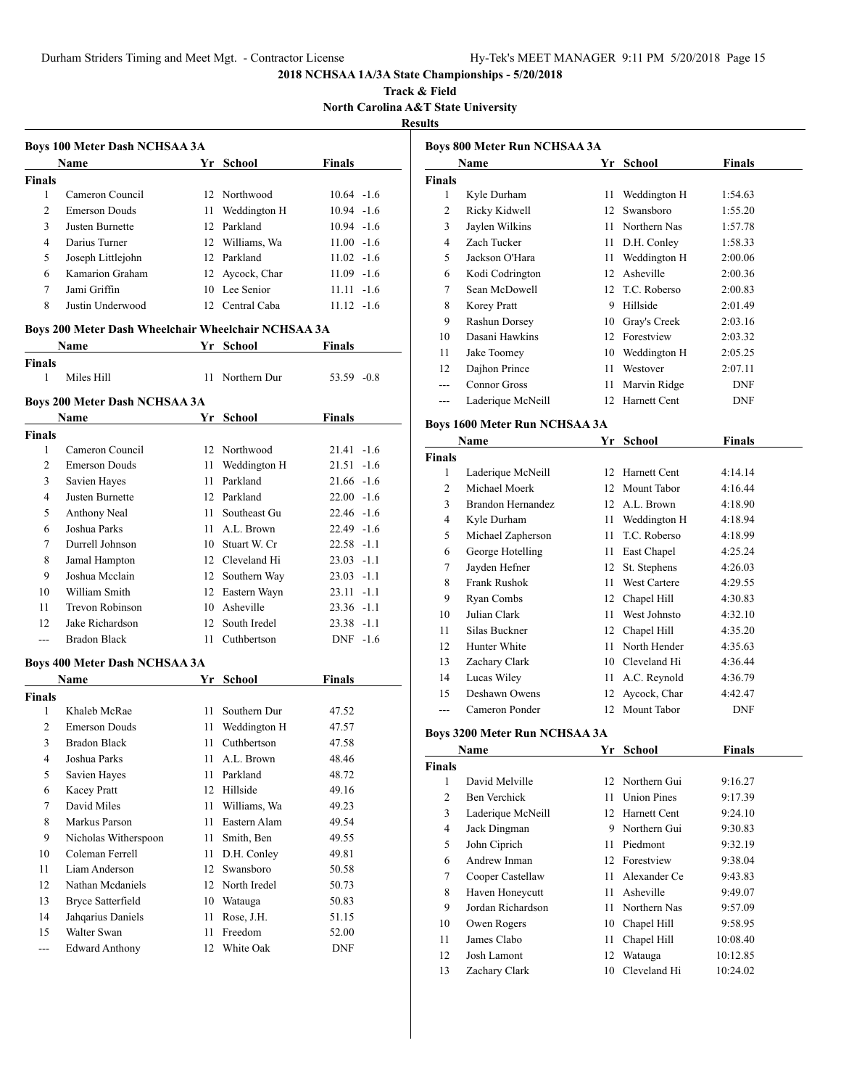**Track & Field North Carolina A&T State University**

# **Results**

|                | <b>Boys 100 Meter Dash NCHSAA 3A</b>                |     |                 |               |
|----------------|-----------------------------------------------------|-----|-----------------|---------------|
|                | Name                                                |     | Yr School       | Finals        |
| <b>Finals</b>  |                                                     |     |                 |               |
| 1              | Cameron Council                                     |     | 12 Northwood    | $10.64 - 1.6$ |
| $\overline{c}$ | <b>Emerson Douds</b>                                |     | 11 Weddington H | $10.94 - 1.6$ |
| 3              | Justen Burnette                                     |     | 12 Parkland     | $10.94 - 1.6$ |
| 4              | Darius Turner                                       |     | 12 Williams, Wa | $11.00 -1.6$  |
| 5              | Joseph Littlejohn                                   |     | 12 Parkland     | $11.02 - 1.6$ |
| 6              | Kamarion Graham                                     |     | 12 Aycock, Char | $11.09 - 1.6$ |
| 7              | Jami Griffin                                        |     | 10 Lee Senior   | $11.11 - 1.6$ |
| 8              | Justin Underwood                                    |     | 12 Central Caba | $11.12 -1.6$  |
|                | Boys 200 Meter Dash Wheelchair Wheelchair NCHSAA 3A |     |                 |               |
|                | <b>Name</b>                                         |     | Yr School       | Finals        |
| <b>Finals</b>  |                                                     |     |                 |               |
| 1              | Miles Hill                                          |     | 11 Northern Dur | 53.59 -0.8    |
|                | <b>Boys 200 Meter Dash NCHSAA 3A</b>                |     |                 |               |
|                | <b>Name</b>                                         |     | Yr School       | Finals        |
| <b>Finals</b>  |                                                     |     |                 |               |
| 1              | Cameron Council                                     |     | 12 Northwood    | $21.41 - 1.6$ |
| $\overline{c}$ | <b>Emerson Douds</b>                                |     | 11 Weddington H | $21.51 - 1.6$ |
| 3              | Savien Hayes                                        |     | 11 Parkland     | $21.66 - 1.6$ |
| 4              | Justen Burnette                                     |     | 12 Parkland     | $22.00 -1.6$  |
| 5              | Anthony Neal                                        |     | 11 Southeast Gu | $22.46 - 1.6$ |
| 6              | Joshua Parks                                        |     | 11 A.L. Brown   | $22.49 -1.6$  |
| 7              | Durrell Johnson                                     |     | 10 Stuart W. Cr | $22.58 - 1.1$ |
| 8              | Jamal Hampton                                       |     | 12 Cleveland Hi | $23.03 -1.1$  |
| 9              | Joshua Mcclain                                      |     | 12 Southern Way | $23.03 -1.1$  |
| 10             | William Smith                                       |     | 12 Eastern Wayn | $23.11 - 1.1$ |
| 11             | Trevon Robinson                                     |     | 10 Asheville    | $23.36 - 1.1$ |
| 12             | Jake Richardson                                     |     | 12 South Iredel | 23.38 -1.1    |
| ---            | <b>Bradon Black</b>                                 | 11  | Cuthbertson     | $DNF -1.6$    |
|                | <b>Boys 400 Meter Dash NCHSAA 3A</b>                |     |                 |               |
|                | Name                                                |     | Yr School       | Finals        |
| <b>Finals</b>  |                                                     |     |                 |               |
| 1              | Khaleb McRae                                        | 11. | Southern Dur    | 47.52         |
| $\overline{c}$ | <b>Emerson Douds</b>                                | 11  | Weddington H    | 47.57         |
| 3              | <b>Bradon Black</b>                                 | 11  | Cuthbertson     | 47.58         |
| 4              | Joshua Parks                                        | 11  | A.L. Brown      | 48.46         |
| 5              | Savien Hayes                                        | 11  | Parkland        | 48.72         |
| 6              | <b>Kacey Pratt</b>                                  | 12  | Hillside        | 49.16         |
| 7              | David Miles                                         | 11  | Williams, Wa    | 49.23         |
| 8              | Markus Parson                                       | 11  | Eastern Alam    | 49.54         |
| 9              | Nicholas Witherspoon                                | 11  | Smith, Ben      | 49.55         |
| 10             | Coleman Ferrell                                     | 11  | D.H. Conley     | 49.81         |
| 11             | Liam Anderson                                       | 12  | Swansboro       | 50.58         |
| 12             | Nathan Mcdaniels                                    |     | 12 North Iredel | 50.73         |
| 13             | <b>Bryce Satterfield</b>                            |     | 10 Watauga      | 50.83         |
| 14             | Jahqarius Daniels                                   | 11  | Rose, J.H.      | 51.15         |
| 15             | Walter Swan                                         | 11  | Freedom         | 52.00         |
| $\overline{a}$ | <b>Edward Anthony</b>                               |     | 12 White Oak    | <b>DNF</b>    |
|                |                                                     |     |                 |               |

|                | <b>Boys 800 Meter Run NCHSAA 3A</b>  |      |                                   |               |
|----------------|--------------------------------------|------|-----------------------------------|---------------|
|                | Name                                 |      | Yr School                         | <b>Finals</b> |
| <b>Finals</b>  |                                      |      |                                   |               |
| 1              | Kyle Durham                          |      | 11 Weddington H                   | 1:54.63       |
| 2              | Ricky Kidwell                        |      | 12 Swansboro                      | 1:55.20       |
| 3              | Jaylen Wilkins                       |      | 11 Northern Nas                   | 1:57.78       |
| 4              | Zach Tucker                          |      | 11 D.H. Conley                    | 1:58.33       |
| 5              | Jackson O'Hara                       |      | 11 Weddington H                   | 2:00.06       |
| 6              | Kodi Codrington                      |      | 12 Asheville                      | 2:00.36       |
| 7              | Sean McDowell                        |      | 12 T.C. Roberso                   | 2:00.83       |
| 8              | Korey Pratt                          |      | 9 Hillside                        | 2:01.49       |
| 9              | Rashun Dorsey                        |      | 10 Gray's Creek                   | 2:03.16       |
| 10             | Dasani Hawkins                       |      | 12 Forestview                     | 2:03.32       |
| 11             | Jake Toomey                          |      | 10 Weddington H                   | 2:05.25       |
| 12             | Dajhon Prince                        |      | 11 Westover                       | 2:07.11       |
| ---            | <b>Connor Gross</b>                  | 11   | Marvin Ridge                      | <b>DNF</b>    |
| $---$          | Laderique McNeill                    |      | 12 Harnett Cent                   | DNF           |
|                | <b>Boys 1600 Meter Run NCHSAA 3A</b> |      |                                   |               |
|                | Name                                 | Yr   | <b>School</b>                     | <b>Finals</b> |
| <b>Finals</b>  |                                      |      |                                   |               |
| 1              | Laderique McNeill                    |      | 12 Harnett Cent                   | 4:14.14       |
| 2              | Michael Moerk                        |      | 12 Mount Tabor                    | 4:16.44       |
| 3              | <b>Brandon Hernandez</b>             |      | 12 A.L. Brown                     | 4:18.90       |
| 4              | Kyle Durham                          |      | 11 Weddington H                   | 4:18.94       |
| 5              | Michael Zapherson                    | 11 - | T.C. Roberso                      | 4:18.99       |
| 6              | George Hotelling                     |      | 11 East Chapel                    | 4:25.24       |
| 7              | Jayden Hefner                        |      | 12 St. Stephens                   | 4:26.03       |
| 8              | <b>Frank Rushok</b>                  |      | 11 West Cartere                   | 4:29.55       |
| 9              | Ryan Combs                           |      | 12 Chapel Hill                    | 4:30.83       |
| 10             | Julian Clark                         |      | 11 West Johnsto                   | 4:32.10       |
| 11             | Silas Buckner                        |      |                                   | 4:35.20       |
|                | Hunter White                         |      | 12 Chapel Hill<br>11 North Hender |               |
| 12             |                                      |      |                                   | 4:35.63       |
| 13             | Zachary Clark                        |      | 10 Cleveland Hi                   | 4:36.44       |
| 14             | Lucas Wiley                          |      | 11 A.C. Reynold                   | 4:36.79       |
| 15             | Deshawn Owens                        |      | 12 Aycock, Char                   | 4:42.47       |
| ---            | Cameron Ponder                       |      | 12 Mount Tabor                    | DNF           |
|                | Boys 3200 Meter Run NCHSAA 3A        |      |                                   |               |
|                | Name                                 |      | Yr School                         | Finals        |
| <b>Finals</b>  |                                      |      |                                   |               |
| 1              | David Melville                       | 12   | Northern Gui                      | 9:16.27       |
| $\overline{c}$ | Ben Verchick                         | 11   | <b>Union Pines</b>                | 9:17.39       |
| 3              | Laderique McNeill                    |      | 12 Harnett Cent                   | 9:24.10       |
| $\overline{4}$ | Jack Dingman                         |      | 9 Northern Gui                    | 9:30.83       |
| 5              | John Ciprich                         | 11   | Piedmont                          | 9:32.19       |
| 6              | Andrew Inman                         | 12   | Forestview                        | 9:38.04       |
| 7              | Cooper Castellaw                     | 11   | Alexander Ce                      | 9:43.83       |
| 8              | Haven Honeycutt                      | 11   | Asheville                         | 9:49.07       |
| 9              | Jordan Richardson                    | 11   | Northern Nas                      | 9:57.09       |
| 10             | Owen Rogers                          | 10   | Chapel Hill                       | 9:58.95       |
| 11             | James Clabo                          | 11   | Chapel Hill                       | 10:08.40      |
| 12             | Josh Lamont                          | 12   | Watauga                           | 10:12.85      |
| 13             | Zachary Clark                        | 10   | Cleveland Hi                      | 10:24.02      |
|                |                                      |      |                                   |               |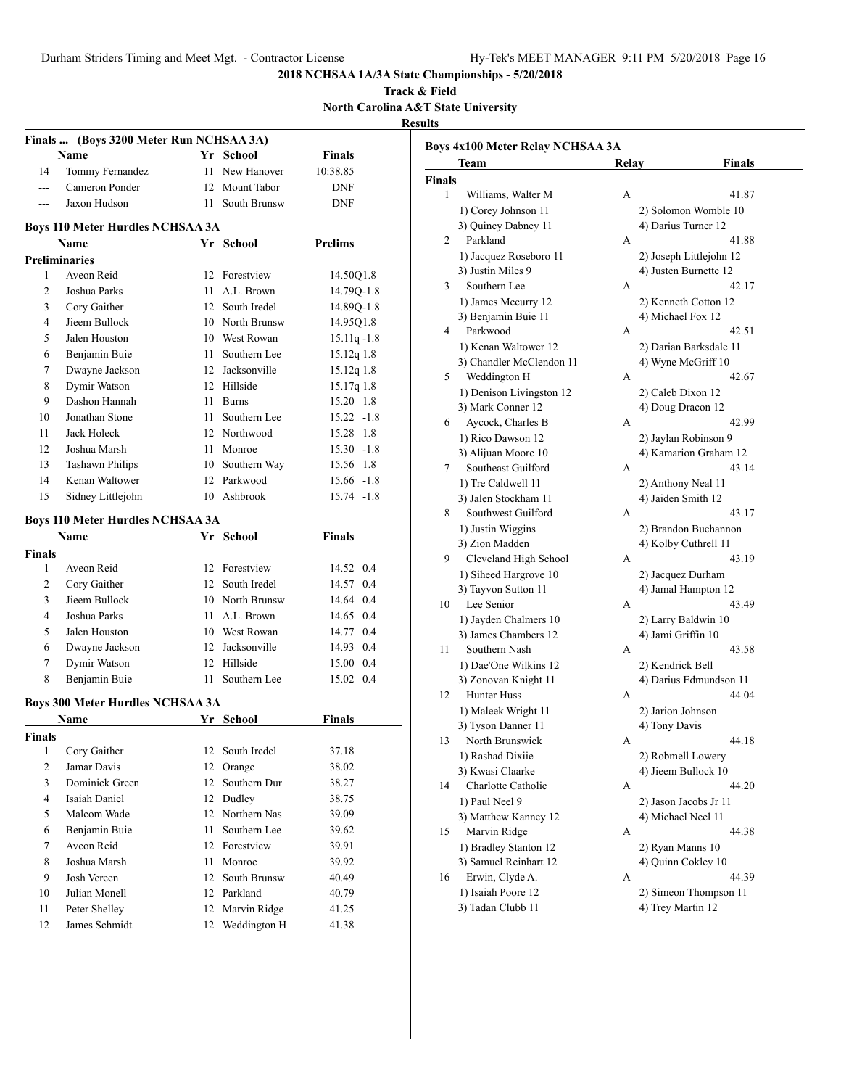**Track & Field North Carolina A&T State University Results**

|                | Finals  (Boys 3200 Meter Run NCHSAA 3A) |      |                 |                |
|----------------|-----------------------------------------|------|-----------------|----------------|
|                | Name                                    |      | Yr School       | <b>Finals</b>  |
| 14             | Tommy Fernandez                         | 11   | New Hanover     | 10:38.85       |
| $\overline{a}$ | Cameron Ponder                          |      | 12 Mount Tabor  | DNF            |
| $---$          | Jaxon Hudson                            |      | 11 South Brunsw | <b>DNF</b>     |
|                |                                         |      |                 |                |
|                | <b>Boys 110 Meter Hurdles NCHSAA 3A</b> |      |                 |                |
|                | Name                                    |      | Yr School       | Prelims        |
|                | <b>Preliminaries</b>                    |      |                 |                |
| 1              | Aveon Reid                              | 12   | Forestview      | 14.50O1.8      |
| 2              | Joshua Parks                            | 11   | A.L. Brown      | 14.79Q-1.8     |
| 3              | Cory Gaither                            |      | 12 South Iredel | 14.89Q-1.8     |
| $\overline{4}$ | Jieem Bullock                           |      | 10 North Brunsw | 14.95Q1.8      |
| 5              | Jalen Houston                           |      | 10 West Rowan   | $15.11q - 1.8$ |
| 6              | Benjamin Buie                           | 11 - | Southern Lee    | 15.12q 1.8     |
| 7              | Dwayne Jackson                          |      | 12 Jacksonville | $15.12q$ 1.8   |
| 8              | Dymir Watson                            |      | 12 Hillside     | 15.17q 1.8     |
| 9              | Dashon Hannah                           | 11   | <b>Burns</b>    | 15.20 1.8      |
| 10             | Jonathan Stone                          | 11   | Southern Lee    | $15.22 - 1.8$  |
| 11             | Jack Holeck                             |      | 12 Northwood    | 15.28 1.8      |
| 12             | Joshua Marsh                            | 11   | Monroe          | $15.30 -1.8$   |
| 13             | <b>Tashawn Philips</b>                  | 10   | Southern Way    | 15.56 1.8      |
| 14             | Kenan Waltower                          | 12   | Parkwood        | $15.66 - 1.8$  |
| 15             | Sidney Littlejohn                       |      | 10 Ashbrook     | $15.74 - 1.8$  |
|                |                                         |      |                 |                |
|                | <b>Boys 110 Meter Hurdles NCHSAA 3A</b> |      | Yr School       | <b>Finals</b>  |
| <b>Finals</b>  | Name                                    |      |                 |                |
| 1              | Aveon Reid                              |      | 12 Forestview   | 14.52 0.4      |
| 2              | Cory Gaither                            |      | 12 South Iredel | 14.57 0.4      |
| 3              | Jieem Bullock                           |      | 10 North Brunsw | 14.64 0.4      |
| $\overline{4}$ | Joshua Parks                            | 11   | A.L. Brown      | 14.65 0.4      |
| 5              | Jalen Houston                           |      | 10 West Rowan   | 14.77 0.4      |
| 6              | Dwayne Jackson                          |      | 12 Jacksonville | 14.93 0.4      |
| 7              | Dymir Watson                            | 12   | Hillside        | 15.00 0.4      |
| 8              | Benjamin Buie                           |      | 11 Southern Lee | 15.02 0.4      |
|                |                                         |      |                 |                |
|                | <b>Boys 300 Meter Hurdles NCHSAA 3A</b> |      |                 |                |
|                | Name                                    |      | Yr School       | <b>Finals</b>  |
| Finals         |                                         |      |                 |                |
| $\mathbf{1}$   | Cory Gaither                            | 12   | South Iredel    | 37.18          |
| $\overline{c}$ | Jamar Davis                             | 12   | Orange          | 38.02          |
| 3              | Dominick Green                          | 12   | Southern Dur    | 38.27          |
| 4              | Isaiah Daniel                           | 12   | Dudley          | 38.75          |
| 5              | Malcom Wade                             | 12   | Northern Nas    | 39.09          |
| 6              | Benjamin Buie                           | 11   | Southern Lee    | 39.62          |
| $\tau$         | Aveon Reid                              | 12   | Forestview      | 39.91          |
| 8              | Joshua Marsh                            | 11   | Monroe          | 39.92          |
| 9              | Josh Vereen                             | 12   | South Brunsw    | 40.49          |
| 10             | Julian Monell                           | 12   | Parkland        | 40.79          |
| 11             | Peter Shelley                           | 12   | Marvin Ridge    | 41.25          |
| 12             | James Schmidt                           | 12   | Weddington H    | 41.38          |

|               | <b>Boys 4x100 Meter Relay NCHSAA 3A</b> |       |                         |
|---------------|-----------------------------------------|-------|-------------------------|
|               | Team                                    | Relay | <b>Finals</b>           |
| <b>Finals</b> |                                         |       |                         |
| 1             | Williams, Walter M                      | А     | 41.87                   |
|               | 1) Corey Johnson 11                     |       | 2) Solomon Womble 10    |
|               | 3) Quincy Dabney 11                     |       | 4) Darius Turner 12     |
| 2             | Parkland                                | А     | 41.88                   |
|               | 1) Jacquez Roseboro 11                  |       | 2) Joseph Littlejohn 12 |
|               | 3) Justin Miles 9                       |       | 4) Justen Burnette 12   |
| 3             | Southern Lee                            | А     | 42.17                   |
|               | 1) James Mccurry 12                     |       | 2) Kenneth Cotton 12    |
|               | 3) Benjamin Buie 11                     |       | 4) Michael Fox 12       |
| 4             | Parkwood                                | А     | 42.51                   |
|               | 1) Kenan Waltower 12                    |       | 2) Darian Barksdale 11  |
|               | 3) Chandler McClendon 11                |       | 4) Wyne McGriff 10      |
| 5             | Weddington H                            | А     | 42.67                   |
|               | 1) Denison Livingston 12                |       | 2) Caleb Dixon 12       |
|               | 3) Mark Conner 12                       |       | 4) Doug Dracon 12       |
| 6             | Aycock, Charles B                       | А     | 42.99                   |
|               | 1) Rico Dawson 12                       |       | 2) Jaylan Robinson 9    |
|               | 3) Alijuan Moore 10                     |       | 4) Kamarion Graham 12   |
| 7             | Southeast Guilford                      | А     | 43.14                   |
|               | 1) Tre Caldwell 11                      |       | 2) Anthony Neal 11      |
|               | 3) Jalen Stockham 11                    |       | 4) Jaiden Smith 12      |
| 8             | Southwest Guilford                      | А     | 43.17                   |
|               | 1) Justin Wiggins                       |       | 2) Brandon Buchannon    |
|               | 3) Zion Madden                          |       | 4) Kolby Cuthrell 11    |
| 9             | Cleveland High School                   | А     | 43.19                   |
|               | 1) Siheed Hargrove 10                   |       | 2) Jacquez Durham       |
|               | 3) Tayvon Sutton 11                     |       | 4) Jamal Hampton 12     |
| 10            | Lee Senior                              | А     | 43.49                   |
|               | 1) Jayden Chalmers 10                   |       | 2) Larry Baldwin 10     |
|               | 3) James Chambers 12                    |       | 4) Jami Griffin 10      |
| 11            | Southern Nash                           | А     | 43.58                   |
|               | 1) Dae'One Wilkins 12                   |       | 2) Kendrick Bell        |
|               | 3) Zonovan Knight 11                    |       | 4) Darius Edmundson 11  |
| 12            | Hunter Huss                             | A     | 44.04                   |
|               | 1) Maleek Wright 11                     |       | 2) Jarion Johnson       |
|               | 3) Tyson Danner 11                      |       | 4) Tony Davis           |
| 13            | North Brunswick                         |       | 44.18                   |
|               | 1) Rashad Dixiie                        |       | 2) Robmell Lowery       |
|               | 3) Kwasi Claarke                        |       | 4) Jieem Bullock 10     |
| 14            | Charlotte Catholic                      | А     | 44.20                   |
|               | 1) Paul Neel 9                          |       | 2) Jason Jacobs Jr 11   |
|               | 3) Matthew Kanney 12                    |       | 4) Michael Neel 11      |
| 15            | Marvin Ridge                            | А     | 44.38                   |
|               | 1) Bradley Stanton 12                   |       | 2) Ryan Manns 10        |
|               | 3) Samuel Reinhart 12                   |       | 4) Quinn Cokley 10      |
| 16            | Erwin, Clyde A.                         | А     | 44.39                   |
|               | 1) Isaiah Poore 12                      |       | 2) Simeon Thompson 11   |
|               | 3) Tadan Clubb 11                       |       | 4) Trey Martin 12       |
|               |                                         |       |                         |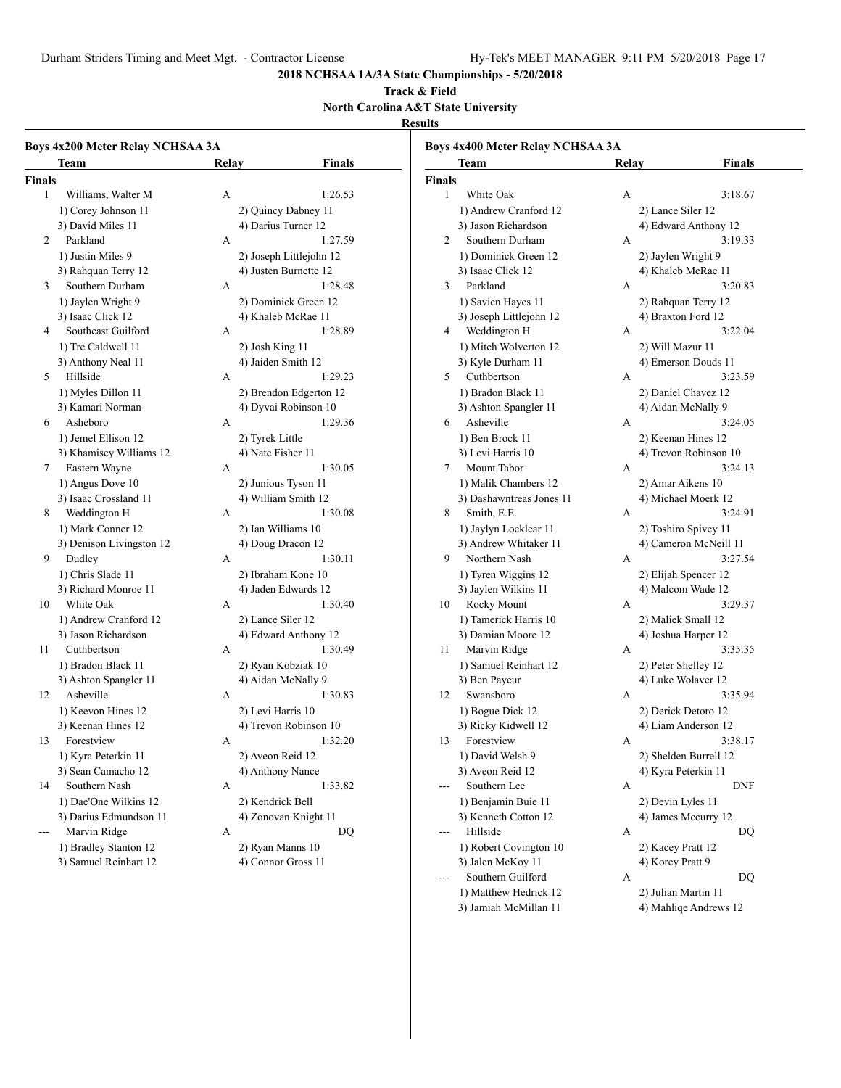Durham Striders Timing and Meet Mgt. - Contractor License Hy-Tek's MEET MANAGER 9:11 PM 5/20/2018 Page 17

**2018 NCHSAA 1A/3A State Championships - 5/20/2018**

#### **Track & Field North Carolina A&T State University**

#### **Results**

| Boys 4x200 Meter Relay NCHSAA 3A<br>Team | Relav                 | Finals                  |        | <b>Boys 4x400 Meter Relay NCHSAA 3A</b><br>Team | <b>Relay</b> | <b>Finals</b>                               |
|------------------------------------------|-----------------------|-------------------------|--------|-------------------------------------------------|--------------|---------------------------------------------|
| <b>Finals</b>                            |                       |                         | Finals |                                                 |              |                                             |
| $\mathbf{1}$<br>Williams, Walter M       | A                     | 1:26.53                 | 1      | White Oak                                       | A            | 3:18.67                                     |
| 1) Corey Johnson 11                      | 2) Quincy Dabney 11   |                         |        | 1) Andrew Cranford 12                           |              | 2) Lance Siler 12                           |
| 3) David Miles 11                        | 4) Darius Turner 12   |                         |        | 3) Jason Richardson                             |              | 4) Edward Anthony 12                        |
| Parkland<br>2                            | А                     | 1:27.59                 | 2      | Southern Durham                                 | А            | 3:19.33                                     |
| 1) Justin Miles 9                        |                       | 2) Joseph Littlejohn 12 |        | 1) Dominick Green 12                            |              | 2) Jaylen Wright 9                          |
| 3) Rahquan Terry 12                      | 4) Justen Burnette 12 |                         |        | 3) Isaac Click 12                               |              | 4) Khaleb McRae 11                          |
| Southern Durham<br>3                     | A                     | 1:28.48                 | 3      | Parkland                                        | А            | 3:20.83                                     |
| 1) Jaylen Wright 9                       | 2) Dominick Green 12  |                         |        | 1) Savien Hayes 11                              |              | 2) Rahquan Terry 12                         |
| 3) Isaac Click 12                        | 4) Khaleb McRae 11    |                         |        | 3) Joseph Littlejohn 12                         |              | 4) Braxton Ford 12                          |
| Southeast Guilford<br>4                  | А                     | 1:28.89                 | 4      | Weddington H                                    | А            | 3:22.04                                     |
| 1) Tre Caldwell 11                       | 2) Josh King 11       |                         |        | 1) Mitch Wolverton 12                           |              | 2) Will Mazur 11                            |
| 3) Anthony Neal 11                       | 4) Jaiden Smith 12    |                         |        | 3) Kyle Durham 11                               |              | 4) Emerson Douds 11                         |
| Hillside<br>5                            | A                     | 1:29.23                 | 5      | Cuthbertson                                     | А            | 3:23.59                                     |
|                                          |                       |                         |        | 1) Bradon Black 11                              |              |                                             |
| 1) Myles Dillon 11<br>3) Kamari Norman   | 4) Dyvai Robinson 10  | 2) Brendon Edgerton 12  |        | 3) Ashton Spangler 11                           |              | 2) Daniel Chavez 12<br>4) Aidan McNally 9   |
| Asheboro<br>6                            | А                     | 1:29.36                 | 6      | Asheville                                       | A            | 3:24.05                                     |
|                                          |                       |                         |        | 1) Ben Brock 11                                 |              |                                             |
| 1) Jemel Ellison 12                      | 2) Tyrek Little       |                         |        | 3) Levi Harris 10                               |              | 2) Keenan Hines 12<br>4) Trevon Robinson 10 |
| 3) Khamisey Williams 12                  | 4) Nate Fisher 11     | 1:30.05                 |        | Mount Tabor                                     |              | 3:24.13                                     |
| Eastern Wayne<br>7                       | A                     |                         | 7      |                                                 | A            |                                             |
| 1) Angus Dove 10                         | 2) Junious Tyson 11   |                         |        | 1) Malik Chambers 12                            |              | 2) Amar Aikens 10                           |
| 3) Isaac Crossland 11                    | 4) William Smith 12   |                         |        | 3) Dashawntreas Jones 11                        |              | 4) Michael Moerk 12                         |
| Weddington H<br>8                        | А                     | 1:30.08                 | 8      | Smith, E.E.                                     | А            | 3:24.91                                     |
| 1) Mark Conner 12                        | 2) Ian Williams 10    |                         |        | 1) Jaylyn Locklear 11                           |              | 2) Toshiro Spivey 11                        |
| 3) Denison Livingston 12                 | 4) Doug Dracon 12     |                         |        | 3) Andrew Whitaker 11                           |              | 4) Cameron McNeill 11                       |
| 9<br>Dudley                              | A                     | 1:30.11                 | 9      | Northern Nash                                   | A            | 3:27.54                                     |
| 1) Chris Slade 11                        | 2) Ibraham Kone 10    |                         |        | 1) Tyren Wiggins 12                             |              | 2) Elijah Spencer 12                        |
| 3) Richard Monroe 11                     | 4) Jaden Edwards 12   |                         |        | 3) Jaylen Wilkins 11                            |              | 4) Malcom Wade 12                           |
| White Oak<br>10                          | A                     | 1:30.40                 | 10     | Rocky Mount                                     | A            | 3:29.37                                     |
| 1) Andrew Cranford 12                    | 2) Lance Siler 12     |                         |        | 1) Tamerick Harris 10                           |              | 2) Maliek Small 12                          |
| 3) Jason Richardson                      |                       | 4) Edward Anthony 12    |        | 3) Damian Moore 12                              |              | 4) Joshua Harper 12                         |
| Cuthbertson<br>11                        | A                     | 1:30.49                 | 11     | Marvin Ridge                                    | А            | 3:35.35                                     |
| 1) Bradon Black 11                       | 2) Ryan Kobziak 10    |                         |        | 1) Samuel Reinhart 12                           |              | 2) Peter Shelley 12                         |
| 3) Ashton Spangler 11                    | 4) Aidan McNally 9    |                         |        | 3) Ben Payeur                                   |              | 4) Luke Wolaver 12                          |
| Asheville<br>12                          | A                     | 1:30.83                 | 12     | Swansboro                                       | A            | 3:35.94                                     |
| 1) Keevon Hines 12                       | 2) Levi Harris 10     |                         |        | 1) Bogue Dick 12                                |              | 2) Derick Detoro 12                         |
| 3) Keenan Hines 12                       |                       | 4) Trevon Robinson 10   |        | 3) Ricky Kidwell 12                             |              | 4) Liam Anderson 12                         |
| Forestview<br>13                         | А                     | 1:32.20                 | 13     | Forestview                                      | A            | 3:38.17                                     |
| 1) Kyra Peterkin 11                      | 2) Aveon Reid 12      |                         |        | 1) David Welsh 9                                |              | 2) Shelden Burrell 12                       |
| 3) Sean Camacho 12                       | 4) Anthony Nance      |                         |        | 3) Aveon Reid 12                                |              | 4) Kyra Peterkin 11                         |
| Southern Nash<br>14                      | A                     | 1:33.82                 |        | Southern Lee                                    | A            | <b>DNF</b>                                  |
| 1) Dae'One Wilkins 12                    | 2) Kendrick Bell      |                         |        | 1) Benjamin Buie 11                             |              | 2) Devin Lyles 11                           |
| 3) Darius Edmundson 11                   | 4) Zonovan Knight 11  |                         |        | 3) Kenneth Cotton 12                            |              | 4) James Mccurry 12                         |
| Marvin Ridge<br>$---$                    | A                     | DQ                      | ---    | Hillside                                        | A            | DQ                                          |
| 1) Bradley Stanton 12                    | 2) Ryan Manns 10      |                         |        | 1) Robert Covington 10                          |              | 2) Kacey Pratt 12                           |
| 3) Samuel Reinhart 12                    | 4) Connor Gross 11    |                         |        | 3) Jalen McKoy 11                               |              | 4) Korey Pratt 9                            |

1) Matthew Hedrick 12 2) Julian Martin 11 3) Jamiah McMillan 11 4) Mahliqe Andrews 12

--- Southern Guilford A DQ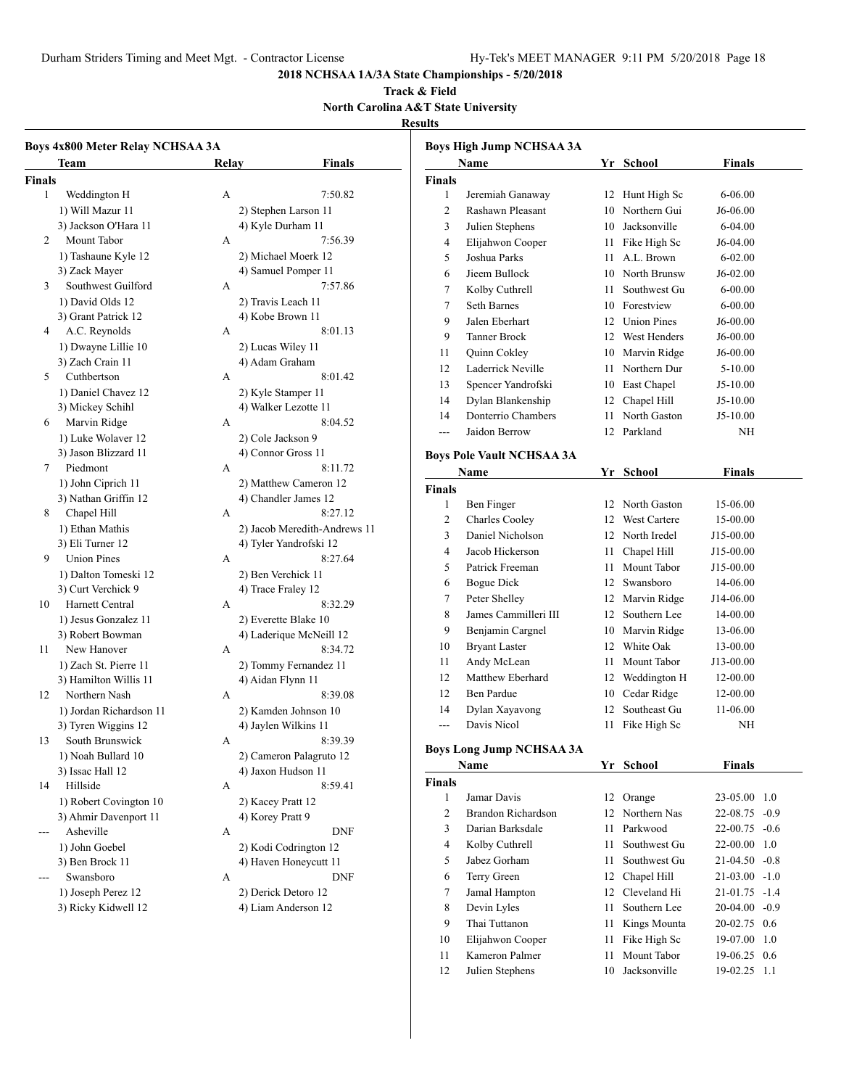Durham Striders Timing and Meet Mgt. - Contractor License Hy-Tek's MEET MANAGER 9:11 PM 5/20/2018 Page 18

10 Elijahwon Cooper 11 Fike High Sc 19-07.00 1.0 11 Kameron Palmer 11 Mount Tabor 19-06.25 0.6 12 Julien Stephens 10 Jacksonville 19-02.25 1.1

# **2018 NCHSAA 1A/3A State Championships - 5/20/2018**

#### **Track & Field North Carolina A&T State University**

# **Results**

| Boys 4x800 Meter Relay NCHSAA 3A |                         |       |                              | <b>Boys High Jump NCHSAA 3A</b> |                                  |    |                    |                 |  |
|----------------------------------|-------------------------|-------|------------------------------|---------------------------------|----------------------------------|----|--------------------|-----------------|--|
|                                  | Team                    | Relav | Finals                       |                                 | Name                             |    | Yr School          | <b>Finals</b>   |  |
| <b>Finals</b>                    |                         |       |                              | <b>Finals</b>                   |                                  |    |                    |                 |  |
| $\mathbf{1}$                     | Weddington H            | А     | 7:50.82                      | 1                               | Jeremiah Ganaway                 |    | 12 Hunt High Sc    | $6 - 06.00$     |  |
|                                  | 1) Will Mazur 11        |       | 2) Stephen Larson 11         | $\overline{2}$                  | Rashawn Pleasant                 | 10 | Northern Gui       | J6-06.00        |  |
|                                  | 3) Jackson O'Hara 11    |       | 4) Kyle Durham 11            | 3                               | Julien Stephens                  | 10 | Jacksonville       | 6-04.00         |  |
| 2                                | Mount Tabor             | А     | 7:56.39                      | $\overline{4}$                  | Elijahwon Cooper                 |    | 11 Fike High Sc    | J6-04.00        |  |
|                                  | 1) Tashaune Kyle 12     |       | 2) Michael Moerk 12          | 5                               | Joshua Parks                     |    | 11 A.L. Brown      | $6 - 02.00$     |  |
|                                  | 3) Zack Mayer           |       | 4) Samuel Pomper 11          | 6                               | Jieem Bullock                    |    | 10 North Brunsw    | $J6-02.00$      |  |
| 3                                | Southwest Guilford      | А     | 7:57.86                      | 7                               | Kolby Cuthrell                   | 11 | Southwest Gu       | $6 - 00.00$     |  |
|                                  | 1) David Olds 12        |       | 2) Travis Leach 11           | $\overline{7}$                  | Seth Barnes                      |    | 10 Forestview      | $6 - 00.00$     |  |
|                                  | 3) Grant Patrick 12     |       | 4) Kobe Brown 11             | 9                               | Jalen Eberhart                   | 12 | <b>Union Pines</b> | J6-00.00        |  |
| 4                                | A.C. Reynolds           | А     | 8:01.13                      | 9                               | Tanner Brock                     | 12 | West Henders       | J6-00.00        |  |
|                                  | 1) Dwayne Lillie 10     |       | 2) Lucas Wiley 11            | 11                              | Quinn Cokley                     |    | 10 Marvin Ridge    | J6-00.00        |  |
|                                  | 3) Zach Crain 11        |       | 4) Adam Graham               | 12                              | Laderrick Neville                |    | 11 Northern Dur    | $5 - 10.00$     |  |
| 5                                | Cuthbertson             | А     | 8:01.42                      | 13                              | Spencer Yandrofski               | 10 | East Chapel        | $J5-10.00$      |  |
|                                  | 1) Daniel Chavez 12     |       | 2) Kyle Stamper 11           | 14                              | Dylan Blankenship                |    | 12 Chapel Hill     | $J5-10.00$      |  |
|                                  | 3) Mickey Schihl        |       | 4) Walker Lezotte 11         | 14                              | Donterrio Chambers               | 11 | North Gaston       | $J5-10.00$      |  |
| 6                                | Marvin Ridge            | А     | 8:04.52                      |                                 | Jaidon Berrow                    |    | 12 Parkland        |                 |  |
|                                  | 1) Luke Wolaver 12      |       | 2) Cole Jackson 9            | $\overline{\phantom{a}}$        |                                  |    |                    | NH              |  |
|                                  | 3) Jason Blizzard 11    |       | 4) Connor Gross 11           |                                 | <b>Boys Pole Vault NCHSAA 3A</b> |    |                    |                 |  |
| 7                                | Piedmont                | А     | 8:11.72                      |                                 | <b>Name</b>                      |    | Yr School          | <b>Finals</b>   |  |
|                                  | 1) John Ciprich 11      |       | 2) Matthew Cameron 12        | <b>Finals</b>                   |                                  |    |                    |                 |  |
|                                  | 3) Nathan Griffin 12    |       | 4) Chandler James 12         | $\mathbf{1}$                    | Ben Finger                       |    | 12 North Gaston    | 15-06.00        |  |
| 8                                | Chapel Hill             | А     | 8:27.12                      | 2                               | Charles Cooley                   |    | 12 West Cartere    | 15-00.00        |  |
|                                  | 1) Ethan Mathis         |       | 2) Jacob Meredith-Andrews 11 | 3                               | Daniel Nicholson                 |    | 12 North Iredel    | J15-00.00       |  |
|                                  | 3) Eli Turner 12        |       | 4) Tyler Yandrofski 12       | $\overline{4}$                  | Jacob Hickerson                  |    | 11 Chapel Hill     | J15-00.00       |  |
| 9                                | <b>Union Pines</b>      | А     | 8:27.64                      | 5                               | Patrick Freeman                  |    | Mount Tabor        |                 |  |
|                                  | 1) Dalton Tomeski 12    |       | 2) Ben Verchick 11           |                                 |                                  | 11 |                    | J15-00.00       |  |
|                                  | 3) Curt Verchick 9      |       | 4) Trace Fraley 12           | 6                               | Bogue Dick                       |    | 12 Swansboro       | 14-06.00        |  |
| 10                               | Harnett Central         | А     | 8:32.29                      | $\overline{7}$                  | Peter Shelley                    |    | 12 Marvin Ridge    | J14-06.00       |  |
|                                  | 1) Jesus Gonzalez 11    |       | 2) Everette Blake 10         | 8                               | James Cammilleri III             | 12 | Southern Lee       | 14-00.00        |  |
|                                  | 3) Robert Bowman        |       | 4) Laderique McNeill 12      | 9                               | Benjamin Cargnel                 | 10 | Marvin Ridge       | 13-06.00        |  |
| 11                               | New Hanover             | А     | 8:34.72                      | 10                              | <b>Bryant Laster</b>             | 12 | White Oak          | 13-00.00        |  |
|                                  | 1) Zach St. Pierre 11   |       | 2) Tommy Fernandez 11        | 11                              | Andy McLean                      | 11 | Mount Tabor        | J13-00.00       |  |
|                                  | 3) Hamilton Willis 11   |       | 4) Aidan Flynn 11            | 12                              | Matthew Eberhard                 |    | 12 Weddington H    | 12-00.00        |  |
| 12                               | Northern Nash           | А     | 8:39.08                      | 12                              | Ben Pardue                       |    | 10 Cedar Ridge     | 12-00.00        |  |
|                                  | 1) Jordan Richardson 11 |       | 2) Kamden Johnson 10         | 14                              | Dylan Xayavong                   |    | 12 Southeast Gu    | 11-06.00        |  |
|                                  | 3) Tyren Wiggins 12     |       | 4) Jaylen Wilkins 11         | $---$                           | Davis Nicol                      |    | 11 Fike High Sc    | NH              |  |
| 13                               | South Brunswick         | A     | 8:39.39                      |                                 |                                  |    |                    |                 |  |
|                                  | 1) Noah Bullard 10      |       | 2) Cameron Palagruto 12      |                                 | <b>Boys Long Jump NCHSAA 3A</b>  |    |                    |                 |  |
|                                  | 3) Issac Hall 12        |       | 4) Jaxon Hudson 11           |                                 | <b>Name</b>                      |    | Yr School          | <b>Finals</b>   |  |
| 14                               | Hillside                | А     | 8:59.41                      | Finals                          |                                  |    |                    |                 |  |
|                                  | 1) Robert Covington 10  |       | 2) Kacey Pratt 12            | -1                              | Jamar Davis                      |    | 12 Orange          | 23-05.00 1.0    |  |
|                                  | 3) Ahmir Davenport 11   |       | 4) Korey Pratt 9             | $\overline{2}$                  | Brandon Richardson               |    | 12 Northern Nas    | 22-08.75 -0.9   |  |
| $--$                             | Asheville               | А     | <b>DNF</b>                   | 3                               | Darian Barksdale                 |    | 11 Parkwood        | $22-00.75 -0.6$ |  |
|                                  | 1) John Goebel          |       | 2) Kodi Codrington 12        | 4                               | Kolby Cuthrell                   | 11 | Southwest Gu       | 22-00.00 1.0    |  |
|                                  | 3) Ben Brock 11         |       | 4) Haven Honeycutt 11        | 5                               | Jabez Gorham                     | 11 | Southwest Gu       | $21-04.50 -0.8$ |  |
| $---$                            | Swansboro               | А     | <b>DNF</b>                   | 6                               | Terry Green                      |    | 12 Chapel Hill     | $21-03.00 -1.0$ |  |
|                                  | 1) Joseph Perez 12      |       | 2) Derick Detoro 12          | 7                               | Jamal Hampton                    |    | 12 Cleveland Hi    | $21-01.75 -1.4$ |  |
|                                  | 3) Ricky Kidwell 12     |       | 4) Liam Anderson 12          | 8                               | Devin Lyles                      |    | 11 Southern Lee    | 20-04.00 -0.9   |  |
|                                  |                         |       |                              | 9                               | Thai Tuttanon                    |    | 11 Kings Mounta    | 20-02.75 0.6    |  |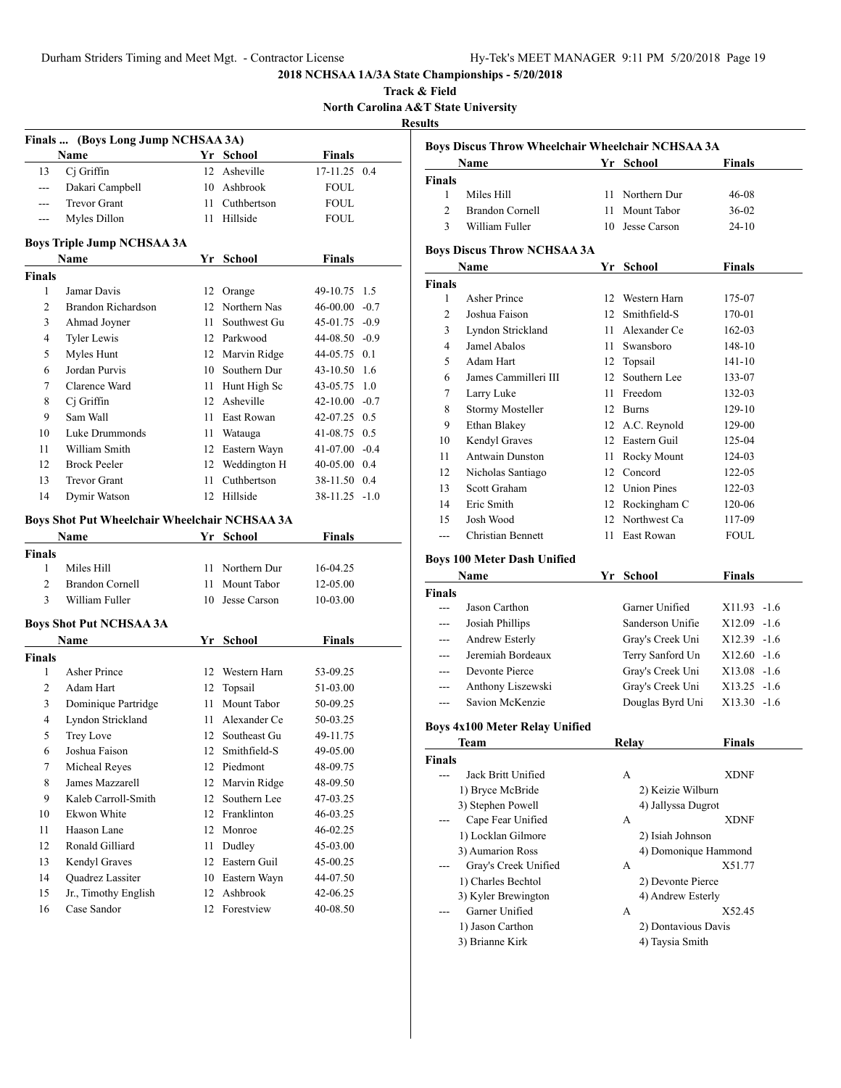|                |                                                      |    |                 |                    |        |                | 2018 NCHSAA 1A/3A State Championships - 5/20/2018 |    |                           |               |
|----------------|------------------------------------------------------|----|-----------------|--------------------|--------|----------------|---------------------------------------------------|----|---------------------------|---------------|
|                |                                                      |    |                 |                    |        | Track & Field  |                                                   |    |                           |               |
|                |                                                      |    |                 |                    |        | <b>Results</b> | North Carolina A&T State University               |    |                           |               |
|                | Finals  (Boys Long Jump NCHSAA 3A)                   |    |                 |                    |        |                |                                                   |    |                           |               |
|                | Name                                                 |    | Yr School       | <b>Finals</b>      |        |                | Boys Discus Throw Wheelchair Wheelchair NCHSAA 3A |    |                           |               |
| 13             | Cj Griffin                                           |    | 12 Asheville    | 17-11.25 0.4       |        |                | Name                                              |    | Yr School                 | Finals        |
| $\overline{a}$ | Dakari Campbell                                      | 10 | Ashbrook        | <b>FOUL</b>        |        | <b>Finals</b>  |                                                   |    |                           |               |
| $---$          | <b>Trevor Grant</b>                                  | 11 | Cuthbertson     | <b>FOUL</b>        |        | 1              | Miles Hill                                        |    | 11 Northern Dur           | $46 - 08$     |
| $---$          | Myles Dillon                                         |    | 11 Hillside     | <b>FOUL</b>        |        | 2              | <b>Brandon Cornell</b>                            |    | 11 Mount Tabor            | $36 - 02$     |
|                |                                                      |    |                 |                    |        | 3              | William Fuller                                    |    | 10 Jesse Carson           | $24-10$       |
|                | Boys Triple Jump NCHSAA 3A                           |    |                 |                    |        |                | <b>Boys Discus Throw NCHSAA 3A</b>                |    |                           |               |
|                | Name                                                 |    | Yr School       | <b>Finals</b>      |        |                | Name                                              |    | Yr School                 | Finals        |
| Finals         |                                                      |    |                 |                    |        | <b>Finals</b>  |                                                   |    |                           |               |
| 1              | Jamar Davis                                          |    | 12 Orange       | 49-10.75 1.5       |        | 1              | Asher Prince                                      |    | 12 Western Harn           | 175-07        |
| $\overline{2}$ | Brandon Richardson                                   |    | 12 Northern Nas | 46-00.00           | $-0.7$ | 2              | Joshua Faison                                     | 12 | Smithfield-S              | 170-01        |
| 3              | Ahmad Joyner                                         | 11 | Southwest Gu    | 45-01.75           | $-0.9$ | 3              | Lyndon Strickland                                 | 11 | Alexander Ce              | 162-03        |
| 4              | <b>Tyler Lewis</b>                                   |    | 12 Parkwood     | 44-08.50 -0.9      |        | 4              | Jamel Abalos                                      | 11 | Swansboro                 | 148-10        |
| 5              | Myles Hunt                                           |    | 12 Marvin Ridge | 44-05.75           | 0.1    | 5              | Adam Hart                                         |    | 12 Topsail                | 141-10        |
| 6              | Jordan Purvis                                        | 10 | Southern Dur    | 43-10.50 1.6       |        | 6              | James Cammilleri III                              | 12 | Southern Lee              | 133-07        |
| 7              | Clarence Ward                                        |    | 11 Hunt High Sc | 43-05.75           | 1.0    | 7              | Larry Luke                                        | 11 | Freedom                   | 132-03        |
| 8              | Ci Griffin                                           |    | 12 Asheville    | $42 - 10.00 - 0.7$ |        |                |                                                   |    | 12 Burns                  | 129-10        |
| 9              | Sam Wall                                             |    | 11 East Rowan   | 42-07.25 0.5       |        | 8              | <b>Stormy Mosteller</b>                           |    |                           |               |
| 10             | Luke Drummonds                                       |    | 11 Watauga      | 41-08.75 0.5       |        | 9              | Ethan Blakey                                      |    | 12 A.C. Reynold           | 129-00        |
| 11             | William Smith                                        |    | 12 Eastern Wayn | $41-07.00 -0.4$    |        | 10             | Kendyl Graves                                     |    | 12 Eastern Guil           | 125-04        |
| 12             | <b>Brock Peeler</b>                                  |    | 12 Weddington H | 40-05.00 0.4       |        | 11             | Antwain Dunston                                   | 11 | Rocky Mount               | 124-03        |
| 13             | <b>Trevor Grant</b>                                  | 11 | Cuthbertson     | 38-11.50 0.4       |        | 12             | Nicholas Santiago                                 | 12 | Concord                   | 122-05        |
| 14             | Dymir Watson                                         |    | 12 Hillside     | $38-11.25 -1.0$    |        | 13             | Scott Graham                                      | 12 | <b>Union Pines</b>        | 122-03        |
|                |                                                      |    |                 |                    |        | 14             | Eric Smith                                        | 12 | Rockingham C              | 120-06        |
|                | <b>Boys Shot Put Wheelchair Wheelchair NCHSAA 3A</b> |    |                 |                    |        | 15             | Josh Wood                                         | 12 | Northwest Ca              | 117-09        |
|                | Name                                                 |    | Yr School       | <b>Finals</b>      |        | ---            | Christian Bennett                                 | 11 | East Rowan                | <b>FOUL</b>   |
| Finals         |                                                      |    |                 |                    |        |                | <b>Boys 100 Meter Dash Unified</b>                |    |                           |               |
| 1              | Miles Hill                                           |    | 11 Northern Dur | 16-04.25           |        |                | Name                                              |    | Yr School                 | <b>Finals</b> |
| $\overline{2}$ | <b>Brandon Cornell</b>                               | 11 | Mount Tabor     | 12-05.00           |        | Finals         |                                                   |    |                           |               |
| 3              | William Fuller                                       |    | 10 Jesse Carson | 10-03.00           |        | ---            | Jason Carthon                                     |    | Garner Unified            | X11.93 -1.6   |
|                | <b>Boys Shot Put NCHSAA 3A</b>                       |    |                 |                    |        | ---            | Josiah Phillips                                   |    | Sanderson Unifie          | X12.09 -1.6   |
|                |                                                      |    |                 |                    |        | ---            | Andrew Esterly                                    |    | Gray's Creek Uni          | X12.39 -1.6   |
|                | Name                                                 |    | Yr School       | <b>Finals</b>      |        | ---            | Jeremiah Bordeaux                                 |    | Terry Sanford Un          | $X12.60 -1.6$ |
| Finals         |                                                      |    |                 |                    |        |                |                                                   |    |                           |               |
| 1              | Asher Prince                                         |    | 12 Western Harn | 53-09.25           |        |                | Devonte Pierce                                    |    | Gray's Creek Uni          | $X13.08 -1.6$ |
| 2              | Adam Hart                                            |    | 12 Topsail      | 51-03.00           |        | ---            | Anthony Liszewski                                 |    | Gray's Creek Uni          | X13.25 -1.6   |
| 3              | Dominique Partridge                                  |    | 11 Mount Tabor  | 50-09.25           |        | ---            | Savion McKenzie                                   |    | Douglas Byrd Uni          | X13.30 -1.6   |
| $\overline{4}$ | Lyndon Strickland                                    |    | 11 Alexander Ce | 50-03.25           |        |                | <b>Boys 4x100 Meter Relay Unified</b>             |    |                           |               |
| 5              | Trey Love                                            |    | 12 Southeast Gu | 49-11.75           |        |                | <b>Team</b>                                       |    | Relay                     | <b>Finals</b> |
| 6              | Joshua Faison                                        |    | 12 Smithfield-S | 49-05.00           |        | Finals         |                                                   |    |                           |               |
| 7              | Micheal Reyes                                        |    | 12 Piedmont     | 48-09.75           |        | ---            | Jack Britt Unified                                |    | A                         | <b>XDNF</b>   |
| 8              | James Mazzarell                                      |    | 12 Marvin Ridge | 48-09.50           |        |                | 1) Bryce McBride                                  |    | 2) Keizie Wilburn         |               |
| 9              | Kaleb Carroll-Smith                                  | 12 | Southern Lee    | 47-03.25           |        |                | 3) Stephen Powell                                 |    | 4) Jallyssa Dugrot        |               |
| 10             | Ekwon White                                          |    | 12 Franklinton  | 46-03.25           |        | ---            | Cape Fear Unified                                 |    | А                         | <b>XDNF</b>   |
| 11             | Haason Lane                                          |    | 12 Monroe       | 46-02.25           |        |                | 1) Locklan Gilmore                                |    | 2) Isiah Johnson          |               |
| 12             | Ronald Gilliard                                      |    | 11 Dudley       | 45-03.00           |        |                |                                                   |    |                           |               |
| 13             | Kendyl Graves                                        |    | 12 Eastern Guil | 45-00.25           |        |                | 3) Aumarion Ross<br>Gray's Creek Unified          |    | 4) Domonique Hammond<br>А | X51.77        |
| 14             | Quadrez Lassiter                                     |    | 10 Eastern Wayn | 44-07.50           |        | ---            |                                                   |    |                           |               |
| 15             | Jr., Timothy English                                 |    | 12 Ashbrook     | 42-06.25           |        |                | 1) Charles Bechtol                                |    | 2) Devonte Pierce         |               |
| 16             | Case Sandor                                          |    | 12 Forestview   | 40-08.50           |        |                | 3) Kyler Brewington                               |    | 4) Andrew Esterly         |               |
|                |                                                      |    |                 |                    |        | ---            | Garner Unified                                    |    | A                         | X52.45        |
|                |                                                      |    |                 |                    |        |                | 1) Jason Carthon                                  |    | 2) Dontavious Davis       |               |
|                |                                                      |    |                 |                    |        |                | 3) Brianne Kirk                                   |    | 4) Taysia Smith           |               |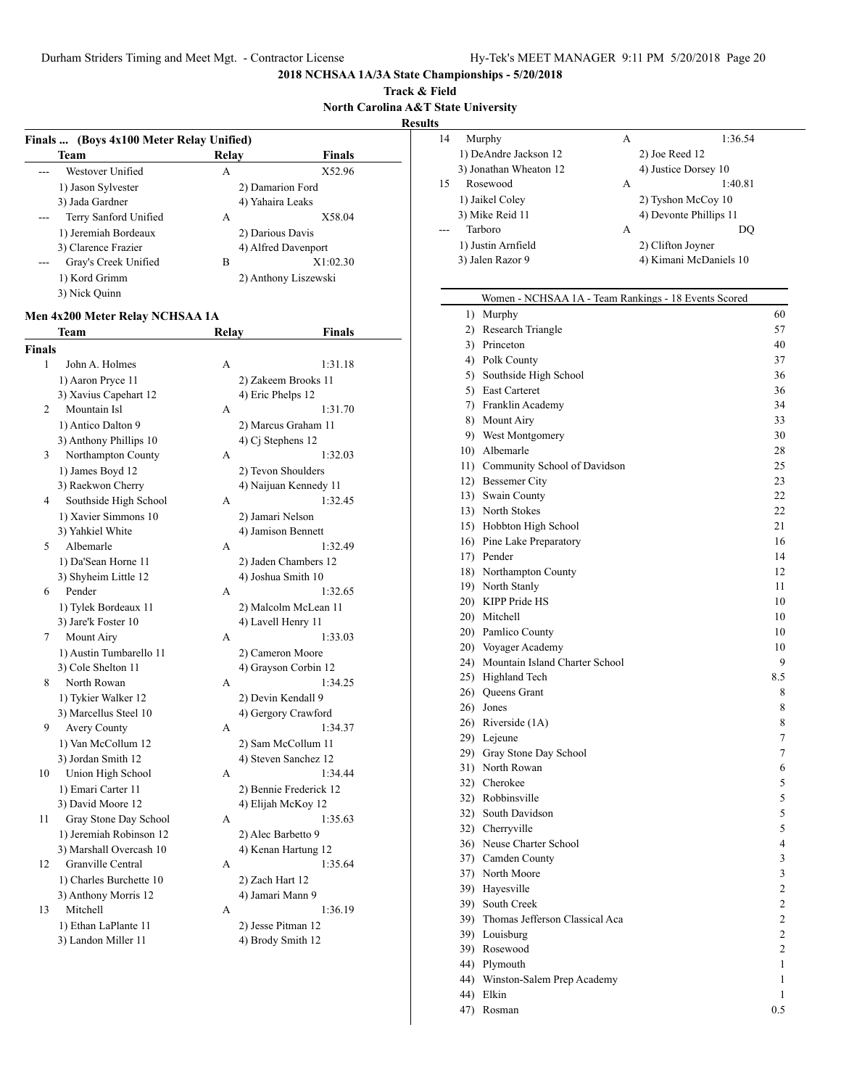**Track & Field North Carolina A&T State University**

**Results**

| Team                         | Relay            | <b>Finals</b>        |
|------------------------------|------------------|----------------------|
| Westover Unified             | А                | X52.96               |
| 1) Jason Sylvester           | 2) Damarion Ford |                      |
| 3) Jada Gardner              | 4) Yahaira Leaks |                      |
| Terry Sanford Unified<br>--- | A                | X58.04               |
| 1) Jeremiah Bordeaux         | 2) Darious Davis |                      |
| 3) Clarence Frazier          |                  | 4) Alfred Davenport  |
| Gray's Creek Unified         | B                | X1:02.30             |
| 1) Kord Grimm                |                  | 2) Anthony Liszewski |
| 3) Nick Quinn                |                  |                      |

# **Men 4x200 Meter Relay NCHSAA 1A**

|                | Team                    | <b>Relay</b> | <b>Finals</b>          |
|----------------|-------------------------|--------------|------------------------|
| <b>Finals</b>  |                         |              |                        |
| 1              | John A. Holmes          | A            | 1:31.18                |
|                | 1) Aaron Pryce 11       |              | 2) Zakeem Brooks 11    |
|                | 3) Xavius Capehart 12   |              | 4) Eric Phelps 12      |
| $\overline{2}$ | Mountain Isl            | A            | 1:31.70                |
|                | 1) Antico Dalton 9      |              | 2) Marcus Graham 11    |
|                | 3) Anthony Phillips 10  |              | 4) Cj Stephens 12      |
| 3              | Northampton County      | A            | 1:32.03                |
|                | 1) James Boyd 12        |              | 2) Tevon Shoulders     |
|                | 3) Raekwon Cherry       |              | 4) Naijuan Kennedy 11  |
| 4              | Southside High School   | A            | 1:32.45                |
|                | 1) Xavier Simmons 10    |              | 2) Jamari Nelson       |
|                | 3) Yahkiel White        |              | 4) Jamison Bennett     |
| 5              | Albemarle               | A            | 1:32.49                |
|                | 1) Da'Sean Horne 11     |              | 2) Jaden Chambers 12   |
|                | 3) Shyheim Little 12    |              | 4) Joshua Smith 10     |
| 6              | Pender                  | A            | 1:32.65                |
|                | 1) Tylek Bordeaux 11    |              | 2) Malcolm McLean 11   |
|                | 3) Jare'k Foster 10     |              | 4) Lavell Henry 11     |
| 7              | Mount Airy              | A            | 1:33.03                |
|                | 1) Austin Tumbarello 11 |              | 2) Cameron Moore       |
|                | 3) Cole Shelton 11      |              | 4) Grayson Corbin 12   |
| 8              | North Rowan             | A            | 1:34.25                |
|                | 1) Tykier Walker 12     |              | 2) Devin Kendall 9     |
|                | 3) Marcellus Steel 10   |              | 4) Gergory Crawford    |
| 9              | <b>Avery County</b>     | A            | 1:34.37                |
|                | 1) Van McCollum 12      |              | 2) Sam McCollum 11     |
|                | 3) Jordan Smith 12      |              | 4) Steven Sanchez 12   |
| 10             | Union High School       | A            | 1:34.44                |
|                | 1) Emari Carter 11      |              | 2) Bennie Frederick 12 |
|                | 3) David Moore 12       |              | 4) Elijah McKoy 12     |
| 11             | Gray Stone Day School   | A            | 1:35.63                |
|                | 1) Jeremiah Robinson 12 |              | 2) Alec Barbetto 9     |
|                | 3) Marshall Overcash 10 |              | 4) Kenan Hartung 12    |
| 12             | Granville Central       | A            | 1:35.64                |
|                | 1) Charles Burchette 10 |              | 2) Zach Hart 12        |
|                | 3) Anthony Morris 12    |              | 4) Jamari Mann 9       |
| 13             | Mitchell                | A            | 1:36.19                |
|                | 1) Ethan LaPlante 11    |              | 2) Jesse Pitman 12     |
|                | 3) Landon Miller 11     |              | 4) Brody Smith 12      |
|                |                         |              |                        |

| 14 | Murphy                 | А | 1:36.54                |
|----|------------------------|---|------------------------|
|    | 1) DeAndre Jackson 12  |   | 2) Joe Reed 12         |
|    | 3) Jonathan Wheaton 12 |   | 4) Justice Dorsey 10   |
| 15 | Rosewood               | А | 1:40.81                |
|    | 1) Jaikel Coley        |   | 2) Tyshon McCoy 10     |
|    | 3) Mike Reid 11        |   | 4) Devonte Phillips 11 |
|    | Tarboro                | А | DO                     |
|    | 1) Justin Arnfield     |   | 2) Clifton Joyner      |
|    | 3) Jalen Razor 9       |   | 4) Kimani McDaniels 10 |
|    |                        |   |                        |

# Women - NCHSAA 1A - Team Rankings - 18 Events Scored

| 1)  | Murphy                             | 60             |
|-----|------------------------------------|----------------|
|     | 2) Research Triangle               | 57             |
|     | 3) Princeton                       | 40             |
|     | 4) Polk County                     | 37             |
|     | 5) Southside High School           | 36             |
|     | 5) East Carteret                   | 36             |
|     | 7) Franklin Academy                | 34             |
|     | 8) Mount Airy                      | 33             |
|     | 9) West Montgomery                 | 30             |
|     | 10) Albemarle                      | 28             |
|     | 11) Community School of Davidson   | 25             |
|     | 12) Bessemer City                  | 23             |
|     | 13) Swain County                   | 22             |
|     | 13) North Stokes                   | 22             |
|     | 15) Hobbton High School            | 21             |
|     | 16) Pine Lake Preparatory          | 16             |
|     | 17) Pender                         | 14             |
|     | 18) Northampton County             | 12             |
|     | 19) North Stanly                   | 11             |
|     | 20) KIPP Pride HS                  | 10             |
|     | 20) Mitchell                       | 10             |
|     | 20) Pamlico County                 | 10             |
|     | 20) Voyager Academy                | 10             |
|     | 24) Mountain Island Charter School | 9              |
|     | 25) Highland Tech                  | 8.5            |
|     | 26) Queens Grant                   | 8              |
|     | 26) Jones                          | 8              |
|     | 26) Riverside (1A)                 | 8              |
|     | 29) Lejeune                        | 7              |
|     | 29) Gray Stone Day School          | $\overline{7}$ |
|     | 31) North Rowan                    | 6              |
|     | 32) Cherokee                       | 5              |
|     | 32) Robbinsville                   | 5              |
|     | 32) South Davidson                 | 5              |
|     | 32) Cherryville                    | 5              |
|     | 36) Neuse Charter School           | 4              |
|     | 37) Camden County                  | 3              |
|     | 37) North Moore                    | 3              |
|     | 39) Hayesville                     | $\overline{2}$ |
|     | 39) South Creek                    | $\overline{2}$ |
|     | 39) Thomas Jefferson Classical Aca | $\overline{c}$ |
|     | 39) Louisburg                      | $\overline{2}$ |
|     | 39) Rosewood                       | $\overline{c}$ |
|     | 44) Plymouth                       | 1              |
|     | 44) Winston-Salem Prep Academy     | 1              |
|     | 44) Elkin                          | 1              |
| 47) | Rosman                             | 0.5            |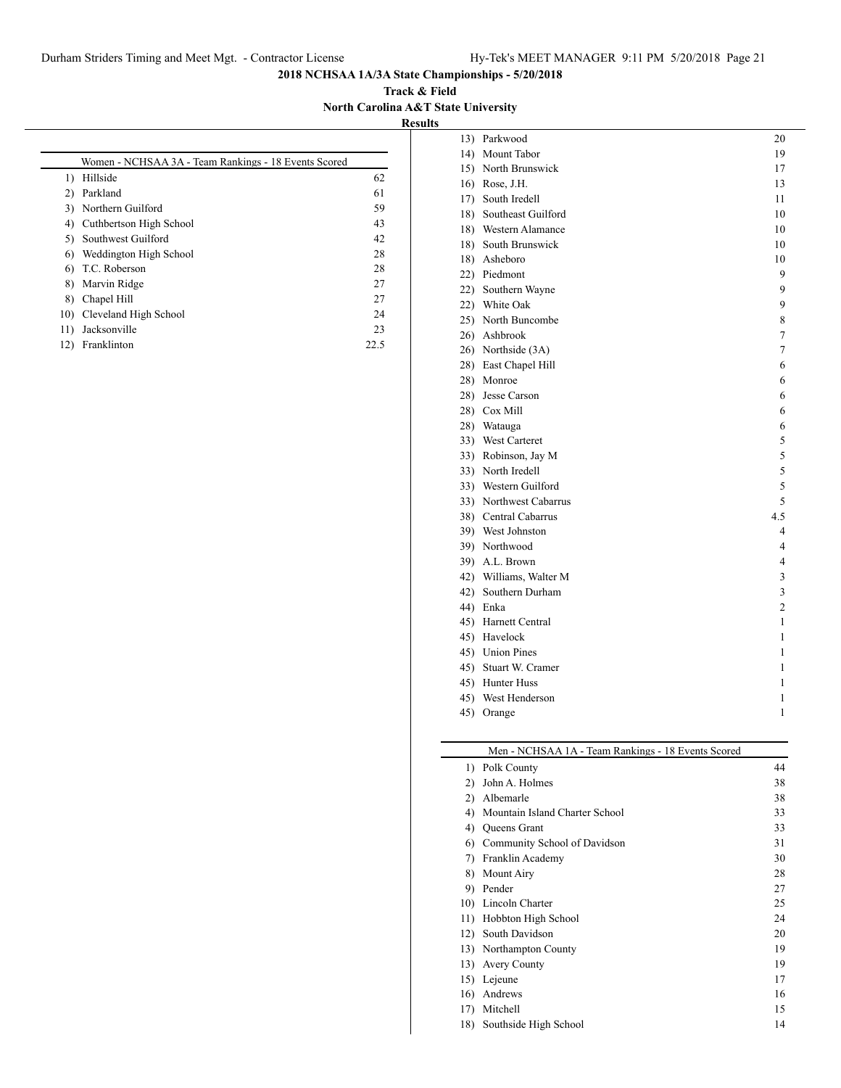**Track & Field North Carolina A&T State University**

**Results**

|     | Women - NCHSAA 3A - Team Rankings - 18 Events Scored |      |
|-----|------------------------------------------------------|------|
| 1)  | Hillside                                             | 62   |
| 2)  | Parkland                                             | 61   |
|     | 3) Northern Guilford                                 | 59   |
| 4)  | Cuthbertson High School                              | 43   |
| 5)  | Southwest Guilford                                   | 42   |
| 6)  | Weddington High School                               | 28   |
| 6)  | T.C. Roberson                                        | 28   |
| 8)  | Marvin Ridge                                         | 27   |
| 8)  | Chapel Hill                                          | 27   |
| 10) | Cleveland High School                                | 24   |
| 11) | Jacksonville                                         | 23   |
| 12) | Franklinton                                          | 22.5 |
|     |                                                      |      |

| 13) | Parkwood               | 20             |
|-----|------------------------|----------------|
|     | 14) Mount Tabor        | 19             |
|     | 15) North Brunswick    | 17             |
|     | 16) Rose, J.H.         | 13             |
|     | 17) South Iredell      | 11             |
|     | 18) Southeast Guilford | 10             |
|     | 18) Western Alamance   | 10             |
|     | 18) South Brunswick    | 10             |
|     | 18) Asheboro           | 10             |
|     | 22) Piedmont           | 9              |
|     | 22) Southern Wayne     | 9              |
|     | 22) White Oak          | 9              |
|     | 25) North Buncombe     | 8              |
|     | 26) Ashbrook           | 7              |
|     | 26) Northside (3A)     | 7              |
|     | 28) East Chapel Hill   | 6              |
|     | 28) Monroe             | 6              |
|     | 28) Jesse Carson       | 6              |
|     | 28) Cox Mill           | 6              |
|     | 28) Watauga            | 6              |
|     | 33) West Carteret      | 5              |
|     | 33) Robinson, Jay M    | 5              |
|     | 33) North Iredell      | 5              |
|     | 33) Western Guilford   | 5              |
|     | 33) Northwest Cabarrus | 5              |
|     | 38) Central Cabarrus   | 4.5            |
|     | 39) West Johnston      | 4              |
|     | 39) Northwood          | $\overline{4}$ |
|     | 39) A.L. Brown         | 4              |
|     | 42) Williams, Walter M | 3              |
|     | 42) Southern Durham    | 3              |
|     | 44) Enka               | $\overline{c}$ |
|     | 45) Harnett Central    | 1              |
|     | 45) Havelock           | 1              |
|     | 45) Union Pines        | 1              |
|     | 45) Stuart W. Cramer   | 1              |
|     | 45) Hunter Huss        | 1              |
|     | 45) West Henderson     | 1              |
| 45) | Orange                 | 1              |

#### Men - NCHSAA 1A - Team Rankings - 18 Events Scored

|     | 1) Polk County                 | 44 |
|-----|--------------------------------|----|
| 2)  | John A. Holmes                 | 38 |
| 2)  | Albemarle                      | 38 |
| 4)  | Mountain Island Charter School | 33 |
| 4)  | Queens Grant                   | 33 |
| 6)  | Community School of Davidson   | 31 |
| 7)  | Franklin Academy               | 30 |
| 8)  | Mount Airy                     | 28 |
| 9)  | Pender                         | 27 |
|     | 10) Lincoln Charter            | 25 |
| 11) | Hobbton High School            | 24 |
| 12) | South Davidson                 | 20 |
|     | 13) Northampton County         | 19 |
| 13) | <b>Avery County</b>            | 19 |
|     | 15) Lejeune                    | 17 |
| 16) | Andrews                        | 16 |
| 17) | Mitchell                       | 15 |
| 18) | Southside High School          | 14 |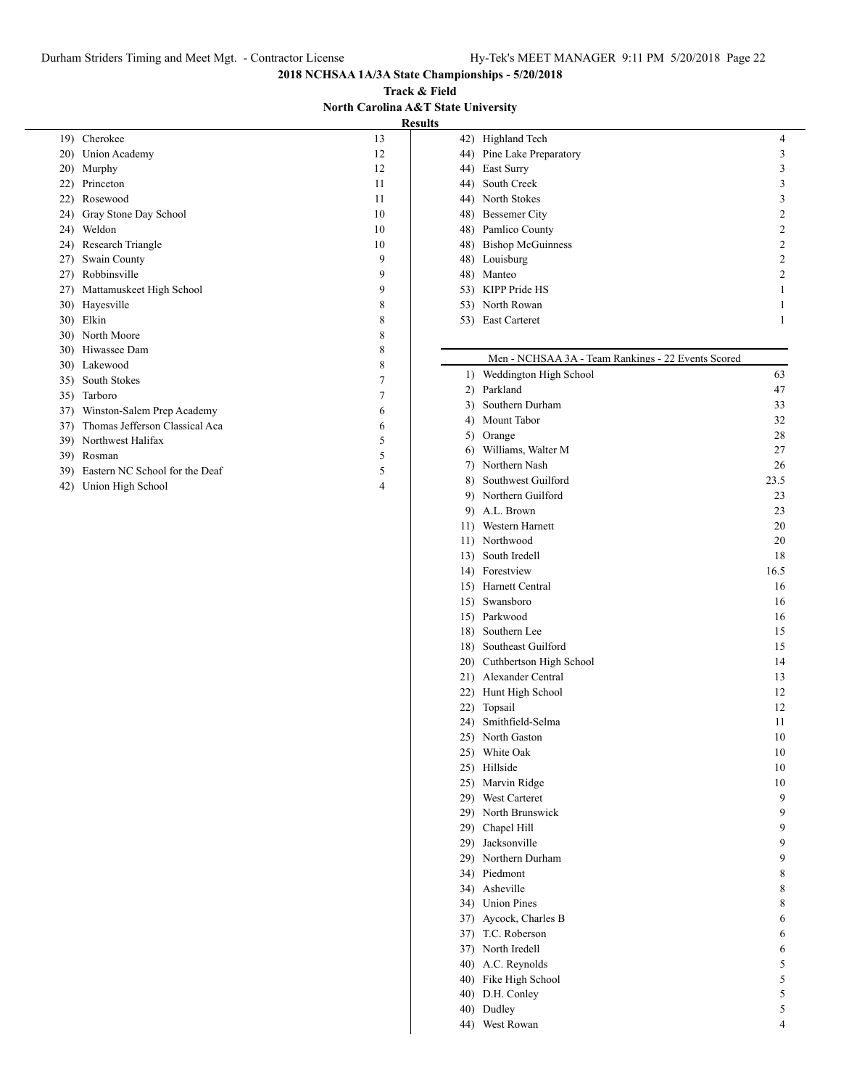**Track & Field North Carolina A&T State University Results**

| 19) | Cherokee                       | 13 |
|-----|--------------------------------|----|
| 20) | Union Academy                  | 12 |
| 20) | Murphy                         | 12 |
| 22) | Princeton                      | 11 |
| 22) | Rosewood                       | 11 |
| 24) | Gray Stone Day School          | 10 |
| 24) | Weldon                         | 10 |
|     | 24) Research Triangle          | 10 |
|     | 27) Swain County               | 9  |
|     | 27) Robbinsville               | 9  |
| 27) | Mattamuskeet High School       | 9  |
| 30) | Hayesville                     | 8  |
| 30) | Elkin                          | 8  |
|     | 30) North Moore                | 8  |
|     | 30) Hiwassee Dam               | 8  |
|     | 30) Lakewood                   | 8  |
|     | 35) South Stokes               | 7  |
|     | 35) Tarboro                    | 7  |
| 37) | Winston-Salem Prep Academy     | 6  |
| 37) | Thomas Jefferson Classical Aca | 6  |
| 39) | Northwest Halifax              | 5  |
| 39) | Rosman                         | 5  |
| 39) | Eastern NC School for the Deaf | 5  |
| 42) | Union High School              | 4  |
|     |                                |    |

|     | 42) Highland Tech         | 4              |
|-----|---------------------------|----------------|
|     | 44) Pine Lake Preparatory | 3              |
|     | 44) East Surry            | 3              |
|     | 44) South Creek           | 3              |
|     | 44) North Stokes          | 3              |
|     | 48) Bessemer City         | 2              |
|     | 48) Pamlico County        | 2              |
|     | 48) Bishop McGuinness     | $\mathfrak{D}$ |
|     | 48) Louisburg             | 2              |
| 48) | Manteo                    | $\mathfrak{D}$ |
|     | 53) KIPP Pride HS         |                |
|     | 53) North Rowan           |                |
| 53) | <b>East Carteret</b>      |                |
|     |                           |                |

|    | Men - NCHSAA 3A - Team Rankings - 22 Events Scored |      |
|----|----------------------------------------------------|------|
| 1) | Weddington High School                             | 63   |
|    | 2) Parkland                                        | 47   |
|    | 3) Southern Durham                                 | 33   |
|    | 4) Mount Tabor                                     | 32   |
|    | 5) Orange                                          | 28   |
|    | 6) Williams, Walter M                              | 27   |
|    | 7) Northern Nash                                   | 26   |
|    | 8) Southwest Guilford                              | 23.5 |
|    | 9) Northern Guilford                               | 23   |
|    | 9) A.L. Brown                                      | 23   |
|    | 11) Western Harnett                                | 20   |
|    | 11) Northwood                                      | 20   |
|    | 13) South Iredell                                  | 18   |
|    | 14) Forestview                                     | 16.5 |
|    | 15) Harnett Central                                | 16   |
|    | 15) Swansboro                                      | 16   |
|    | 15) Parkwood                                       | 16   |
|    | 18) Southern Lee                                   | 15   |
|    | 18) Southeast Guilford                             | 15   |
|    | 20) Cuthbertson High School                        | 14   |
|    | 21) Alexander Central                              | 13   |
|    | 22) Hunt High School                               | 12   |
|    | 22) Topsail                                        | 12   |
|    | 24) Smithfield-Selma                               | 11   |
|    | 25) North Gaston                                   | 10   |
|    | 25) White Oak                                      | 10   |
|    | 25) Hillside                                       | 10   |
|    | 25) Marvin Ridge                                   | 10   |
|    | 29) West Carteret                                  | 9    |
|    | 29) North Brunswick                                | 9    |
|    | 29) Chapel Hill                                    | 9    |
|    | 29) Jacksonville                                   | 9    |
|    | 29) Northern Durham                                | 9    |
|    | 34) Piedmont                                       | 8    |
|    | 34) Asheville                                      | 8    |
|    | 34) Union Pines                                    | 8    |
|    | 37) Aycock, Charles B                              | 6    |
|    | 37) T.C. Roberson                                  | 6    |
|    | 37) North Iredell                                  | 6    |
|    | 40) A.C. Reynolds                                  | 5    |
|    | 40) Fike High School                               | 5    |
|    | 40) D.H. Conley                                    | 5    |
|    | 40) Dudley                                         | 5    |
|    | 44) West Rowan                                     | 4    |